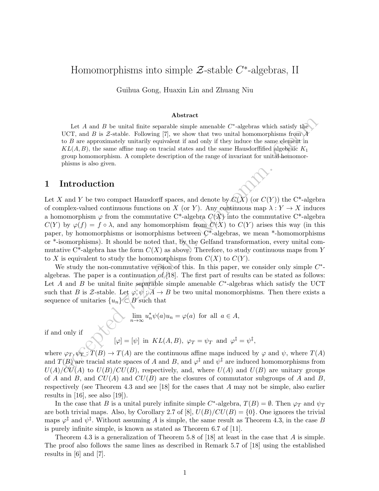# Homomorphisms into simple  $\mathcal{Z}\text{-stable }C\text{-algebras},\text{ II}$

Guihua Gong, Huaxin Lin and Zhuang Niu

#### Abstract

Let A and B be unital finite separable simple amenable  $C^*$ -algebras which satisfy the UCT, and B is Z-stable. Following [7], we show that two unital homomorphisms from  $\tilde{A}$ to B are approximately unitarily equivalent if and only if they induce the same element in  $KL(A, B)$ , the same affine map on tracial states and the same Hausdorffified algebraic  $K_1$ group homomorphism. A complete description of the range of invariant for unital homomorphisms is also given.

### 1 Introduction

Let A and B be unital finite separable simple amenable C'-algebras which satisfy the<br>  $G$ , CT, and B is Z-stable. Following [7], we show that two unital homomorphisms from<br>  $\Delta ELA$ , B), the same affine map on tracial state Let X and Y be two compact Hausdorff spaces, and denote by  $C(X)$  (or  $C(Y)$ ) the C<sup>\*</sup>-algebra of complex-valued continuous functions on X (or Y). Any continuous map  $\lambda: Y \to X$  induces a homomorphism  $\varphi$  from the commutative C<sup>\*</sup>-algebra  $C(X)$  into the commutative C<sup>\*</sup>-algebra  $C(Y)$  by  $\varphi(f) = f \circ \lambda$ , and any homomorphism from  $C(X)$  to  $C(Y)$  arises this way (in this paper, by homomorphisms or isomorphisms between  $C^*$ -algebras, we mean \*-homomorphisms or \*-isomorphisms). It should be noted that, by the Gelfand transformation, every unital commutative C<sup>\*</sup>-algebra has the form  $C(X)$  as above. Therefore, to study continuous maps from Y to X is equivalent to study the homomorphisms from  $C(X)$  to  $C(Y)$ .

We study the non-commutative version of this. In this paper, we consider only simple  $C^*$ algebras. The paper is a continuation of [18]. The first part of results can be stated as follows: Let A and B be unital finite separable simple amenable  $C^*$ -algebras which satisfy the UCT such that B is Z-stable. Let  $\varphi, \psi : A \to B$  be two unital monomorphisms. Then there exists a sequence of unitaries  $\{u_n\} \subset B$  such that

$$
\sum_{n \to \infty} \lim_{n \to \infty} u_n^* \psi(a) u_n = \varphi(a) \text{ for all } a \in A,
$$

if and only if

$$
[\varphi] = [\psi]
$$
 in  $KL(A, B)$ ,  $\varphi_T = \psi_T$  and  $\varphi^{\ddagger} = \psi^{\ddagger}$ ,

where  $\varphi_T, \psi_T : T(B) \to T(A)$  are the continuous affine maps induced by  $\varphi$  and  $\psi$ , where  $T(A)$ and  $T(B)$  are tracial state spaces of A and B, and  $\varphi^{\ddagger}$  and  $\psi^{\ddagger}$  are induced homomorphisms from  $U(A)/CU(A)$  to  $U(B)/CU(B)$ , respectively, and, where  $U(A)$  and  $U(B)$  are unitary groups of A and B, and  $CU(A)$  and  $CU(B)$  are the closures of commutator subgroups of A and B, respectively (see Theorem 4.3 and see [18] for the cases that A may not be simple, also earlier results in  $[16]$ , see also  $[19]$ ).

In the case that B is a unital purely infinite simple C<sup>\*</sup>-algebra,  $T(B) = \emptyset$ . Then  $\varphi_T$  and  $\psi_T$ are both trivial maps. Also, by Corollary 2.7 of [8],  $U(B)/CU(B) = \{0\}$ . One ignores the trivial maps  $\varphi^{\ddagger}$  and  $\psi^{\ddagger}$ . Without assuming A is simple, the same result as Theorem 4.3, in the case B is purely infinite simple, is known as stated as Theorem 6.7 of [11].

Theorem 4.3 is a generalization of Theorem 5.8 of [18] at least in the case that A is simple. The proof also follows the same lines as described in Remark 5.7 of [18] using the established results in [6] and [7].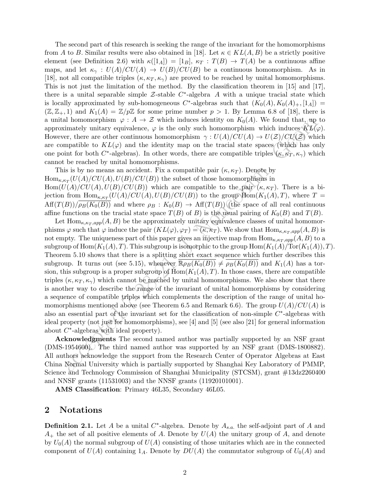The second part of this research is seeking the range of the invariant for the homomorphisms from A to B. Similar results were also obtained in [18]. Let  $\kappa \in KL(A, B)$  be a strictly positive element (see Definition 2.6) with  $\kappa([1_A]) = [1_B], \kappa_T : T(B) \to T(A)$  be a continuous affine maps, and let  $\kappa_{\gamma}: U(A)/CU(A) \to U(B)/CU(B)$  be a continuous homomorphism. As in [18], not all compatible triples  $(\kappa, \kappa_T, \kappa_\gamma)$  are proved to be reached by unital homomorphisms. This is not just the limitation of the method. By the classification theorem in [15] and [17], there is a unital separable simple  $\mathcal{Z}\text{-stable } C^*$ -algebra A with a unique tracial state which is locally approximated by sub-homogeneous  $C^*$ -algebras such that  $(K_0(A), K_0(A)_+, [1_A]) =$  $(\mathbb{Z}, \mathbb{Z}_+, 1)$  and  $K_1(A) = \mathbb{Z}/p\mathbb{Z}$  for some prime number  $p > 1$ . By Lemma 6.8 of [18], there is a unital homomorphism  $\varphi : A \to \mathcal{Z}$  which induces identity on  $K_0(A)$ . We found that, up to approximately unitary equivalence,  $\varphi$  is the only such homomorphism which induces  $KL(\varphi)$ . However, there are other continuous homomorphism  $\gamma : U(A)/CU(A) \to U(\mathcal{Z})/CU(\mathcal{Z})$  which are compatible to  $KL(\varphi)$  and the identity map on the tracial state spaces (which has only one point for both  $C^*$ -algebras). In other words, there are compatible triples  $(\kappa, \kappa_T, \kappa_\gamma)$  which cannot be reached by unital homomorphisms.

This is by no means an accident. Fix a compatible pair  $(\kappa, \kappa_T)$ . Denote by  $Hom_{\kappa,\kappa_T}(U(A)/CU(A),U(B)/CU(B))$  the subset of those homomorphisms in  $Hom(U(A)/CU(A), U(B)/CU(B))$  which are compatible to the pair  $(\kappa, \kappa_T)$ . There is a bijection from  $\text{Hom}_{\kappa,\kappa_T}(U(A)/CU(A),U(B)/CU(B))$  to the group  $\text{Hom}(K_1(A),T)$ , where  $T =$  $Aff(T(B))/\rho_B(K_0(B))$  and where  $\rho_B: K_0(B) \to Aff(T(B))$  (the space of all real continuous affine functions on the tracial state space  $T(B)$  of B) is the usual pairing of  $K_0(B)$  and  $T(B)$ .

al homomophism  $\varphi: A \to Z$  which induces identity on  $K_0(1)$ . We found that, any<br>induction in consideration of  $\eta(1)$ , We found that, and<br>eignal minimitative to  $KL(\varphi)$  and the identity on  $K_0(1)$ . We found that, any<br>in Let  $\text{Hom}_{\kappa,\kappa_T,app}(A, B)$  be the approximately unitary equivalence classes of unital homomorphisms  $\varphi$  such that  $\varphi$  induce the pair  $(KL(\varphi), \varphi_T) = (\kappa, \kappa_T)$ . We show that  $\text{Hom}_{\kappa, \kappa_T, app}(A, B)$  is not empty. The uniqueness part of this paper gives an injective map from  $\text{Hom}_{\kappa,\kappa_T,app}(A, B)$  to a subgroup of  $\text{Hom}(K_1(A), T)$ . This subgroup is isomorphic to the group  $\text{Hom}(K_1(A)/\text{Tor}(K_1(A)), T)$ . Theorem 5.10 shows that there is a splitting short exact sequence which further describes this subgroup. It turns out (see 5.15), whenever  $\mathbb{R}\rho_B(K_0(B)) \neq \rho_B(K_0(B))$  and  $K_1(A)$  has a torsion, this subgroup is a proper subgroup of  $\text{Hom}(K_1(A), T)$ . In those cases, there are compatible triples  $(\kappa, \kappa_T, \kappa_\gamma)$  which cannot be reached by unital homomorphisms. We also show that there is another way to describe the range of the invariant of unital homomorphisms by considering a sequence of compatible triples which complements the description of the range of unital homomorphisms mentioned above (see Theorem 6.5 and Remark 6.6). The group  $U(A)/CU(A)$  is also an essential part of the invariant set for the classification of non-simple  $C^*$ -algebras with ideal property (not just for homomorphisms), see [4] and [5] (see also [21] for general information about  $C^*$ -algebras with ideal property).

Acknowledgments The second named author was partially supported by an NSF grant  $(DMS-1954600)$ . The third named author was supported by an NSF grant  $(DMS-1800882)$ . All authors acknowledge the support from the Research Center of Operator Algebras at East China Normal University which is partially supported by Shanghai Key Laboratory of PMMP, Science and Technology Commission of Shanghai Municipality (STCSM), grant #13dz2260400 and NNSF grants (11531003) and the NNSF grants (11920101001).

AMS Classification: Primary 46L35, Secondary 46L05.

## 2 Notations

**Definition 2.1.** Let A be a unital  $C^*$ -algebra. Denote by  $A_{s.a.}$  the self-adjoint part of A and  $A_+$  the set of all positive elements of A. Denote by  $U(A)$  the unitary group of A, and denote by  $U_0(A)$  the normal subgroup of  $U(A)$  consisting of those unitaries which are in the connected component of  $U(A)$  containing  $1_A$ . Denote by  $DU(A)$  the commutator subgroup of  $U_0(A)$  and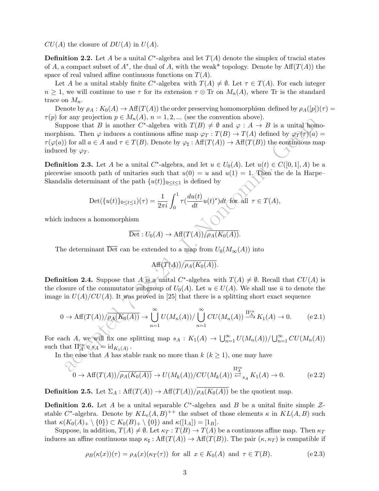$CU(A)$  the closure of  $DU(A)$  in  $U(A)$ .

**Definition 2.2.** Let A be a unital  $C^*$ -algebra and let  $T(A)$  denote the simplex of tracial states of A, a compact subset of  $A^*$ , the dual of A, with the weak\* topology. Denote by  $\text{Aff}(T(A))$  the space of real valued affine continuous functions on  $T(A)$ .

Let A be a unital stably finite C<sup>\*</sup>-algebra with  $T(A) \neq \emptyset$ . Let  $\tau \in T(A)$ . For each integer  $n \geq 1$ , we will continue to use  $\tau$  for its extension  $\tau \otimes$  Tr on  $M_n(A)$ , where Tr is the standard trace on  $M_n$ .

Denote by  $\rho_A : K_0(A) \to Aff(T(A))$  the order preserving homomorphism defined by  $\rho_A([p])(\tau) =$  $\tau(p)$  for any projection  $p \in M_n(A)$ ,  $n = 1, 2, ...$  (see the convention above).

a any proposition  $p = x_R(x_1), n = 1, z_2, ...$  (see the convention above).<br>
Then  $p \to \pi R$  is a mother  $C^*$ -algebra with  $T(B) \neq \emptyset$  and  $\varphi : A \to B$  is a unital form in The  $\varphi$  induces a continuous affine map  $\varphi_T : T(B) \to T(A)$  def Suppose that B is another C<sup>\*</sup>-algebra with  $T(B) \neq \emptyset$  and  $\varphi : A \to B$  is a unital homomorphism. Then  $\varphi$  induces a continuous affine map  $\varphi_T : T(B) \to T(A)$  defined by  $\varphi_T(\tau)(a) =$  $\tau(\varphi(a))$  for all  $a \in A$  and  $\tau \in T(B)$ . Denote by  $\varphi_{\sharp} : Aff(T(A)) \to Aff(T(B))$  the continuous map induced by  $\varphi_T$ .

**Definition 2.3.** Let A be a unital C<sup>\*</sup>-algebra, and let  $u \in U_0(A)$ . Let  $u(t) \in C([0,1], A)$  be a piecewise smooth path of unitaries such that  $u(0) = u$  and  $u(1) = 1$ . Then the de la Harpe– Skandalis determinant of the path  ${u(t)}_{0 \le t \le 1}$  is defined by

$$
\operatorname{Det}(\{u(t)\}_{0\leq t\leq 1})(\tau) = \frac{1}{2\pi i} \int_0^1 \tau(\frac{du(t)}{dt}u(t)^*)dt \text{ for all } \tau \in T(A),
$$

which induces a homomorphism

$$
\overline{\mathrm{Det}}: U_0(A) \to \mathrm{Aff}(T(A))/\overline{\rho_A(K_0(A))}.
$$

The determinant  $\overline{\mathrm{Det}}$  can be extended to a map from  $U_0(M_\infty(A))$  into

$$
\mathrm{Aff}(T(A))/\overline{\rho_A(K_0(A))}.
$$

**Definition 2.4.** Suppose that A is a unital C<sup>\*</sup>-algebra with  $T(A) \neq \emptyset$ . Recall that  $CU(A)$  is the closure of the commutator subgroup of  $U_0(A)$ . Let  $u \in U(A)$ . We shall use  $\bar{u}$  to denote the image in  $U(A)/CU(A)$ . It was proved in [25] that there is a splitting short exact sequence

$$
0 \to \text{Aff}(T(A))/\overline{\rho_A(K_0(A))} \to \bigcup_{n=1}^{\infty} U(M_n(A))/\bigcup_{n=1}^{\infty} CU(M_n(A)) \xrightarrow{\Pi_A^{cu}} K_1(A) \to 0. \tag{e.2.1}
$$

For each A, we will fix one splitting map  $s_A: K_1(A) \to \bigcup_{n=1}^{\infty} U(M_n(A))/\bigcup_{n=1}^{\infty} CU(M_n(A))$ such that  $\Pi_{\mathcal{A}}^{cu} \circ s_{\mathcal{A}} = \mathrm{id}_{K_1(\mathcal{A})}$ .

In the case that A has stable rank no more than  $k$  ( $k \geq 1$ ), one may have

$$
\bigcirc \limits_0^{\infty} \to \text{Aff}(T(A))/\overline{\rho_A(K_0(A))} \to U(M_k(A))/CU(M_k(A)) \stackrel{\Pi_A^{cu}}{\rightleftarrows}_{s_A} K_1(A) \to 0. \tag{e.2.2}
$$

**Definition 2.5.** Let  $\Sigma_A : \text{Aff}(T(A)) \to \text{Aff}(T(A))/\overline{\rho_A(K_0(A))}$  be the quotient map.

**Definition 2.6.** Let A be a unital separable  $C^*$ -algebra and B be a unital finite simple  $\mathcal{Z}$ stable C<sup>\*</sup>-algebra. Denote by  $KL_e(A, B)^{++}$  the subset of those elements  $\kappa$  in  $KL(A, B)$  such that  $\kappa(K_0(A)_+ \setminus \{0\}) \subset K_0(B)_+ \setminus \{0\}$  and  $\kappa([1_A]) = [1_B]$ .

Suppose, in addition,  $T(A) \neq \emptyset$ . Let  $\kappa_T : T(B) \to T(A)$  be a continuous affine map. Then  $\kappa_T$ induces an affine continuous map  $\kappa_{\sharp}$ :  $\text{Aff}(T(A)) \to \text{Aff}(T(B))$ . The pair  $(\kappa, \kappa_T)$  is compatible if

$$
\rho_B(\kappa(x))(\tau) = \rho_A(x)(\kappa_T(\tau)) \text{ for all } x \in K_0(A) \text{ and } \tau \in T(B). \tag{e.2.3}
$$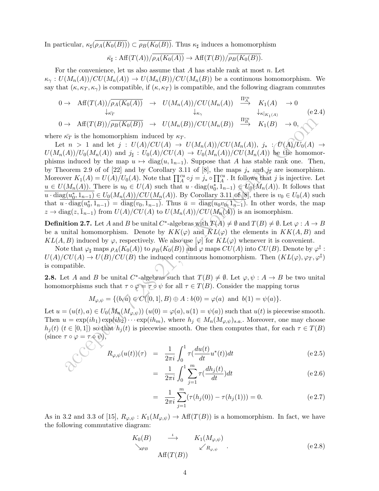In particular,  $\kappa_{\sharp}(\rho_A(K_0(B))) \subset \rho_B(K_0(B))$ . Thus  $\kappa_{\sharp}$  induces a homomorphism

$$
\overline{\kappa}_{\sharp} : \operatorname{Aff}(T(A))/\overline{\rho_A(K_0(A))} \to \operatorname{Aff}(T(B))/\overline{\rho_B(K_0(B))}.
$$

For the convenience, let us also assume that  $A$  has stable rank at most  $n$ . Let  $\kappa_{\gamma}: U(M_n(A))/CU(M_n(A)) \to U(M_n(B))/CU(M_n(B))$  be a continuous homomorphism. We say that  $(\kappa, \kappa_T, \kappa_\gamma)$  is compatible, if  $(\kappa, \kappa_T)$  is compatible, and the following diagram commutes

$$
0 \to \text{Aff}(T(A))/\overline{\rho_A(K_0(A))} \to U(M_n(A))/CU(M_n(A)) \xrightarrow{\Pi_A^{cu}} K_1(A) \to 0
$$
  
\n
$$
\downarrow_{\kappa_{\gamma}} K_1(B) \to \text{Aff}(T(B))/\overline{\rho_B(K_0(B))} \to U(M_n(B))/CU(M_n(B)) \xrightarrow{\Pi_B^{cu}} K_1(B) \to 0,
$$
  
\n
$$
\downarrow_{\kappa|_{K_1(A)}} (e2.4)
$$

where  $\bar{\kappa}_T$  is the homomorphism induced by  $\kappa_T$ .

 $\begin{array}{ll} \to \ \mathrm{Aff}(T(B))/\overline{\rho_0(K_0(B))} \to \ U(M_n(B))/CU(M_n(B)) \xrightarrow{\Pi_{\mathcal{P}}^\times} K_1(B) \to 0, \\ \kappa_{\mathcal{T}} \text{ is the homomorphism induced by } \kappa_{\mathcal{T}}. \\ \to \ 1 \ \text{ and } \ \mathrm{let} \ j: \ U(M_2(C)/A) \to U(M_n(A))/CU(M_n(A)) \text{ for } \bar{U}(M_2(A)) \to \bar{U}(M_2(A)) \text{ for } \bar{U}(M_2(A)) \text{ for } \bar{U}(M_2(A)) \text{ for } \bar{U}(M_2(A)) \text{ for } \$ Let  $n > 1$  and let  $j : U(A)/CU(A) \to U(M_n(A))/CU(M_n(A)), j_* : U(A)/U_0(A) \to U(M_n(A))/UU_0(A)$  $U(M_n(A))/U_0(M_n(A))$  and  $j_\sharp: U_0(A)/CU(A) \to U_0(M_n(A))/CU(M_n(A))$  be the homomorphisms induced by the map  $u \mapsto diag(u, 1_{n-1})$ . Suppose that A has stable rank one. Then, by Theorem 2.9 of of [22] and by Corollary 3.11 of [8], the maps  $j_*$  and  $j_{\sharp}$  are isomorphism. Moreover  $K_1(A) = U(A)/U_0(A)$ . Note that  $\prod_A^{cu} \circ j = j_* \circ \prod_A^{cu}$ . It follows that j is injective. Let  $u \in U(M_n(A))$ . There is  $u_0 \in U(A)$  such that  $u \cdot diag(u_0^*, 1_{n-1}) \in U_0(M_n(A))$ . It follows that  $u \cdot \text{diag}(u_0^*, 1_{n-1}) \in U_0(M_n(A))/CU(M_n(A))$ . By Corollary 3.11 of [8], there is  $v_0 \in U_0(A)$  such that  $\overline{u \cdot \text{diag}(u_0^*, 1_{n-1})} = \overline{\text{diag}(v_0, 1_{n-1})}$ . Thus  $\overline{u} = \overline{\text{diag}(u_0v_0, 1_{n-1})}$ . In other words, the map  $z \to diag(z, \bar{1}_{n-1})$  from  $U(A)/CU(A)$  to  $U(M_n(A))/CU(M_n(A))$  is an isomorphism.

**Definition 2.7.** Let A and B be unital C<sup>\*</sup>-algebras with  $T(A) \neq \emptyset$  and  $T(B) \neq \emptyset$ . Let  $\varphi : A \to B$ be a unital homomorphism. Denote by  $KK(\varphi)$  and  $\overline{KL}(\varphi)$  the elements in  $KK(A, B)$  and  $KL(A, B)$  induced by  $\varphi$ , respectively. We also use  $[\varphi]$  for  $KL(\varphi)$  whenever it is convenient.

Note that  $\varphi_\sharp$  maps  $\rho_A(K_0(A))$  to  $\rho_B(K_0(B))$  and  $\varphi$  maps  $CU(A)$  into  $CU(B).$  Denote by  $\varphi^\ddag$  :  $U(A)/CU(A) \to U(B)/CU(B)$  the induced continuous homomorphism. Then  $(KL(\varphi), \varphi_T, \varphi^{\ddagger})$ is compatible.

**2.8.** Let A and B be unital C<sup>\*</sup>-algebras such that  $T(B) \neq \emptyset$ . Let  $\varphi, \psi : A \to B$  be two unital homomorphisms such that  $\tau \circ \varphi = \tau \circ \psi$  for all  $\tau \in T(B)$ . Consider the mapping torus

$$
M_{\varphi,\psi} = \{(b,a) \in C([0,1], B) \oplus A : b(0) = \varphi(a) \text{ and } b(1) = \psi(a)\}.
$$

Let  $u = (u(t), a) \in U_0(M_n(M_{\varphi,\psi}))$   $(u(0) = \varphi(a), u(1) = \psi(a))$  such that  $u(t)$  is piecewise smooth. Then  $u = \exp(ih_1) \exp(ih_2) \cdots \exp(ih_m)$ , where  $h_j \in M_n(M_{\varphi,\psi})_{s.a.}$ . Moreover, one may choose  $h_i(t)$  ( $t \in [0,1]$ ) so that  $h_i(t)$  is piecewise smooth. One then computes that, for each  $\tau \in T(B)$ (since  $\tau \circ \varphi = \tau \circ \psi$ ),

$$
R_{\varphi,\psi}(u(t))(\tau) = \frac{1}{2\pi i} \int_0^1 \tau(\frac{du(t)}{dt} u^*(t)) dt
$$
 (e.2.5)

$$
= \frac{1}{2\pi i} \int_0^1 \sum_{j=1}^m \tau(\frac{dh_j(t)}{dt}) dt
$$
 (e 2.6)

$$
= \frac{1}{2\pi i} \sum_{j=1}^{m} (\tau(h_j(0)) - \tau(h_j(1))) = 0.
$$
 (e 2.7)

As in 3.2 and 3.3 of [15],  $R_{\varphi,\psi}: K_1(M_{\varphi,\psi}) \to \text{Aff}(T(B))$  is a homomorphism. In fact, we have the following commutative diagram:

=

$$
K_0(B) \longrightarrow K_1(M_{\varphi,\psi})
$$
  
\n
$$
\searrow_{\rho_B} \qquad \swarrow R_{\varphi,\psi}.
$$
  
\n
$$
\qquad \qquad \text{Aff}(T(B)) \qquad \qquad (e 2.8)
$$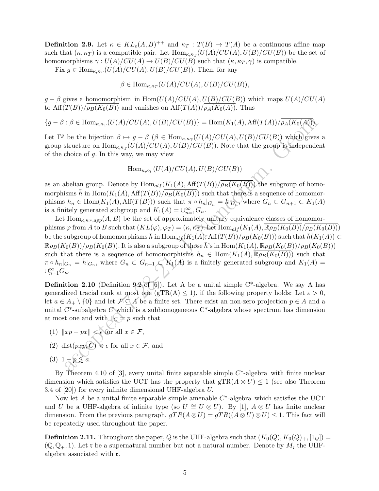**Definition 2.9.** Let  $\kappa \in KL_e(A, B)^{++}$  and  $\kappa_T : T(B) \to T(A)$  be a continuous affine map such that  $(\kappa, \kappa_T)$  is a compatible pair. Let  $\text{Hom}_{\kappa,\kappa_T}(U(A)/CU(A), U(B)/CU(B))$  be the set of homomorphisms  $\gamma: U(A)/CU(A) \to U(B)/CU(B)$  such that  $(\kappa, \kappa_T, \gamma)$  is compatible.

Fix  $g \in \text{Hom}_{\kappa,\kappa_T}(U(A)/CU(A),U(B)/CU(B)).$  Then, for any

 $\beta \in \text{Hom}_{\kappa,\kappa_T}(U(A)/CU(A),U(B)/CU(B)),$ 

 $g - \beta$  gives a homomorphism in Hom $(U(A)/CU(A), U(B)/CU(B))$  which maps  $U(A)/CU(A)$ to  $\text{Aff}(T(B))/\overline{\rho_B(K_0(B))}$  and vanishes on  $\text{Aff}(T(A))/\overline{\rho_A(K_0(A))}$ . Thus

 ${g - \beta : \beta \in Hom_{\kappa,\kappa_{\text{T}}}(U(A)/CU(A),U(B)/CU(B))} = Hom(K_1(A), Aff(T(A))/\rho_A(K_0(A))),$ 

Let  $\Gamma^g$  be the bijection  $\beta \mapsto g - \beta$  ( $\beta \in \text{Hom}_{\kappa,\kappa}(\text{U}(A)/\text{CU}(A),\text{U}(B)/\text{CU}(B))$  which gives a group structure on  $\text{Hom}_{\kappa,\kappa_{\text{T}}}(U(A)/CU(A),U(B)/CU(B)).$  Note that the group is independent of the choice of  $g$ . In this way, we may view

 $\text{Hom}_{\kappa,\kappa_T}(U(A)/CU(A),U(B)/CU(B))$ 

as an abelian group. Denote by  $\text{Hom}_{alf}(K_1(A), \text{Aff}(T(B))/\overline{\rho_B(K_0(B))})$  the subgroup of homomorphisms  $\bar{h}$  in Hom $(K_1(A), \text{Aff}(T(B))/\rho_B(K_0(B)))$  such that there is a sequence of homomorphisms  $h_n \in \text{Hom}(K_1(A), \text{Aff}(T(B)))$  such that  $\pi \circ h_n|_{G_n} = \bar{h}|_{G_n}$ , where  $G_n \subset G_{n+1} \subset K_1(A)$ is a finitely generated subgroup and  $K_1(A) = \bigcup_{n=1}^{\infty} G_n$ .

:  $\beta \in \text{Hom}_{\kappa,\kappa_T}(U(A)/CU(B),U(B)/CU(B)) = \text{Hom}(K_1(A),\text{Aff}(T(A))/\rho_A(K_0(A)))$ ,<br>be the bijection  $\beta \mapsto g - \beta$  ( $\beta \in \text{Hom}_{\kappa,\kappa_T}(U(A)/CU(A),U(B)/CU(B))$  which gives<br>structure on  $\text{Hom}_{\kappa,\kappa_T}(U(A)/CU(A),U(B)/CU(B))$ . Note that the group is independe<br>choice of Let  $\text{Hom}_{\kappa,\kappa_T,app}(A, B)$  be the set of approximately unitary equivalence classes of homomorphisms  $\varphi$  from A to B such that  $(KL(\varphi), \varphi_T) = (\kappa, \kappa_T)$ . Let  $\text{Hom}_{alf}(K_1(A), \mathbb{R}\rho_B(K_0(B))/\rho_B(K_0(B)))$ be the subgroup of homomorphisms  $\bar{h}$  in  $\text{Hom}_{alf}(K_1(A), \text{Aff}(T(B))/\rho_B(K_0(B)))$  such that  $\bar{h}(K_1(A)) \subset$  $\frac{\overline{\mathbb{R}\rho_B(K_0(B))}}{\mathbb{R}\rho_B(K_0(B))}\sqrt{\rho_B(K_0(B))}$ . It is also a subgroup of those  $\overline{h}$ 's in Hom $(K_1(A), \overline{\mathbb{R}\rho_B(K_0(B))}/\overline{\rho_B(K_0(B))})$ such that there is a sequence of homomorphisms  $h_n \in \text{Hom}(K_1(A), \mathbb{R}(\rho_B(K_0(B)))$  such that  $\pi \circ h_n|_{G_n} = \bar{h}|_{G_n}$ , where  $G_n \subset G_{n+1} \subset K_1(A)$  is a finitely generated subgroup and  $K_1(A) =$  $\cup_{n=1}^{\infty} G_n$ .

**Definition 2.10** (Definition 9.2 of [6]). Let A be a unital simple C<sup>\*</sup>-algebra. We say A has generalized tracial rank at most one (gTR(A)  $\leq$  1), if the following property holds: Let  $\varepsilon > 0$ , let  $a \in A_+ \setminus \{0\}$  and let  $\mathcal{F} \subseteq A$  be a finite set. There exist an non-zero projection  $p \in A$  and a unital C\*-subalgebra  $C$  which is a subhomogeneous C\*-algebra whose spectrum has dimension at most one and with  $1<sub>C</sub> = p$  such that

- (1)  $\|xp px\| \leq \epsilon$  for all  $x \in \mathcal{F}$ ,
- (2) dist $(pxp, C) \leq \epsilon$  for all  $x \in \mathcal{F}$ , and

$$
(3) \ \ 1-p\lesssim a.
$$

By Theorem 4.10 of [3], every unital finite separable simple  $C^*$ -algebra with finite nuclear dimension which satisfies the UCT has the property that  $gTR(A \otimes U) \leq 1$  (see also Theorem 3.4 of [20]) for every infinite dimensional UHF-algebra U.

Now let  $A$  be a unital finite separable simple amenable  $C^*$ -algebra which satisfies the UCT and U be a UHF-algebra of infinite type (so  $U \cong U \otimes U$ ). By [1],  $A \otimes U$  has finite nuclear dimension. From the previous paragraph,  $gTR(A \otimes U) = gTR((A \otimes U) \otimes U) \leq 1$ . This fact will be repeatedly used throughout the paper.

**Definition 2.11.** Throughout the paper, Q is the UHF-algebra such that  $(K_0(Q), K_0(Q)_+, [1_Q]) =$  $(\mathbb{Q}, \mathbb{Q}_+, 1)$ . Let **r** be a supernatural number but not a natural number. Denote by  $M_t$  the UHFalgebra associated with r.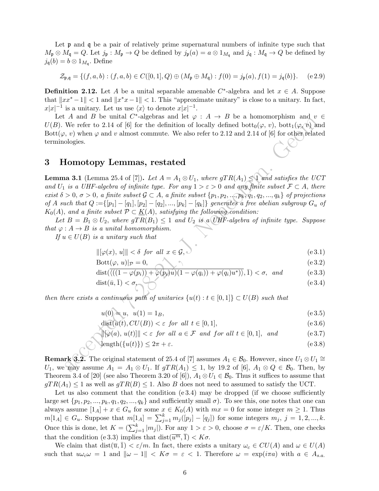Let **p** and **q** be a pair of relatively prime supernatural numbers of infinite type such that  $M_{\mathfrak{p}} \otimes M_{\mathfrak{q}} = Q$ . Let  $j_{\mathfrak{p}} : M_{\mathfrak{p}} \to Q$  be defined by  $j_{\mathfrak{p}}(a) = a \otimes 1_{M_{\mathfrak{q}}}$  and  $j_{\mathfrak{q}} : M_{\mathfrak{q}} \to Q$  be defined by  $j_{\mathfrak{q}}(b) = b \otimes 1_{M_{\mathfrak{q}}}$ . Define

$$
\mathcal{Z}_{\mathfrak{p},\mathfrak{q}} = \{ (f,a,b) : (f,a,b) \in C([0,1], Q) \oplus (M_{\mathfrak{p}} \oplus M_{\mathfrak{q}}) : f(0) = j_{\mathfrak{p}}(a), f(1) = j_{\mathfrak{q}}(b) \}. \tag{e.2.9}
$$

**Definition 2.12.** Let A be a unital separable amenable  $C^*$ -algebra and let  $x \in A$ . Suppose that  $||xx^* - 1|| < 1$  and  $||x^*x - 1|| < 1$ . This "approximate unitary" is close to a unitary. In fact,  $x|x|^{-1}$  is a unitary. Let us use  $\langle x \rangle$  to denote  $x|x|^{-1}$ .

Let A and B be unital C<sup>\*</sup>-algebras and let  $\varphi : A \to B$  be a homomorphism and  $v \in$  $U(B)$ . We refer to 2.14 of [6] for the definition of locally defined bott<sub>0</sub>( $\varphi, v$ ), bott<sub>1</sub>( $\varphi, v$ ) and Bott $(\varphi, v)$  when  $\varphi$  and v almost commute. We also refer to 2.12 and 2.14 of [6] for other related terminologies.

#### 3 Homotopy Lemmas, restated

Are an *D* or unitary scalar  $\psi$ . A  $\rightarrow$  D or unitary  $\psi$ .<br>
Are refer to 2.14 of [6] for the definition of locally defined bott<sub>0</sub>( $\varphi$ ,  $\psi$ ), bott<sub>1</sub>( $\varphi$ ,  $\psi$ ),  $\psi$ ,  $v$ ) when  $\varphi$  and  $v$  almost commute. We als **Lemma 3.1** (Lemma 25.4 of [7]). Let  $A = A_1 \otimes U_1$ , where  $qTR(A_1) \leq 1$  and satisfies the UCT and  $U_1$  is a UHF-algebra of infinite type. For any  $1 > \varepsilon > 0$  and any finite subset  $\mathcal{F} \subset A$ , there exist  $\delta > 0$ ,  $\sigma > 0$ , a finite subset  $\mathcal{G} \subset A$ , a finite subset  $\{p_1, p_2, ..., p_k, q_1, q_2, ..., q_k\}$  of projections of A such that  $Q := \{ [p_1] - [q_1], [p_2] - [q_2], ..., [p_k] - [q_k] \}$  generates a free abelian subgroup  $G_u$  of  $K_0(A)$ , and a finite subset  $\mathcal{P} \subset K(A)$ , satisfying the following condition:

Let  $B = B_1 \otimes U_2$ , where  $gTR(B_1) \leq 1$  and  $U_2$  is a UHF-algebra of infinite type. Suppose that  $\varphi: A \to B$  is a unital homomorphism.

If  $u \in U(B)$  is a unitary such that

$$
\|[\varphi(x), u]\| < \delta \text{ for all } x \in \mathcal{G}, \quad (e \in \mathcal{Z})
$$

$$
Bott(\varphi, u)|_{\mathcal{P}} = 0,\tag{e3.2}
$$

$$
\text{dist}(\overline{\langle ((1-\varphi(p_i))+\varphi(p_i)u)(1-\varphi(q_i))+\varphi(q_i)u^* ) \rangle}, \overline{1}) < \sigma, \text{ and } \text{(e 3.3)}
$$

$$
dist(\bar{u}, \bar{1}) < \sigma, \qquad (e3.4)
$$

then there exists a continuous path of unitaries  $\{u(t): t \in [0,1]\} \subset U(B)$  such that

$$
u(0) = u, \ \ u(1) = 1_B,\tag{e.3.5}
$$

$$
dist(u(t), CU(B)) < \varepsilon \text{ for all } t \in [0, 1], \tag{e.3.6}
$$

$$
\begin{aligned}\n\|\varphi(a), u(t)\|\| < \varepsilon \text{ for all } a \in \mathcal{F} \text{ and for all } t \in [0, 1], \text{ and} \\
& (e3.7)\n\end{aligned}
$$

$$
\text{length}(\{u(t)\}) \le 2\pi + \varepsilon. \tag{e.3.8}
$$

**Remark 3.2.** The original statement of 25.4 of [7] assumes  $A_1 \in \mathcal{B}_0$ . However, since  $U_1 \otimes U_1 \cong$ U<sub>1</sub>, we may assume  $A_1 = A_1 \otimes U_1$ . If  $gTR(A_1) \leq 1$ , by 19.2 of [6],  $A_1 \otimes Q \in \mathcal{B}_0$ . Then, by Theorem 3.4 of [20] (see also Theorem 3.20 of [6]),  $A_1 \otimes U_1 \in \mathcal{B}_0$ . Thus it suffices to assume that  $gTR(A_1) \leq 1$  as well as  $gTR(B) \leq 1$ . Also B does not need to assumed to satisfy the UCT.

Let us also comment that the condition  $(e 3.4)$  may be dropped (if we choose sufficiently large set  $\{p_1, p_2, ..., p_k, q_1, q_2, ..., q_k\}$  and sufficiently small  $\sigma$ ). To see this, one notes that one can always assume  $[1_A] + x \in G_u$  for some  $x \in K_0(A)$  with  $mx = 0$  for some integer  $m \ge 1$ . Thus  $m[1_A] \in G_u$ . Suppose that  $m[1_A] = \sum_{j=1}^k m_j([p_j] - [q_j])$  for some integers  $m_j, j = 1, 2, ..., k$ . Once this is done, let  $K = \left(\sum_{j=1}^{k} |m_j|\right)$ . For any  $1 > \varepsilon > 0$ , choose  $\sigma = \varepsilon/K$ . Then, one checks that the condition (e 3.3) implies that  $dist(\overline{u^m}, \overline{1}) < K\sigma$ .

We claim that  $dist(\overline{u}, \overline{1}) < \varepsilon/m$ . In fact, there exists a unitary  $\omega_c \in CU(A)$  and  $\omega \in U(A)$ such that  $u\omega_c\omega = 1$  and  $\|\omega - 1\| < K\sigma = \varepsilon < 1$ . Therefore  $\omega = \exp(i\pi a)$  with  $a \in A_{s,a}$ .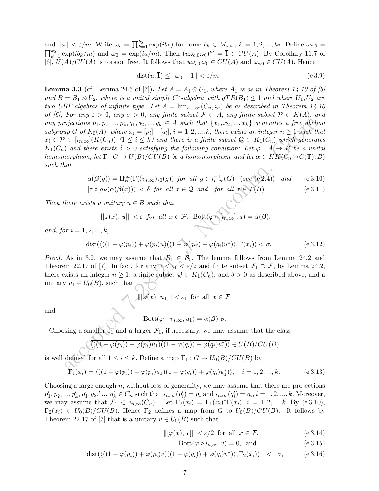and  $||a|| < \varepsilon/m$ . Write  $\omega_c = \prod_{k=1}^{k_2} \exp(ib_k)$  for some  $b_k \in M_{s.a.}, k = 1, 2, ..., k_2$ . Define  $\omega_{c,0} =$  $\prod_{k=1}^{k_2} \exp(i b_k/m)$  and  $\omega_0 = \exp(i a/m)$ . Then  $(\overline{u\omega_{c,0}\omega_0})^m = \overline{1} \in CU(A)$ . By Corollary 11.7 of [6],  $U(A)/CU(A)$  is torsion free. It follows that  $u\omega_{c,0}\omega_0 \in CU(A)$  and  $\omega_{c,0} \in CU(A)$ . Hence

$$
dist(\overline{u}, \overline{1}) \le ||\omega_0 - 1|| < \varepsilon/m. \tag{e.3.9}
$$

vjections  $p_1, p_2, ..., p_k, q_1, q_2, ..., q_k \in A$  such that  $\{x_1, x_2, ..., x_k\}$  generates a free about<br>  $\varphi \in \mathcal{O}(\overline{K_0(A)}, \overline{w})$  here  $x_i = [p_i] - [q_i]$ ,  $i = 1, 2, ..., k$ , there exists a microger  $n \ge 1$ -soft  $\hat{H}$  is  $\langle K_1(Q_n) \rangle$  ( $1 \le$ **Lemma 3.3** (cf. Lemma 24.5 of [7]). Let  $A = A_1 \otimes U_1$ , where  $A_1$  is as in Theorem 14.10 of [6] and  $B = B_1 \otimes U_2$ , where is a unital simple C<sup>\*</sup>-algebra with  $gTR(B_1) \leq 1$  and where  $U_1, U_2$  are two UHF-algebras of infinite type. Let  $A = \lim_{n\to\infty} (C_n, i_n)$  be as described in Theorem 14.10 of [6], For any  $\varepsilon > 0$ , any  $\sigma > 0$ , any finite subset  $\mathcal{F} \subset A$ , any finite subset  $\mathcal{P} \subset \underline{K}(A)$ , and any projections  $p_1, p_2, ..., p_k, q_1, q_2, ..., q_k \in A$  such that  $\{x_1, x_2, ..., x_k\}$  generates a free abelian subgroup G of  $K_0(A)$ , where  $x_i = [p_i] - [q_i]$ ,  $i = 1, 2, ..., k$ , there exists an integer  $n \geq 1$ -such that  $x_i \in \mathcal{P} \subset [i_{n,\infty}](K(C_n))$   $(1 \leq i \leq k)$  and there is a finite subset  $\mathcal{Q} \subset K_1(C_n)$  which generates  $K_1(C_n)$  and there exists  $\delta > 0$  satisfying the following condition: Let  $\varphi : A \to B$  be a unital homomorphism, let  $\Gamma: G \to U(B)/CU(B)$  be a homomorphism and let  $\alpha \in KK(C_n \otimes C(\mathbb{T}), B)$ such that

$$
\alpha(\beta(g)) = \Pi_B^{cu}(\Gamma((i_{n,\infty})_{*0}(g)) \text{ for all } g \in i_{n,\infty}^{-1}(G) \text{ (see (e 2.4)) and (e 3.10)}
$$
  

$$
|\tau \circ \rho_B(\alpha(\beta(x)))| < \delta \text{ for all } x \in \mathcal{Q} \text{ and for all } \tau \in \mathcal{T}(B).
$$
 (e 3.11)

Then there exists a unitary  $u \in B$  such that

$$
\|[\varphi(x), u]\| < \varepsilon \ \hbox{ for all } x \in \mathcal{F}, \ \ \text{Bott}(\varphi \circ [v_{n,\infty}], u) = \alpha(\pmb{\beta}),
$$

and, for  $i = 1, 2, ..., k$ ,

$$
\operatorname{dist}(\overline{\langle ((1-\varphi(p_i))+\varphi(p_i)u)((1-\varphi(q_i))+\varphi(q_i)u^*)\rangle}, \Gamma(x_i)) < \sigma.
$$
 (e 3.12)

*Proof.* As in 3.2, we may assume that  $B_1 \in B_0$ . The lemma follows from Lemma 24.2 and Theorem 22.17 of [7]. In fact, for any  $0 < \varepsilon_1 < \varepsilon/2$  and finite subset  $\mathcal{F}_1 \supset \mathcal{F}$ , by Lemma 24.2, there exists an integer  $n \geq 1$ , a finite subset  $\mathcal{Q} \subset K_1(C_n)$ , and  $\delta > 0$  as described above, and a unitary  $u_1 \in U_0(B)$ , such that

$$
\|\|\varphi(x), u_1\|\| < \varepsilon_1 \text{ for all } x \in \mathcal{F}_1
$$

and

$$
Bott(\varphi \circ i_{n,\infty}, u_1) = \alpha(\boldsymbol{\beta})|_{\mathcal{P}}.
$$

Choosing a smaller  $\varepsilon_1$  and a larger  $\mathcal{F}_1$ , if necessary, we may assume that the class

$$
\langle \overline{\langle (\mathbf{1} - \varphi(p_i)) + \varphi(p_i)u_1 \rangle ((1 - \varphi(q_i)) + \varphi(q_i)u_1^*) \rangle} \in U(B)/CU(B)
$$

is well defined for all  $1 \leq i \leq k$ . Define a map  $\Gamma_1: G \to U_0(B)/CU(B)$  by

$$
\Pr_1(x_i) = \overline{\langle ((1 - \varphi(p_i)) + \varphi(p_i)u_1)(1 - \varphi(q_i)) + \varphi(q_i)u_1^* ) \rangle}, \quad i = 1, 2, ..., k.
$$
 (e 3.13)

Choosing a large enough  $n$ , without loss of generality, we may assume that there are projections  $p'_1, p'_2, ..., p'_k, q'_1, q_2, ..., q'_k \in C_n$  such that  $i_{n,\infty}(p'_i) = p_i$  and  $i_{n,\infty}(q'_i) = q_i$ ,  $i = 1, 2, ..., k$ . Moreover, we may assume that  $\mathcal{F}_1 \subset i_{n,\infty}(C_n)$ . Let  $\Gamma_2(x_i) = \Gamma_1(x_i)^* \Gamma(x_i)$ ,  $i = 1, 2, ..., k$ . By (e 3.10),  $\Gamma_2(x_i) \in U_0(B)/CU(B)$ . Hence  $\Gamma_2$  defines a map from G to  $U_0(B)/CU(B)$ . It follows by Theorem 22.17 of [7] that is a unitary  $v \in U_0(B)$  such that

$$
\|[\varphi(x), v]\| < \varepsilon/2 \text{ for all } x \in \mathcal{F}, \tag{e.3.14}
$$

$$
Bott(\varphi \circ i_{n,\infty}, v) = 0, \text{ and } (e 3.15)
$$

dist
$$
(\overline{\langle ((1-\varphi(p_i))+\varphi(p_i)v)(1-\varphi(q_i))+\varphi(q_i)v^* \rangle}, \Gamma_2(x_i)) < \sigma,
$$
 (e 3.16)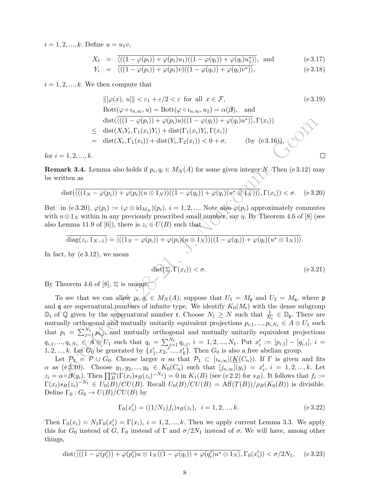$i = 1, 2, ..., k$ . Define  $u = u_1v$ ,

$$
X_i = \frac{\overline{\langle ((1 - \varphi(p_i)) + \varphi(p_i)u_1)((1 - \varphi(q_i)) + \varphi(q_i)u_1^*) \rangle}}{\langle \overline{\langle (1 - \varphi(p_i)) + \varphi(q_i)u_1^* \rangle}} \quad \text{and} \quad (e \, 3.17)
$$

$$
Y_i = \overline{\langle ((1 - \varphi(p_i)) + \varphi(p_i)v)((1 - \varphi(q_i)) + \varphi(q_i)v^*) \rangle}, \qquad (e.3.18)
$$

 $i = 1, 2, ..., k$ . We then compute that

$$
\|[\varphi(x), u]\| < \varepsilon_1 + \varepsilon/2 < \varepsilon \text{ for all } x \in \mathcal{F}, \qquad \text{(e 3.19)}
$$
\n
$$
\text{Bott}(\varphi \circ i_{n,\infty}, u) = \text{Bott}(\varphi \circ i_{n,\infty}, u_1) = \alpha(\beta), \text{ and}
$$
\n
$$
\text{dist}(\overline{\langle ((1 - \varphi(p_i)) + \varphi(p_i)u)((1 - \varphi(q_i)) + \varphi(q_i)u^* ) \rangle}, \Gamma(x_i))
$$
\n
$$
\leq \text{dist}(X_i Y_i, \Gamma_1(x_i) Y_i) + \text{dist}(\Gamma_1(x_i) Y_i, \Gamma(x_i))
$$
\n
$$
= \text{dist}(X_i, \Gamma_1(x_i)) + \text{dist}(Y_i, \Gamma_2(x_i)) < 0 + \sigma, \qquad \text{(by (e 3.16))}, \qquad \square
$$

for  $i = 1, 2, ..., k$ .

**Remark 3.4.** Lemma also holds if  $p_i, q_i \in M_N(A)$  for some given integer N. Then (e 3.12) may be written as

$$
\text{dist}(\overline{\langle ((1_N-\varphi(p_i))+\varphi(p_i)(u\otimes 1_N))((1-\varphi(q_i))+\varphi(q_i)(u^*\otimes 1_N))\rangle},\Gamma(x_i))<\sigma.
$$
 (e 3.20)

But in (e 3.20),  $\varphi(p_i) := (\varphi \otimes \mathrm{id}_{M_N})(p_i), i = 1, 2, \dots$ . Note also  $\varphi(p_i)$  approximately commutes with  $u \otimes 1_N$  within in any previously prescribed small number, say  $\eta$ . By Theorem 4.6 of [8] (see also Lemma 11.9 of [6]), there is  $z_i \in U(B)$  such that

$$
\overline{\text{diag}(z_i, 1_{N-1})} = \overline{\langle ((1_N - \varphi(p_i)) + \varphi(p_i)(u \otimes 1_N))((1 - \varphi(q_i)) + \varphi(q_i)(u^* \otimes 1_N)) \rangle}.
$$

In fact, by  $(e 3.12)$ , we mean

$$
\text{dist}(\overline{z_i}, \Gamma(x_i)) < \sigma. \tag{e.3.21}
$$

By Theorem 4.6 of [8],  $\overline{z_i}$  is unique.

 $\begin{array}{l} \text{dist}(\langle ((1-\varphi(p_i))+\varphi(p_i)u)( (1-\varphi(q_i))+\varphi(p_i)u^*), \Gamma(x_i) ) \\ \leq \text{ dist}(X_iY_i,\Gamma_1(x_i)Y_i) + \text{dist}( \Gamma_1(x_i)Y_i,\Gamma(x_i) ) \\qquad \ \ = \text{ dist}(X_i,\Gamma_1(x_i)) + \text{dist}(Y_i,\Gamma_2(x_i)) < 0 + \sigma, \qquad \text{(by (e3.16),} \\ 1,2,...,k. \end{array}$ To see that we can allow  $p_i, q_i \in M_N(A)$ , suppose that  $U_1 = M_{\mathfrak{p}}$  and  $U_2 = M_{\mathfrak{q}}$ , where  $\mathfrak{p}$ and q are supernatural numbers of infinite type. We identify  $K_0(M_r)$  with the dense subgroup  $\mathbb{D}_{\mathfrak{r}}$  of  $\mathbb Q$  given by the supernatural number  $\mathfrak{r}$ . Choose  $N_1 \geq N$  such that  $\frac{1}{N_1} \in \mathbb{D}_{\mathfrak{p}}$ . There are mutually orthogonal and mutually unitarily equivalent projections  $p_{i,1},...,p_{i,N_1} \in A \otimes U_1$  such that  $p_i = \sum_{j=1}^{N_1} p_{i,j}$ , and mutually orthogonal and mutually unitarily equivalent projections  $q_{i,1},..., q_{i,N_1} \in \mathcal{A} \otimes U_1$  such that  $q_i = \sum_{j=1}^{N_1} q_{i,j}, i = 1, 2, ..., N_1$ . Put  $x'_i := [p_{i,1}] - [q_{i,1}], i =$ 1, 2, ..., k. Let  $G_0$  be generated by  $\{x'_1, x_2, \ldots, x'_k\}$ . Then  $G_0$  is also a free abelian group.

Let  $\mathcal{P}_1 \neq \mathcal{P} \cup G_0$ . Choose larger n so that  $\mathcal{P}_1 \subset [i_{n,\infty}](\underline{K}(C_n))$ . If  $\Gamma$  is given and fits  $\alpha$  as (e3.10). Choose  $y_1, y_2, ..., y_k \in K_0(C_n)$  such that  $[j_{n,\infty}](y_i) = x'_i$ ,  $i = 1, 2, ..., k$ . Let  $z_i = \alpha \circ \beta(y_i)$ . Then  $\prod_{B}^{cu}(\Gamma(x_i)s_B(z_i)^{-N_1}) = 0$  in  $K_1(B)$  (see (e.2.2) for  $s_B$ ). It follows that  $f_i :=$  $\Gamma(x_i) s_B(z_i)^{-N_1} \in U_0(B)/CU(B)$ . Recall  $U_0(B)/CU(B) = \text{Aff}(T(B))/\rho_B(K_0(B))$  is divisible. Define  $\Gamma_0: G_0 \to U(B)/CU(B)$  by

$$
\Gamma_0(x_i') = ((1/N_1)f_i)s_B(z_i), \quad i = 1, 2, ..., k. \tag{e.3.22}
$$

Then  $\Gamma_0(x_i) = N_1 \Gamma_0(x'_i) = \Gamma(x_i), i = 1, 2, ..., k$ . Then we apply current Lemma 3.3. We apply this for  $G_0$  instead of G,  $\Gamma_0$  instead of  $\Gamma$  and  $\sigma/2N_1$  instead of  $\sigma$ . We will have, among other things,

$$
\text{dist}(\overline{\langle ((1-\varphi(p_i'))+\varphi(p_i')u\otimes 1_N((1-\varphi(q_i))+\varphi(q_i')u^*\otimes 1_N)},\Gamma_0(x_i'))<\sigma/2N_1,\quad (e.3.23)
$$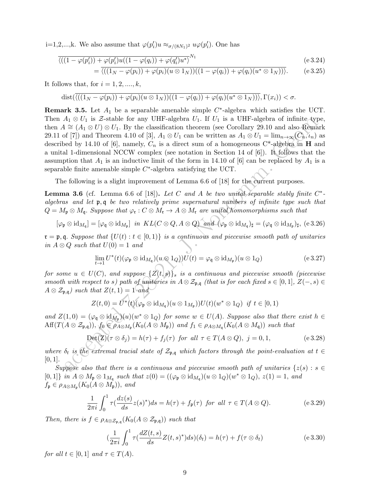i=1,2,...,k. We also assume that  $\varphi(p'_i)u \approx_{\sigma/(8N_1)^2} u\varphi(p'_i)$ . One has

$$
\frac{\langle ((1 - \varphi(p_i')) + \varphi(p_i')u((1 - \varphi(q_i)) + \varphi(q_i')u^*)^{N_1} \rangle}{\langle ((1 - \varphi(p_i')) + \varphi(q_i'))^2 \rangle} \tag{8.324}
$$

$$
= \overline{\langle ((1_N - \varphi(p_i)) + \varphi(p_i)(u \otimes 1_N))((1 - \varphi(q_i)) + \varphi(q_i)(u^* \otimes 1_N)) \rangle}. \qquad (e \, 3.25)
$$

It follows that, for  $i = 1, 2, \ldots, k$ ,

$$
\mathrm{dist}(\overline{\langle ((1_N-\varphi(p_i))+\varphi(p_i)(u\otimes 1_N))((1-\varphi(q_i))+\varphi(q_i)(u^*\otimes 1_N))\rangle},\Gamma(x_i))<\sigma.
$$

A<sub>1</sub>,  $\otimes$   $U$ , is  $\otimes$  stable for any UIF-algebra  $U$ . If  $U_1$  is a UIF-algebra of iminite Ayi<br>  $A_2 \otimes (A_1 \otimes U) \otimes U_1$ . By the classification theorem (see Corollary 29.10 and also Remain<br>  $\leq (A_1 \otimes U) \otimes U_1$ . By the **Remark 3.5.** Let  $A_1$  be a separable amenable simple  $C^*$ -algebra which satisfies the UCT. Then  $A_1 \otimes U_1$  is Z-stable for any UHF-algebra  $U_1$ . If  $U_1$  is a UHF-algebra of infinite type, then  $A \cong (A_1 \otimes U) \otimes U_1$ . By the classification theorem (see Corollary 29.10 and also Remark 29.11 of [7]) and Theorem 4.10 of [3],  $A_1 \otimes U_1$  can be written as  $A_1 \otimes U_1 = \lim_{n\to\infty} (C_n, \iota_n)$  as described by 14.10 of [6], namely,  $C_n$  is a direct sum of a homogeneous  $C^*$ -algebra in **H** and a unital 1-dimensional NCCW complex (see notation in Section 14 of [6]). It follows that the assumption that  $A_1$  is an inductive limit of the form in 14.10 of [6] can be replaced by  $A_1$  is a separable finite amenable simple  $C^*$ -algebra satisfying the UCT.

The following is a slight improvement of Lemma 6.6 of [18] for the current purposes.

**Lemma 3.6** (cf. Lemma 6.6 of [18]). Let C and A be two unital separable stably finite  $C^*$ algebras and let p, q be two relatively prime supernatural numbers of infinite type such that  $Q = M_{\mathfrak{p}} \otimes M_{\mathfrak{q}}$ . Suppose that  $\varphi_{\mathfrak{r}} : C \otimes M_{\mathfrak{r}} \to A \otimes M_{\mathfrak{r}}$  are unital homomorphisms such that

$$
[\varphi_{\mathfrak{p}} \otimes \mathrm{id}_{M_{\mathfrak{q}}}] = [\varphi_{\mathfrak{q}} \otimes \mathrm{id}_{M_{\mathfrak{p}}}] \text{ in } KL(C \otimes Q, A \otimes Q) \text{ and } (\varphi_{\mathfrak{p}} \otimes \mathrm{id}_{M_{\mathfrak{q}}})_{\sharp} = (\varphi_{\mathfrak{q}} \otimes \mathrm{id}_{M_{\mathfrak{p}}})_{\sharp}, (e \ 3.26)
$$

 $\mathfrak{r} = \mathfrak{p}, \mathfrak{q}$ . Suppose that  $\{U(t) : t \in [0,1)\}\$ is a continuous and piecewise smooth path of unitaries in  $A \otimes Q$  such that  $U(0) = 1$  and

$$
\lim_{t \to 1} U^*(t) (\varphi_{\mathfrak{p}} \otimes \mathrm{id}_{M_{\mathfrak{q}}}) (u \otimes 1_Q) U(t) = \varphi_{\mathfrak{q}} \otimes \mathrm{id}_{M_{\mathfrak{p}}}) (u \otimes 1_Q) \tag{e.3.27}
$$

for some  $u \in U(C)$ , and suppose  $\{Z(t,s)\}_{s \text{ is a continuous and piecewise smooth (piecewise) } }$ smooth with respect to s) path of unitaries in  $A \otimes \mathcal{Z}_{p,q}$  (that is for each fixed  $s \in [0,1], Z(-,s) \in$  $A \otimes \mathcal{Z}_{\mathfrak{p},\mathfrak{q}}$  such that  $Z(t,1) = 1$  and

$$
Z(t,0) = U^*(t)(\varphi_{\mathfrak{p}} \otimes \mathrm{id}_{M_{\mathfrak{q}}})(u \otimes 1_{M_{\mathfrak{p}}}))U(t)(w^* \otimes 1_Q) \text{ if } t \in [0,1)
$$

and  $Z(1,0) = (\varphi_{\mathfrak{q}} \otimes \mathrm{id}_{M_{\mathfrak{p}}})(u)(w^* \otimes 1_Q)$  for some  $w \in U(A)$ . Suppose also that there exist  $h \in$  $Aff(T(A \otimes \mathcal{Z}_{\mathfrak{p},\mathfrak{q}})), f_0 \in \rho_{A \otimes M_{\mathfrak{p}}}(K_0(A \otimes M_{\mathfrak{p}}))$  and  $f_1 \in \rho_{A \otimes M_{\mathfrak{q}}}(K_0(A \otimes M_{\mathfrak{q}}))$  such that

$$
Det(Z)(\tau \otimes \delta_j) = h(\tau) + f_j(\tau) \text{ for all } \tau \in T(A \otimes Q), \ j = 0, 1,
$$
 (e.3.28)

where  $\delta_t$  is the extremal tracial state of  $\mathcal{Z}_{p,q}$  which factors through the point-evaluation at  $t \in$  $[0, 1]$ .

Suppose also that there is a continuous and piecewise smooth path of unitaries  $\{z(s): s \in \mathbb{R}\}$  $[0,1]$  in  $A \otimes M_{\mathfrak{p}} \otimes 1_{M_{\mathfrak{q}}}$  such that  $z(0) = ((\varphi_{\mathfrak{p}} \otimes \mathrm{id}_{M_{\mathfrak{q}}})(u \otimes 1_Q)(w^* \otimes 1_Q), z(1) = 1,$  and  $f_{\mathfrak{p}} \in \rho_{A\otimes M_{\mathfrak{p}}}(K_0(A\otimes M_{\mathfrak{p}})),$  and

$$
\frac{1}{2\pi i} \int_0^1 \tau \left(\frac{dz(s)}{ds} z(s)^* \right) ds = h(\tau) + f_{\mathfrak{p}}(\tau) \text{ for all } \tau \in T(A \otimes Q). \tag{e.3.29}
$$

Then, there is  $f \in \rho_{A \otimes \mathcal{Z}_{\mathfrak{p},\mathfrak{q}}}(K_0(A \otimes \mathcal{Z}_{\mathfrak{p},\mathfrak{q}}))$  such that

$$
\left(\frac{1}{2\pi i} \int_0^1 \tau\left(\frac{dZ(t,s)}{ds} Z(t,s)^* \right) ds\right) (\delta_t) = h(\tau) + f(\tau \otimes \delta_t) \tag{e 3.30}
$$

for all  $t \in [0,1]$  and  $\tau \in T(A)$ .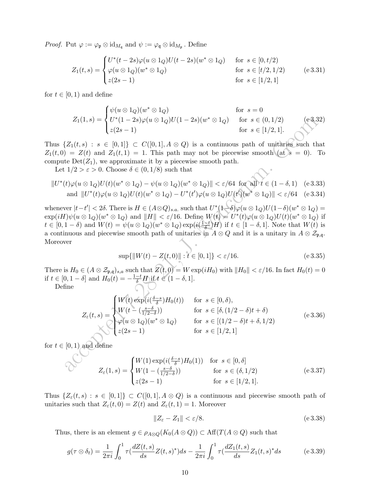*Proof.* Put  $\varphi := \varphi_{\mathfrak{p}} \otimes \mathrm{id}_{M_{\mathfrak{q}}}$  and  $\psi := \varphi_{\mathfrak{q}} \otimes \mathrm{id}_{M_{\mathfrak{p}}}$ . Define

$$
Z_1(t,s) = \begin{cases} U^*(t-2s)\varphi(u \otimes 1_Q)U(t-2s)(w^* \otimes 1_Q) & \text{for } s \in [0,t/2) \\ \varphi(u \otimes 1_Q)(w^* \otimes 1_Q) & \text{for } s \in [t/2,1/2) \\ z(2s-1) & \text{for } s \in [1/2,1] \end{cases} (e3.31)
$$

for  $t \in [0, 1)$  and define

$$
Z_1(1,s) = \begin{cases} \psi(u \otimes 1_Q)(w^* \otimes 1_Q) & \text{for } s = 0\\ U^*(1-2s)\varphi(u \otimes 1_Q)U(1-2s)(w^* \otimes 1_Q) & \text{for } s \in (0,1/2)\\ z(2s-1) & \text{for } s \in [1/2,1]. \end{cases}
$$
 (e3.32)

Thus  $\{Z_1(t,s) : s \in [0,1]\} \subset C([0,1], A \otimes Q)$  is a continuous path of unitaries such that  $Z_1(t,0) = Z(t)$  and  $Z_1(t,1) = 1$ . This path may not be piecewise smooth (at  $s = 0$ ). To compute  $Det(Z_1)$ , we approximate it by a piecewise smooth path.

Let  $1/2 > \varepsilon > 0$ . Choose  $\delta \in (0, 1/8)$  such that

$$
||U^*(t)\varphi(u\otimes 1_Q)U(t)(w^*\otimes 1_Q) - \psi(u\otimes 1_Q)(w^*\otimes 1_Q)|| < \varepsilon/64 \text{ for all } t \in (1-\delta,1) \quad \text{(e 3.33)}
$$
  
and 
$$
||U^*(t)\varphi(u\otimes 1_Q)U(t)(w^*\otimes 1_Q) - U^*(t')\varphi(u\otimes 1_Q)U(t')\overline{(w^*\otimes 1_Q)||} < \varepsilon/64 \quad \text{(e 3.34)}
$$

 $Z_1(1,s) = \begin{cases} U^*(1-2s)\varphi(u\otimes 1_Q)U(1-2s)(w^*\otimes 1_Q) & \text{for } s\in [1/2,1].\\ z(2s-1) & \text{for } s\in [1/2,1]. \end{cases}$ <br>  $\{Z_1(t,s): s\in [0,1]\} \subset C([0,1], A\otimes Q)$  is a continuous path of unitaries such that<br>  $\{Z_1(t,s): s>0$ . Choose  $\delta\in [0,1/8)$  such that whenever  $|t-t'| < 2\delta$ . There is  $H \in (A \otimes Q)_{s.a.}$  such that  $U^*(1-\delta)\varphi(u \otimes 1_Q)U(1-\delta)(w^* \otimes 1_Q) =$  $\exp(iH)\psi(u\otimes 1_Q)(w^*\otimes 1_Q)$  and  $||H|| < \varepsilon/16$ . Define  $W(t) = U^*(t)\varphi(u\otimes 1_Q)U(t)(w^*\otimes 1_Q)$  if  $t \in [0, 1-\delta)$  and  $W(t) = \psi(u \otimes 1_Q)(w^* \otimes 1_Q) \exp\left(i\frac{1-t}{\delta}\right)$  $(\frac{d}{\delta})H$  if  $t \in [1-\delta,1]$ . Note that  $W(t)$  is a continuous and piecewise smooth path of unitaries in  $A \otimes Q$  and it is a unitary in  $A \otimes \mathcal{Z}_{p,q}$ . Moreover

$$
\sup\{\|W(t) - Z(t,0)\| : t \in [0,1]\} < \varepsilon/16. \tag{e.3.35}
$$

There is  $H_0 \in (A \otimes \mathcal{Z}_{\mathfrak{p},\mathfrak{q}})_{s,a}$  such that  $\mathbb{Z}(t,0) = W \exp(iH_0)$  with  $||H_0|| < \varepsilon/16$ . In fact  $H_0(t) = 0$ if  $t \in [0, 1 - \delta]$  and  $H_0(t) = -\frac{1-t}{\delta}H$  if  $t \in (1 - \delta, 1]$ .

Define

$$
Z_{\varepsilon}(t,s) = \begin{cases} W(t) \exp\left(i\left(\frac{\delta-s}{\delta}\right)H_0(t)\right) & \text{for } s \in [0,\delta), \\ W(t - \left(\frac{s-\delta}{1/2-\delta}\right)) & \text{for } s \in [\delta, (1/2-\delta)t+\delta) \\ \varphi(u \otimes 1_Q)(w^* \otimes 1_Q) & \text{for } s \in [(1/2-\delta)t+\delta, 1/2) \\ z(2s-1) & \text{for } s \in [1/2, 1] \end{cases} \tag{e.3.36}
$$

for  $t \in [0,1)$  and define

$$
Z_{\varepsilon}(1,s) = \begin{cases} W(1) \exp(i(\frac{\delta - s}{\delta})H_0(1)) & \text{for } s \in [0, \delta] \\ W(1 - (\frac{s - \delta}{1/2 - \delta})) & \text{for } s \in (\delta, 1/2) \\ z(2s - 1) & \text{for } s \in [1/2, 1]. \end{cases}
$$
 (e 3.37)

Thus  $\{Z_{\varepsilon}(t,s): s \in [0,1]\} \subset C([0,1], A \otimes Q)$  is a continuous and piecewise smooth path of unitaries such that  $Z_{\varepsilon}(t,0) = Z(t)$  and  $Z_{\varepsilon}(t,1) = 1$ . Moreover

$$
||Z_{\varepsilon} - Z_1|| < \varepsilon/8. \tag{e.3.38}
$$

Thus, there is an element  $g \in \rho_{A\otimes Q}(K_0(A\otimes Q)) \subset \text{Aff}(T(A\otimes Q))$  such that

$$
g(\tau \otimes \delta_t) = \frac{1}{2\pi i} \int_0^1 \tau(\frac{dZ(t,s)}{ds} Z(t,s)^*) ds - \frac{1}{2\pi i} \int_0^1 \tau(\frac{dZ_1(t,s)}{ds} Z_1(t,s)^* ds \tag{e 3.39}
$$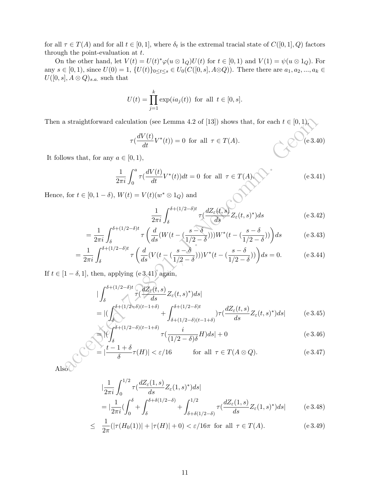for all  $\tau \in T(A)$  and for all  $t \in [0,1]$ , where  $\delta_t$  is the extremal tracial state of  $C([0,1], Q)$  factors through the point-evaluation at  $t$ .

On the other hand, let  $V(t) = U(t)^* \varphi(u \otimes 1_Q) U(t)$  for  $t \in [0,1)$  and  $V(1) = \psi(u \otimes 1_Q)$ . For any  $s \in [0, 1)$ , since  $U(0) = 1$ ,  $\{U(t)\}_{0 \le t \le s} \in U_0(C([0, s], A \otimes Q))$ . There there are  $a_1, a_2, ..., a_k \in$  $U([0, s], A \otimes Q)_{s.a.}$  such that

$$
U(t) = \prod_{j=1}^{k} \exp(ia_j(t)) \text{ for all } t \in [0, s].
$$

Then a straightforward calculation (see Lemma 4.2 of [13]) shows that, for each  $t \in [0, 1)$ ,

$$
\tau(\frac{dV(t)}{dt}V^*(t)) = 0 \text{ for all } \tau \in T(A).
$$
 (e.3.40)

It follows that, for any  $a \in [0, 1)$ ,

$$
\frac{1}{2\pi i} \int_0^a \tau \left(\frac{dV(t)}{dt} V^*(t)\right) dt = 0 \quad \text{for all} \quad \tau \in T(A) \quad \text{(e 3.41)}
$$

Hence, for  $t \in [0, 1-\delta)$ ,  $W(t) = V(t)(w^* \otimes 1_Q)$  and

$$
\frac{1}{2\pi i} \int_{\delta}^{\delta + (1/2 - \delta)t} \tau \left( \frac{dZ_{\varepsilon}(t, s)}{ds} Z_{\varepsilon}(t, s)^{*} \right) ds \tag{e 3.42}
$$

$$
=\frac{1}{2\pi i}\int_{\delta}^{\delta+(1/2-\delta)t}\tau\left(\frac{d}{ds}(W(t-(\frac{s-\delta}{1/2-\delta})))W^*(t-(\frac{s-\delta}{1/2-\delta}))\right)ds\tag{e.3.43}
$$

$$
=\frac{1}{2\pi i}\int_{\delta}^{\delta+(1/2-\delta)t}\tau\left(\frac{d}{ds}(V(t-(\frac{s-\delta}{1/2-\delta})))V^*(t-(\frac{s-\delta}{1/2-\delta}))\right)ds=0.\tag{e.3.44}
$$

If  $t \in [1 - \delta, 1]$ , then, applying  $(e3.41)$  again,

a straightforward calculation (see Lemma 4.2 of [13]) shows that, for each 
$$
t \in [0, 1)
$$
,  
\n
$$
\tau(\frac{dV(t)}{dt}V^*(t)) = 0 \text{ for all } \tau \in T(A).
$$
\n(6.3.40)  
\nrows that, for any  $a \in [0, 1)$ ,  
\n
$$
\frac{1}{2\pi i} \int_0^a \tau(\frac{dV(t)}{dt}V^*(t))dt = 0 \text{ for all } \tau \in T(A).
$$
\n(6.3.41)  
\nfor  $t \in [0, 1 - \delta)$ ,  $W(t) = V(t)(w^* \otimes 1_Q)$  and  
\n
$$
\frac{1}{2\pi i} \int_{\delta}^{\delta + (1/2 - \delta)t} \tau(\frac{d}{ds}(W(t - (\frac{s - \delta}{1/2 - \delta})))W^*(t - (\frac{s - \delta}{1/2 - \delta})))\Big)ds
$$
\n(6.3.42)  
\n
$$
= \frac{1}{2\pi i} \int_{\delta}^{\delta + (1/2 - \delta)t} \tau(\frac{d}{ds}(W(t - (\frac{s - \delta}{1/2 - \delta})))W^*(t - (\frac{s - \delta}{1/2 - \delta}))\Big)ds = 0.
$$
\n(6.3.43)  
\n
$$
1 - \delta, 1]
$$
, then, applying (6.3.41) again,  
\n
$$
|\int_{\delta}^{\delta + (1/2 - \delta)t} \tau(\frac{dZ_{\epsilon}(t, s)}{ds} Z_{\epsilon}(t, s)^* ds)|ds|
$$
\n
$$
= |(\int_{\delta}^{\delta + (1/2 - \delta)t} \tau(\frac{dZ_{\epsilon}(t, s)}{ds} Z_{\epsilon}(t, s)^*) ds| + \int_{\delta + (1/2 - \delta)(t - 1 + \delta)}^{\delta + (1/2 - \delta)t} \tau(\frac{dZ_{\epsilon}(t, s)}{ds} Z_{\epsilon}(t, s)^*) ds| + 0
$$
\n(6.3.45)  
\n
$$
\times |\overrightarrow{V}|_{\delta}^{\delta + (1/2 - \delta)(t - 1 + \delta)} + \int_{\delta + (1/2 - \delta)(t - 1 + \delta)}^{\delta + (1/2 - \delta)t} \tau(\frac{dZ_{\epsilon}(t, s)}{ds} Z_{\epsilon}(t, s)^*) ds| +
$$

$$
\tau\left(\frac{i}{(1/2-\delta)\delta}H\right)ds|+0\tag{e.3.46}
$$

$$
\epsilon = \left| \frac{t - 1 + \delta}{\delta} \tau(H) \right| < \varepsilon / 16 \qquad \text{for all } \tau \in T(A \otimes Q). \tag{e.3.47}
$$

Also<sup>O</sup>

$$
\begin{split} & \left| \frac{1}{2\pi i} \int_0^{1/2} \tau \left( \frac{dZ_\varepsilon(1,s)}{ds} Z_\varepsilon(1,s)^* \right) ds \right| \\ &= \left| \frac{1}{2\pi i} \left( \int_0^\delta + \int_\delta^{\delta + \delta(1/2 - \delta)} + \int_{\delta + \delta(1/2 - \delta)}^{1/2} \tau \left( \frac{dZ_\varepsilon(1,s)}{ds} Z_\varepsilon(1,s)^* \right) ds \right| \end{split} \tag{e.3.48}
$$

$$
\leq \frac{1}{2\pi} (|\tau(H_0(1))| + |\tau(H)| + 0) < \varepsilon / 16\pi \text{ for all } \tau \in T(A). \tag{e.3.49}
$$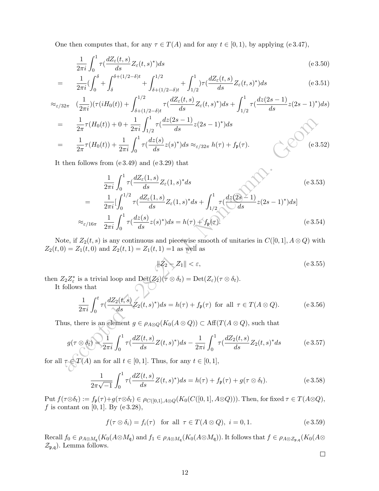One then computes that, for any  $\tau \in T(A)$  and for any  $t \in [0,1)$ , by applying (e 3.47),

$$
\frac{1}{2\pi i} \int_0^1 \tau \left(\frac{dZ_\varepsilon(t,s)}{ds} Z_\varepsilon(t,s)^*\right) ds\tag{e.3.50}
$$

$$
= \frac{1}{2\pi i} \left( \int_0^\delta + \int_\delta^{\delta + (1/2 - \delta)t} + \int_{\delta + (1/2 - \delta)t}^{1/2} + \int_{1/2}^1 \right) \tau \left( \frac{dZ_\varepsilon(t, s)}{ds} Z_\varepsilon(t, s)^* \right) ds \tag{e 3.51}
$$

$$
\approx_{\varepsilon/32\pi} \left(\frac{1}{2\pi i}\right) \left(\tau (iH_0(t)) + \int_{\delta + (1/2 - \delta)t}^{1/2} \tau \left(\frac{dZ_{\varepsilon}(t, s)}{ds} Z_{\varepsilon}(t, s)^{*}\right) ds + \int_{1/2}^{1} \tau \left(\frac{dz(2s - 1)}{ds} z(2s - 1)^{*}\right) ds\right)
$$
\n
$$
= \frac{1}{2\pi} \tau (H_0(t)) + 0 + \frac{1}{2\pi i} \int_{1/2}^{1} \tau \left(\frac{dz(2s - 1)}{ds} z(2s - 1)^{*}\right) ds
$$
\n
$$
= \frac{1}{2\pi} \tau (H_0(t)) + \frac{1}{2\pi i} \int_{0}^{1} \tau \left(\frac{dz(s)}{ds} z(s)^{*}\right) ds \approx_{\varepsilon/32\pi} h(\tau) + f_{\mathfrak{p}}(\tau). \tag{e3.52}
$$

It then follows from (e 3.49) and (e 3.29) that

$$
\frac{1}{2\pi}\tau(H_0(t)) + 0 + \frac{1}{2\pi i}\int_{1/2}^{1} \tau(\frac{dz(2s-1)}{ds}z(2s-1)^*)ds
$$
\n
$$
\frac{1}{2\pi}\tau(H_0(t)) + \frac{1}{2\pi i}\int_{0}^{1} \tau(\frac{dz(s)}{ds}z(s)^*)ds \approx_{\varepsilon/32\pi} h(\tau) + f_p(\tau).
$$
\n(e.3.52)

\nthen follows from (e.3.49) and (e.3.29) that

\n
$$
\frac{1}{2\pi i}\int_{0}^{1} \tau(\frac{dZ_{\varepsilon}(1,s)}{ds}Z_{\varepsilon}(1,s)^*ds
$$
\n
$$
= \frac{1}{2\pi i}[\int_{0}^{1/2} \tau(\frac{dZ_{\varepsilon}(1,s)}{ds}Z_{\varepsilon}(1,s)^*ds + \int_{1/2}^{1} \tau(\frac{dz(2s-1)}{ds}z(2s-1)^*)ds]
$$
\n
$$
\approx_{\varepsilon/16\pi} \frac{1}{2\pi i}\int_{0}^{1} \tau(\frac{dz(s)}{ds}z(s)^*)ds = h(\tau) + f_p(\tau).
$$
\n(e.3.54)

\nthe, if  $Z_2(t,s)$  is any continuous and piecewise smooth of unitaries in  $C([0,1], A \otimes Q)$  with

\n
$$
= Z_1(t,0) \text{ and } Z_2(t,1) = Z_1(t,1) = 1 \text{ as well as}
$$
\n
$$
||Z_2|| < \varepsilon,
$$
\n
$$
||Z_2|| \leq \varepsilon,
$$
\n(e.3.55)

\n2Z<sup>\*</sup><sub>z</sub> is a trivial loop and Def(Z<sub>2</sub>)( $\tau \otimes \delta_t$ ) = Det(Z<sub>2</sub>)( $\tau \otimes \delta_t$ ).

\nfollows that

\n
$$
\frac{1}{2\pi i}\int_{0}^{t} \tau(\frac{dz(1,s)}{ds}Z_2(t,s)^*)ds = h(\tau) + f_p(\tau) \text{ for all } \tau \in T(A \otimes Q).
$$
\n(e.3.56)

\nus, there is an element  $g \in \rho_{A \otimes Q}(K_0(A \$ 

Note, if  $Z_2(t, s)$  is any continuous and piecewise smooth of unitaries in  $C([0, 1], A \otimes Q)$  with  $Z_2(t, 0) = Z_1(t, 0)$  and  $Z_2(t, 1) = Z_1(t, 1) = 1$  as well as

$$
||Z_2 - Z_1|| < \varepsilon,\tag{e.3.55}
$$

then  $Z_2 Z_{\varepsilon}^*$  is a trivial loop and  $\mathrm{Det}(Z_2)(\tau \otimes \delta_t) = \mathrm{Det}(Z_{\varepsilon})(\tau \otimes \delta_t)$ .

It follows that

$$
\frac{1}{2\pi i} \int_0^t \tau \left(\frac{dZ_2(t,s)}{ds} Z_2(t,s)^* \right) ds = h(\tau) + f_{\mathfrak{p}}(\tau) \text{ for all } \tau \in T(A \otimes Q). \tag{e.3.56}
$$

Thus, there is an element  $g \in \rho_{A\otimes Q}(K_0(A\otimes Q)) \subset \text{Aff}(T(A\otimes Q))$ , such that

$$
g(\tau \otimes \delta_t) = \frac{1}{2\pi i} \int_0^1 \tau(\frac{dZ(t,s)}{ds} Z(t,s)^*) ds - \frac{1}{2\pi i} \int_0^1 \tau(\frac{dZ_2(t,s)}{ds} Z_2(t,s)^* ds \qquad (e \, 3.57)
$$

for all  $\tau \in \mathcal{I}(A)$  an for all  $t \in [0, 1]$ . Thus, for any  $t \in [0, 1]$ ,

$$
\frac{1}{2\pi\sqrt{-1}}\int_0^1 \tau(\frac{dZ(t,s)}{ds}Z(t,s)^*)ds = h(\tau) + f_{\mathfrak{p}}(\tau) + g(\tau \otimes \delta_t).
$$
 (e 3.58)

Put  $f(\tau \otimes \delta_t) := f_{\mathfrak{p}}(\tau) + g(\tau \otimes \delta_t) \in \rho_{C([0,1], A \otimes Q)}(K_0(C([0,1], A \otimes Q))).$  Then, for fixed  $\tau \in T(A \otimes Q),$ f is contant on [0, 1]. By (e 3.28),

$$
f(\tau \otimes \delta_i) = f_i(\tau) \quad \text{for all } \tau \in T(A \otimes Q), \ i = 0, 1. \tag{e.3.59}
$$

 $\text{Recall } f_0 \in \rho_{A\otimes M_{\mathfrak{q}}}(K_0(A\otimes M_{\mathfrak{q}}) \text{ and } f_1 \in \rho_{A\otimes M_{\mathfrak{q}}}(K_0(A\otimes M_{\mathfrak{q}})).$  It follows that  $f\in \rho_{A\otimes \mathcal{Z}_{\mathfrak{p},\mathfrak{q}}}(K_0(A\otimes M_{\mathfrak{q}}))$  $\mathcal{Z}_{\mathfrak{p},\mathfrak{q}}$ ). Lemma follows.

$$
\Box
$$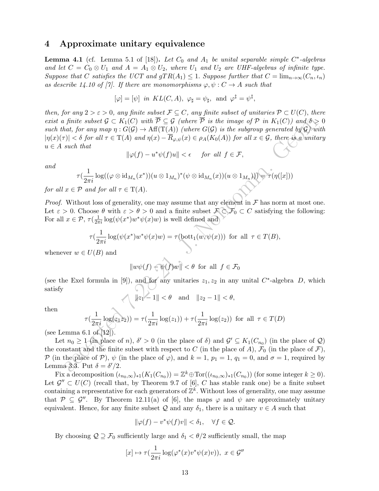### 4 Approximate unitary equivalence

**Lemma 4.1** (cf. Lemma 5.1 of [18]). Let  $C_0$  and  $A_1$  be unital separable simple  $C^*$ -algebras and let  $C = C_0 \otimes U_1$  and  $A = A_1 \otimes U_2$ , where  $U_1$  and  $U_2$  are UHF-algebras of infinite type. Suppose that C satisfies the UCT and  $qTR(A_1) \leq 1$ . Suppose further that  $C = \lim_{n \to \infty} (C_n, \iota_n)$ as describe 14.10 of [7]. If there are monomorphisms  $\varphi, \psi : C \to A$  such that

$$
[\varphi] = [\psi]
$$
 in  $KL(C, A)$ ,  $\varphi_{\sharp} = \psi_{\sharp}$ , and  $\varphi^{\ddagger} = \psi^{\ddagger}$ ,

 $\begin{array}{l} \mbox{\small{finite subset $G\subset K_1(C)$ with $P\subseteq G$ (where $P$ is the image of $P$ in $K_1(C)$) and $\delta\geq 1$},\\ \mbox{\small{that $for any map $1:\mathcal{G}(G)$ and $f^*(T_1)$ (where $G(G)$ is the subgroup generated by $P$ and $G$ are the $p$ and $p$ and $p$ and $p$ are the $p$ and $p$ and $p$ are the $p$ and $p$ and $p$ are the $p$ and $p$ and $p$ are the $p$ and $p$ and $p$ are the $p$ and $p$ and $p$ are the $p$ and $p$ and $p$ are the $p$ and $p$ and $p$ are the$ then, for any  $2 > \varepsilon > 0$ , any finite subset  $\mathcal{F} \subseteq C$ , any finite subset of unitaries  $\mathcal{P} \subset U(C)$ , there exist a finite subset  $\mathcal{G} \subset K_1(C)$  with  $\overline{\mathcal{P}} \subseteq \mathcal{G}$  (where  $\overline{\mathcal{P}}$  is the image of  $\mathcal{P}$  in  $K_1(C)$ ) and  $\delta > 0$ such that, for any map  $\eta: G(\mathcal{G}) \to \text{Aff}(T(A))$  (where  $G(\mathcal{G})$  is the subgroup generated by  $\mathcal{G}$ ) with  $|\eta(x)(\tau)| < \delta$  for all  $\tau \in T(A)$  and  $\eta(x) - \overline{R}_{\varphi,\psi}(x) \in \rho_A(K_0(A))$  for all  $x \in \mathcal{G}$ , there is a unitary  $u \in A$  such that

$$
\|\varphi(f) - u^*\psi(f)u\| < \epsilon \quad \text{ for all } f \in \mathcal{F},
$$

and

$$
\tau(\frac{1}{2\pi i}\log((\varphi\otimes \mathrm{id}_{M_n}(x^*))(u\otimes 1_{M_n})^*(\psi\otimes \mathrm{id}_{M_n}(x))(u\otimes 1_{M_n})))\bigl(\tau(\eta([x]))
$$

for all  $x \in \mathcal{P}$  and for all  $\tau \in \mathrm{T}(A)$ .

*Proof.* Without loss of generality, one may assume that any element in  $\mathcal F$  has norm at most one. Let  $\varepsilon > 0$ . Choose  $\theta$  with  $\varepsilon > \theta > 0$  and a finite subset  $\mathcal{F} \subset \mathcal{F}_0 \subset C$  satisfying the following: For all  $x \in \mathcal{P}$ ,  $\tau(\frac{1}{2\pi i} \log(\psi(x^*)w^*\psi(x)w)$  is well defined and

$$
\tau(\frac{1}{2\pi i}\log(\psi(x^*)w^*\psi(x)w)=\tau(\mathrm{bott}_1(w,\psi(x)))\ \text{ for all }\ \tau\in T(B),
$$

whenever  $w \in U(B)$  and

$$
||w\psi(f) - \psi(f)w|| < \theta \text{ for all } f \in \mathcal{F}_0
$$

(see the Exel formula in [9]), and for any unitaries  $z_1, z_2$  in any unital C<sup>\*</sup>-algebra D, which satisfy

$$
\|\|z_1\| - 1\| < \theta
$$
 and  $\|z_2 - 1\| < \theta$ ,

then

$$
\tau(\frac{1}{2\pi i}\log(z_1 z_2)) = \tau(\frac{1}{2\pi i}\log(z_1)) + \tau(\frac{1}{2\pi i}\log(z_2)) \text{ for all } \tau \in T(D)
$$

(see Lemma 6.1 of  $[12]$ ).

Let  $n_0 \geq 1$  (in place of n),  $\delta' > 0$  (in the place of  $\delta$ ) and  $\mathcal{G}' \subseteq K_1(C_{n_0})$  (in the place of  $\mathcal{Q}$ ) the constant and the finite subset with respect to C (in the place of A),  $\mathcal{F}_0$  (in the place of  $\mathcal{F}$ ), P (in the place of P),  $\psi$  (in the place of  $\varphi$ ), and  $k = 1$ ,  $p_1 = 1$ ,  $q_1 = 0$ , and  $\sigma = 1$ , required by Lemma 3.3. Put  $\delta = \delta'/2$ .

Fix a decomposition  $(\iota_{n_0,\infty})_{*1}(K_1(C_{n_0})) = \mathbb{Z}^k \oplus \text{Tor}((\iota_{n_0,\infty})_{*1}(C_{n_0}))$  (for some integer  $k \geq 0$ ). Let  $\mathcal{G}'' \subset U(C)$  (recall that, by Theorem 9.7 of [6], C has stable rank one) be a finite subset containing a representative for each generators of  $\mathbb{Z}^k$ . Without loss of generality, one may assume that  $\mathcal{P} \subseteq \mathcal{G}''$ . By Theorem 12.11(a) of [6], the maps  $\varphi$  and  $\psi$  are approximately unitary equivalent. Hence, for any finite subset Q and any  $\delta_1$ , there is a unitary  $v \in A$  such that

$$
\|\varphi(f) - v^*\psi(f)v\| < \delta_1, \quad \forall f \in \mathcal{Q}.
$$

By choosing  $\mathcal{Q} \supseteq \mathcal{F}_0$  sufficiently large and  $\delta_1 < \theta/2$  sufficiently small, the map

$$
[x] \mapsto \tau(\frac{1}{2\pi i}\log(\varphi^*(x)v^*\psi(x)v)), \ x \in \mathcal{G}''
$$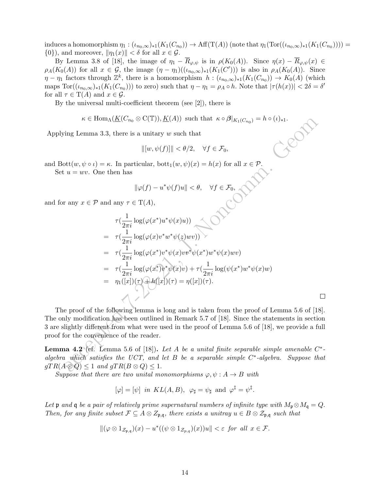induces a homomorphism  $\eta_1: (\iota_{n_0,\infty})_{*1}(K_1(C_{n_0})) \to \text{Aff}(T(A))$  (note that  $\eta_1(\text{Tor}((\iota_{n_0,\infty})_{*1}(K_1(C_{n_0}))))$ )  $\{0\}$ , and moreover,  $\|\eta_1(x)\| < \delta$  for all  $x \in \mathcal{G}$ .

By Lemma 3.8 of [18], the image of  $\eta_1 - \overline{R}_{\varphi,\psi}$  is in  $\rho(K_0(A))$ . Since  $\eta(x) - \overline{R}_{\varphi,\psi}(x) \in$  $\rho_A(K_0(A))$  for all  $x \in \mathcal{G}$ , the image  $(\eta - \eta_1)((\iota_{n_0,\infty})_{*1}(K_1(C')))$  is also in  $\rho_A(K_0(A))$ . Since  $\eta - \eta_1$  factors through  $\mathbb{Z}^k$ , there is a homomorphism  $h : (\iota_{n_0,\infty})_{*1}(K_1(C_{n_0})) \to K_0(A)$  (which maps  $\text{Tor}((\iota_{n_0,\infty})_{*1}(K_1(C_{n_0})))$  to zero) such that  $\eta-\eta_1=\rho_A\circ h$ . Note that  $|\tau(h(x))|< 2\delta=\delta'$ for all  $\tau \in T(A)$  and  $x \in \mathcal{G}$ .

By the universal multi-coefficient theorem (see [2]), there is

$$
\kappa \in \text{Hom}_{\Lambda}(\underline{K}(C_{n_0} \otimes C(\mathbb{T})), \underline{K}(A)) \text{ such that } \kappa \circ \beta|_{K_1(C_{n_0})} = h \circ (\iota)_{*1}.
$$

Applying Lemma 3.3, there is a unitary  $w$  such that

$$
\| [w, \psi(f)] \| < \theta/2, \quad \forall f \in \mathcal{F}_0,
$$

and Bott $(w, \psi \circ \iota) = \kappa$ . In particular, bott<sub>1</sub> $(w, \psi)(x) = h(x)$  for all  $x \in \mathcal{P}$ .<br>Set  $u = wv$ . One then has<br> $\|\varphi(f) - u^*\psi(f)u\| < \theta$ 

Set  $u = wv$ . One then has

$$
\|\varphi(f) - u^*\psi(f)u\| < \theta, \quad \forall f \in \mathcal{F}_0,
$$

and for any  $x \in \mathcal{P}$  and any  $\tau \in \mathrm{T}(A)$ ,

$$
\kappa \in \text{Hom}_{A}(\underline{K}(C_{n_{0}} \otimes C(T)), \underline{K}(A)) \text{ such that } \kappa \circ \beta|_{K_{1}(C_{n_{0}})} = h \circ (t)_{*}.
$$
\n
$$
\text{Using Lemma 3.3, there is a unitary } w \text{ such that}
$$
\n
$$
\| [w, \psi(f)] \| < \theta/2, \quad \forall f \in \mathcal{F}_{0},
$$
\n
$$
u = wv. \text{ One then has}
$$
\n
$$
\| \varphi(f) - u^{*}\psi(f)u \| < \theta, \quad \forall f \in \mathcal{F}_{0},
$$
\n
$$
\text{or any } x \in \mathcal{P} \text{ and any } \tau \in \mathcal{T}(A),
$$
\n
$$
\tau(\frac{1}{2\pi i} \log(\varphi(x^{*})u^{*}\psi(x)u))
$$
\n
$$
= \tau(\frac{1}{2\pi i} \log(\varphi(x^{*})v^{*}\psi(x)uv))
$$
\n
$$
= \tau(\frac{1}{2\pi i} \log(\varphi(x^{*}))^{*}\psi(x)uv + \tau(\frac{1}{2\pi i} \log(\psi(x^{*})w^{*}\psi(x)uv)
$$
\n
$$
= \tau(\frac{1}{2\pi i} \log(\varphi(x^{*}))^{*}\psi(x)v) + \tau(\frac{1}{2\pi i} \log(\psi(x^{*})w^{*}\psi(x)uv)
$$
\n
$$
= \eta_{1}(x|)(\tau) + h(x) + \tau(\frac{1}{2\pi i} \log(\psi(x^{*})w^{*}\psi(x)uv)
$$
\n
$$
= \eta_{1}(x|)(\tau) + h(x) + \tau(\frac{1}{2\pi i} \log(\psi(x^{*})w^{*}\psi(x)uv)
$$
\n
$$
= \eta_{1}(x|)(\tau) + h(x) + \tau(\frac{1}{2\pi i} \log(\psi(x^{*})w^{*}\psi(x)uv)
$$
\n
$$
= \eta_{1}(x|)(\tau) + h(x) + \tau(\frac{1}{2\pi i} \log(\psi(x^{*})w^{*}\psi(x)uv)
$$
\n
$$
= \eta_{1}(x|)(\tau) + h(x) + \tau(\frac{1}{2\pi i} \log(\psi(x^{*})w^{*}\psi(x)uv)
$$
\n
$$
= \eta_{1
$$

 $\Box$ 

The proof of the following lemma is long and is taken from the proof of Lemma 5.6 of [18]. The only modification has been outlined in Remark 5.7 of [18]. Since the statements in section 3 are slightly different from what were used in the proof of Lemma 5.6 of [18], we provide a full proof for the convenience of the reader.

**Lemma 4.2** (cf. Lemma 5.6 of [18]). Let A be a unital finite separable simple amenable  $C^*$ algebra which satisfies the UCT, and let  $B$  be a separable simple  $C^*$ -algebra. Suppose that  $gTR(A \otimes Q) \leq 1$  and  $gTR(B \otimes Q) \leq 1$ .

Suppose that there are two unital monomorphisms  $\varphi, \psi : A \to B$  with

$$
[\varphi]=[\psi]
$$
 in  $KL(A, B)$ ,  $\varphi_{\sharp}=\psi_{\sharp}$  and  $\varphi^{\ddagger}=\psi^{\ddagger}$ .

Let p and q be a pair of relatively prime supernatural numbers of infinite type with  $M_p \otimes M_q = Q$ . Then, for any finite subset  $\mathcal{F} \subseteq A \otimes Z_{\mathfrak{p},\mathfrak{q}}$ , there exists a unitray  $u \in B \otimes \mathcal{Z}_{\mathfrak{p},\mathfrak{q}}$  such that

$$
\|(\varphi \otimes 1_{\mathcal{Z}_{p,q}})(x) - u^*((\psi \otimes 1_{\mathcal{Z}_{p,q}})(x))u\| < \varepsilon \text{ for all } x \in \mathcal{F}.
$$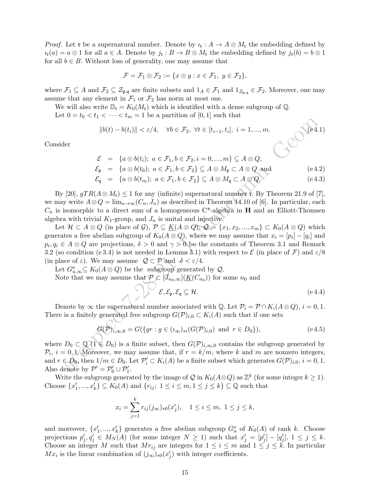*Proof.* Let **r** be a supernatural number. Denote by  $i_{\mathbf{r}}: A \to A \otimes M_{\mathbf{r}}$  the embedding defined by  $u_{\mathfrak{r}}(a) = a \otimes 1$  for all  $a \in A$ . Denote by  $j_{\mathfrak{r}} : B \to B \otimes M_{\mathfrak{r}}$  the embedding defined by  $j_{\mathfrak{r}}(b) = b \otimes 1$ for all  $b \in B$ . Without loss of generality, one may assume that

$$
\mathcal{F} = \mathcal{F}_1 \otimes \mathcal{F}_2 := \{ x \otimes y : x \in \mathcal{F}_1, y \in \mathcal{F}_2 \},
$$

where  $\mathcal{F}_1 \subseteq A$  and  $\mathcal{F}_2 \subseteq \mathcal{Z}_{\mathfrak{p},\mathfrak{q}}$  are finite subsets and  $1_A \in \mathcal{F}_1$  and  $1_{\mathcal{Z}_{\mathfrak{p},\mathfrak{q}}} \in \mathcal{F}_2$ . Moreover, one may assume that any element in  $\mathcal{F}_1$  or  $\mathcal{F}_2$  has norm at most one.

We will also write  $\mathbb{D}_{\mathfrak{r}} = K_0(M_{\mathfrak{r}})$  which is identified with a dense subgroup of Q.

Let  $0 = t_0 < t_1 < \cdots < t_m = 1$  be a partition of  $[0, 1]$  such that

$$
||b(t) - b(ti)|| < \varepsilon/4, \quad \forall b \in \mathcal{F}_2, \ \forall t \in [t_{i-1}, t_i], \ i = 1, ..., m.
$$
 (e4.1)

Consider

$$
\mathcal{E} = \{a \otimes b(t_i); a \in \mathcal{F}_1, b \in \mathcal{F}_2, i = 0, ..., m\} \subseteq A \otimes Q,
$$
  

$$
\mathcal{E}_{\mathfrak{p}} = \{a \otimes b(t_0); a \in \mathcal{F}_1, b \in \mathcal{F}_2\} \subseteq A \otimes M_{\mathfrak{p}} \subset A \otimes Q \text{ and } (e 4.2)
$$

$$
C_1 = \{a \otimes b(a), a \in b_1, b \in b_2\} \subseteq A \otimes A_1 \cup B \subseteq A_2 \otimes A_3 \cup A_4 \in A_5 \}
$$

$$
\mathcal{E}_{\mathfrak{q}} = \{ a \otimes b(t_m); \ a \in \mathcal{F}_1, b \in \mathcal{F}_2 \} \subseteq A \otimes M_{\mathfrak{q}} \subset A \otimes Q. \tag{e.4.3}
$$

By [20],  $gTR(A \otimes M_{\mathfrak{r}}) \leq 1$  for any (infinite) supernatural number  $\mathfrak{r}$ . By Theorem 21.9 of [7], we may write  $A\otimes Q = \lim_{n\to\infty} (C_n, J_n)$  as described in Theorem 14.10 of [6]. In particular, each  $C_n$  is isomorphic to a direct sum of a homogeneous  $C^*$ -algebra in **H** and an Elliott-Thomsen algebra with trivial  $K_1$ -group, and  $J_n$  is unital and injective.

 $\label{eq:2.1} \begin{array}{ll} \|b(t)-b(t_1)\|<\varepsilon/4,\quad \forall b\in\mathcal{F}_2,\ \forall t\in[t_{i-1},t_i],\ i=1,...,m. \end{array}$   $\begin{array}{ll} \text{[14]} \begin{array}{ll} \text{[14]} \begin{array}{ll} \text{[14]} \begin{array}{ll} \text{[14]} \begin{array}{ll} \text{[14]} \begin{array}{ll} \text{[14]} \begin{array}{ll} \text{[14]} \end{array}\\ \text{[14]} \begin{array}{ll} \text{[14]} \begin{array}{ll} \text{[14]} \begin{array$ Let  $\mathcal{H} \subset A \otimes Q$  (in place of  $\mathcal{G}$ ),  $\mathcal{P} \subseteq \underline{K}(A \otimes Q)$ ,  $\mathcal{Q} = \{x_1, x_2, ..., x_m\} \subset K_0(A \otimes Q)$  which generates a free abelian subgroup of  $K_0(A \otimes Q)$ , where we may assume that  $x_i = [p_i] - [q_i]$  and  $p_i, q_i \in A \otimes Q$  are projections,  $\delta > 0$  and  $\gamma > 0$  be the constants of Theorem 3.1 and Remark 3.2 (so condition (e 3.4) is not needed in Lemma 3.1) with respect to  $\mathcal E$  (in place of  $\mathcal F$ ) and  $\varepsilon/8$ (in place of  $\varepsilon$ ). We may assume  $\mathcal{Q} \subset \mathcal{P}$  and  $\delta < \varepsilon/4$ .

Let  $G_{u,\infty}^o \subseteq K_0(A \otimes Q)$  be the subgroup generated by  $\mathcal{Q}$ .

Note that we may assume that  $P \in [J_{n_0,\infty}](\underline{K}(C_{n_0}))$  for some  $n_0$  and

$$
\mathcal{E}, \mathcal{E}_{\mathfrak{p}}, \mathcal{E}_{\mathfrak{q}} \subseteq \mathcal{H}.
$$
 (e.4.4)

Denote by  $\infty$  the supernatural number associated with Q. Let  $\mathcal{P}_i = \mathcal{P} \cap K_i(A \otimes Q), i = 0, 1$ . There is a finitely generated free subgroup  $G(\mathcal{P})_{i,0} \subset K_i(A)$  such that if one sets

$$
G(\mathcal{P})_{i,\infty,0} = G(\{gr : g \in (i_{\infty})_{*i}(G(\mathcal{P})_{i,0}) \text{ and } r \in D_0\}),
$$
 (e 4.5)

where  $D_0 \subset \mathbb{Q}(\{1 \in D_0\})$  is a finite subset, then  $G(\mathcal{P})_{i,\infty,0}$  contains the subgroup generated by  $\mathcal{P}_i$ ,  $i = 0, 1$ . Moreover, we may assume that, if  $r = k/m$ , where k and m are nonzero integers, and  $r \in D_0$ , then  $1/m \in D_0$ . Let  $\mathcal{P}'_i \subset K_i(A)$  be a finite subset which generates  $G(\mathcal{P})_{i,0}$ ,  $i = 0, 1$ . Also denote by  $\mathcal{P}' = \mathcal{P}'_0 \cup \mathcal{P}'_1$ .

Write the subgroup generated by the image of  $\mathcal Q$  in  $K_0(A\otimes Q)$  as  $\mathbb Z^k$  (for some integer  $k\geq 1$ ). Choose  $\{x'_1, ..., x'_k\} \subseteq K_0(A)$  and  $\{r_{ij}; 1 \le i \le m, 1 \le j \le k\} \subseteq \mathbb{Q}$  such that

$$
x_i = \sum_{j=1}^k r_{ij}(j_{\infty})_{*0}(x'_j), \quad 1 \le i \le m, \ 1 \le j \le k,
$$

and moreover,  $\{x'_1, ..., x'_k\}$  generates a free abelian subgroup  $G_u^o$  of  $K_0(A)$  of rank k. Choose projections  $p'_j, q'_j \in M_N(A)$  (for some integer  $N \ge 1$ ) such that  $x'_j = [p'_j] - [q'_j]$ ,  $1 \le j \le k$ . Choose an integer M such that  $Mr_{ij}$  are integers for  $1 \leq i \leq m$  and  $1 \leq j \leq k$ . In particular  $Mx_i$  is the linear combination of  $(j_{\infty})_{*0}(x'_j)$  with integer coefficients.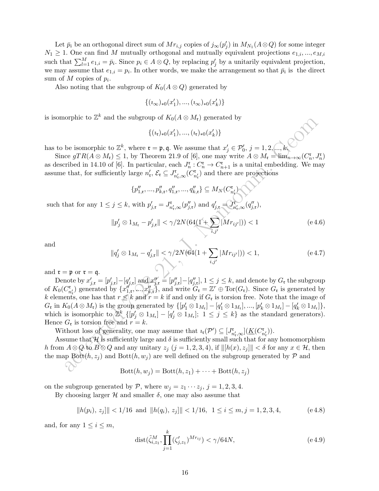Let  $\bar{p}_i$  be an orthogonal direct sum of  $Mr_{i,j}$  copies of  $j_{\infty}(p'_j)$  in  $M_{N_1}(A\otimes Q)$  for some integer  $N_1 \geq 1$ . One can find M mutually orthogonal and mutually equivalent projections  $e_{1,i},...,e_{M,i}$ such that  $\sum_{l=1}^{M} e_{1,i} = \bar{p}_i$ . Since  $p_i \in A \otimes Q$ , by replacing  $p'_j$  by a unitarily equivalent projection, we may assume that  $e_{1,i} = p_i$ . In other words, we make the arrangement so that  $\bar{p}_i$  is the direct sum of  $M$  copies of  $p_i$ .

Also noting that the subgroup of  $K_0(A \otimes Q)$  generated by

$$
\{(i_{\infty})_{*0}(x'_1),...,(i_{\infty})_{*0}(x'_k)\}
$$

is isomorphic to  $\mathbb{Z}^k$  and the subgroup of  $K_0(A \otimes M_{\mathfrak{r}})$  generated by

$$
\{(i_{\mathfrak{r}})_{*0}(x'_1),..., (i_{\mathfrak{r}})_{*0}(x'_k)\}
$$

has to be isomorphic to  $\mathbb{Z}^k$ , where  $\mathfrak{r} = \mathfrak{p}, \mathfrak{q}$ . We assume that  $x'_j \in \mathcal{P}'_0$ ,  $j = 1, 2, ..., k$ .

Since  $gTR(A \otimes M_{\mathfrak{r}}) \leq 1$ , by Theorem 21.9 of [6], one may write  $A \otimes M_{\mathfrak{r}} = \lim_{n \to \infty} (C_n^{\mathfrak{r}}, J_n^{\mathfrak{r}})$ as described in 14.10 of [6]. In particular, each  $J_n^{\mathfrak{r}}: C_n^{\mathfrak{r}} \to C_{n+1}^{\mathfrak{r}}$  is a unital embedding. We may assume that, for sufficiently large  $n'_\mathfrak{r}, \mathcal{E}_\mathfrak{r} \subseteq J^{\mathfrak{r}}_{n'_\mathfrak{r},\infty}(C^{\mathfrak{r}}_{n'_\mathfrak{r}})$  and there are projections

 $\{p''_{1,\mathfrak{r}},...,p''_{k,\mathfrak{r}},q''_{1,\mathfrak{r}},...,q''_{k,\mathfrak{r}}\}\subseteq M_{N}(C_{n'_{\mathfrak{r}}})$ such that for any  $1 \leq j \leq k$ , with  $p'_{j,\mathfrak{x}} = J^{\mathfrak{r}}_{n'_{\mathfrak{r}},\infty}(p''_{j,\mathfrak{r}})$  and  $q'_{j,\mathfrak{r}} = \overline{J^{\mathfrak{r}}_{n'_{\mathfrak{r}},\infty}(q''_{j,\mathfrak{r}})}$ ,

$$
||p'_j \otimes 1_{M_{\mathfrak{r}}} - p'_{j,\mathfrak{r}}|| < \gamma/2N(64(1+\sum_{i,j'} |Mr_{ij'}|)) < 1
$$
 (e 4.6)

and

$$
||q'_{j} \otimes 1_{M_{\mathfrak{r}}} - q'_{j,\mathfrak{r}}|| < \gamma/2N(64(1 + \sum_{i,j'} |Mr_{ij'}|)) < 1,
$$
 (e 4.7)

and  $\mathfrak{r} = \mathfrak{p}$  or  $\mathfrak{r} = \mathfrak{q}$ .

be isomorphic to  $Z^k$  and the subgroup or  $R_0(A \otimes M_r)$  generated by<br>
be isomorphic to  $Z^k$ , where  $\mathbf{r} = \mathbf{p}, \mathbf{q}$ . We assume that  $x'_j \in \mathcal{P}_0^k$ ,  $j = 1, 2, ..., k$ <br>
be isomorphic to  $Z^k$ , where  $\mathbf{r} = \mathbf{p}, \mathbf{q}$ Denote by  $x'_{j,\mathfrak{r}} = [p'_{j,\mathfrak{r}}] - [q'_{j,\mathfrak{r}}]$  and  $x''_{j,\mathfrak{r}} = [p''_{j,\mathfrak{r}}] - [q''_{j,\mathfrak{r}}]$ ,  $1 \leq j \leq k$ , and denote by  $G_{\mathfrak{r}}$  the subgroup of  $K_0(C_{n'_t}^{\mathfrak{r}})$  generated by  $\{x''_{1,\mathfrak{r}},...,x''_{k,\mathfrak{r}}\}$ , and write  $G_{\mathfrak{r}} = \mathbb{Z}^r \oplus \text{Tor}(G_{\mathfrak{r}})$ . Since  $G_{\mathfrak{r}}$  is generated by k elements, one has that  $r \leq k$  and  $r = k$  if and only if  $G<sub>r</sub>$  is torsion free. Note that the image of  $G_{\mathfrak{r}}$  in  $K_0(A \otimes M_{\mathfrak{r}})$  is the group generated by  $\{ [p'_1 \otimes 1_{M_{\mathfrak{r}}}]-[q'_1 \otimes 1_{M_{\mathfrak{r}}}]\ldots,[p'_k \otimes 1_{M_{\mathfrak{r}}}]-[q'_k \otimes 1_{M_{\mathfrak{r}}}] \}$ , which is isomorphic to  $\mathbb{Z}^k$   $\{ [p'_j \otimes 1_{M_r}] - [q'_j \otimes 1_{M_r}] ; 1 \leq j \leq k \}$  as the standard generators). Hence  $G_r$  is torsion free and  $r = k$ .

Without loss of generality, one may assume that  $i_{\mathfrak{r}}(\mathcal{P}') \subseteq [J^{\mathfrak{r}}_{n'_{\mathfrak{r}},\infty}](\underline{K}(C^{\mathfrak{r}}_{n'_{\mathfrak{r}}}))$ .

Assume that  $\mathcal H$  is sufficiently large and  $\delta$  is sufficiently small such that for any homomorphism h from  $A \otimes Q$  to  $B \otimes Q$  and any unitary  $z_j$   $(j = 1, 2, 3, 4)$ , if  $\| [h(x), z_j] \| < \delta$  for any  $x \in \mathcal{H}$ , then the map Bott $(h, z_j)$  and Bott $(h, w_j)$  are well defined on the subgroup generated by  $P$  and

$$
Bott(h, w_j) = Bott(h, z_1) + \cdots + Bott(h, z_j)
$$

on the subgroup generated by  $P$ , where  $w_j = z_1 \cdots z_j$ ,  $j = 1, 2, 3, 4$ .

By choosing larger  $H$  and smaller  $\delta$ , one may also assume that

$$
||h(p_i), z_j|| < 1/16 \text{ and } ||h(q_i), z_j|| < 1/16, \ 1 \le i \le m, j = 1, 2, 3, 4,
$$
 (e.4.8)

and, for any  $1 \leq i \leq m$ ,

$$
dist(\tilde{\zeta}_{i,z_1}^M, \prod_{j=1}^k (\zeta_{j,z_1}')^{Mr_{ij}}) < \gamma/64N,
$$
\n(e.4.9)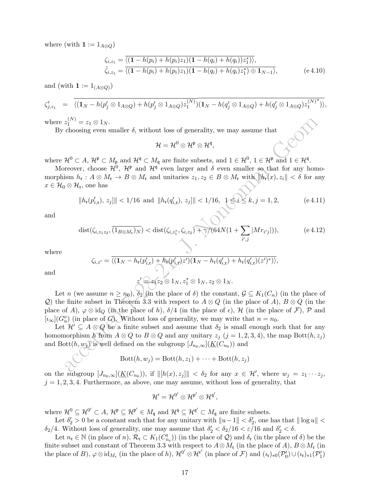where (with  $\mathbf{1} := 1_{A\otimes Q}$ )

$$
\zeta_{i,z_1} = \frac{\overline{\langle (1 - h(p_i) + h(p_i)z_1)(1 - h(q_i) + h(q_i))z_1^* \rangle \rangle}}{\overline{\zeta}_{i,z_1} = \overline{\langle (1 - h(p_i) + h(p_i)z_1)(1 - h(q_i) + h(q_i)z_1^* \rangle \oplus 1_{N-1} \rangle}},
$$
\n(e.4.10)

and (with  $\mathbf{1} := 1_{(A \otimes Q)}$ )

$$
\zeta'_{j,z_1} = \overline{\langle (\mathbf{1}_N - h(p'_j \otimes \mathbf{1}_{A \otimes Q}) + h(p'_j \otimes \mathbf{1}_{A \otimes Q}) z_1^{(N)}) (\mathbf{1}_N - h(q'_j \otimes \mathbf{1}_{A \otimes Q}) + h(q'_j \otimes \mathbf{1}_{A \otimes Q}) z_1^{(N)^*}) \rangle},
$$
\n
$$
\zeta'_{j,z_1} = \overline{\langle (\mathbf{1}_N - h(p'_j \otimes \mathbf{1}_{A \otimes Q}) + h(p'_j \otimes \mathbf{1}_{A \otimes Q}) z_1^{(N)}) (\mathbf{1}_N - h(q'_j \otimes \mathbf{1}_{A \otimes Q}) + h(q'_j \otimes \mathbf{1}_{A \otimes Q}) z_1^{(N)^*}) \rangle},
$$

where  $z_1^{(N)} = z_1 \otimes 1_N$ .

By choosing even smaller  $\delta$ , without loss of generality, we may assume that

$$
\mathcal{H}=\mathcal{H}^0\otimes\mathcal{H}^{\mathfrak{p}}\otimes\mathcal{H}^{\mathfrak{q}},
$$

where  $\mathcal{H}^0 \subset A$ ,  $\mathcal{H}^{\mathfrak{p}} \subset M_{\mathfrak{p}}$  and  $\mathcal{H}^{\mathfrak{q}} \subset M_{\mathfrak{q}}$  are finite subsets, and  $1 \in \mathcal{H}^0$ ,  $1 \in \mathcal{H}^{\mathfrak{p}}$  and  $1 \in \mathcal{H}^{\mathfrak{q}}$ .

Moreover, choose  $\mathcal{H}^0$ ,  $\mathcal{H}^{\mathfrak{p}}$  and  $\mathcal{H}^{\mathfrak{q}}$  even larger and  $\delta$  even smaller so that for any homomorphism  $h_{\mathfrak{r}}: A \otimes M_{\mathfrak{r}} \to B \otimes M_{\mathfrak{r}}$  and unitaries  $z_1, z_2 \in B \otimes M_{\mathfrak{r}}$  with  $||h_{\mathfrak{r}}(x), z_i|| < \delta$  for any  $x \in \mathcal{H}_0 \otimes \mathcal{H}_\mathfrak{r}$ , one has

$$
||h_{\mathfrak{r}}(p'_{i,\mathfrak{r}}), z_j||| < 1/16 \text{ and } ||h_{\mathfrak{r}}(q'_{i,\mathfrak{r}}), z_j||| < 1/16, \quad 1 \le i \le k, j = 1, 2,
$$
 (e 4.11)

and

$$
\text{dist}(\zeta_{i,z_1z_2}, \overline{(1_{B\otimes M_{\mathfrak{r}}})_N}) < \text{dist}(\zeta_{i,z_1^*}, \zeta_{i,z_2}) + \gamma/(64N(1+\sum_{i',j}|Mr_{i'j}|)),\tag{e.4.12}
$$

where

$$
\zeta_{i,z'} = \overline{\langle (\mathbf{1}_N - h_{\mathfrak{r}}(p'_{i,\mathfrak{r}}) + h_{\mathfrak{r}}(p'_{i,\mathfrak{r}})z' \rangle(\mathbf{1}_N - h_{\mathfrak{r}}(q'_{i,\mathfrak{r}}) + h_{\mathfrak{r}}(q'_{i,\mathfrak{r}})(z')^*) \rangle},
$$

and

$$
z' \widehat{\longrightarrow} z_1z_2 \otimes 1_N, z_1^* \otimes 1_N, z_2 \otimes 1_N.
$$

 $z_1^{(N)} = z_1 \otimes 1_N$ .<br>
choosing even smaller  $\delta$ , without loss of generality, we may assume that<br>  $\mathcal{H} - \mathcal{H}^0 \otimes \mathcal{H}^0 \otimes \mathcal{H}^1$ ,<br>  $\mathcal{H}^0 \subset A$ ,  $\mathcal{H}^0 \subset M_1$  and  $\mathcal{H}^0 \subset M_2$  are finite subsets, and  $1 \in \math$ Let n (we assume  $n \ge n_0$ ),  $\delta_2$  (in the place of  $\delta$ ) the constant,  $\mathcal{G} \subseteq K_1(C_n)$  (in the place of Q) the finite subset in Theorem 3.3 with respect to  $A \otimes Q$  (in the place of A),  $B \otimes Q$  (in the place of A),  $\varphi \otimes id_{\mathcal{O}}$  (in the place of h),  $\delta/4$  (in the place of  $\epsilon$ ), H (in the place of  $\mathcal{F}$ ), P and  $[i_{\infty}](G_u^o)$  (in place of G). Without loss of generality, we may write that  $n = n_0$ .

Let  $\mathcal{H}' \subseteq A \otimes Q$  be a finite subset and assume that  $\delta_2$  is small enough such that for any homomorphism h from  $A \otimes Q$  to  $B \otimes Q$  and any unitary  $z_j$   $(j = 1, 2, 3, 4)$ , the map Bott $(h, z_j)$ and Bott $(h, w_j)$  is well defined on the subgroup  $[J_{n_0,\infty}](\underline{K}(C_{n_0}))$  and

$$
Bott(h, w_j) = Bott(h, z_1) + \cdots + Bott(h, z_j)
$$

on the subgroup  $[J_{n_0,\infty}](\underline{K}(C_{n_0}))$ , if  $\| [h(x), z_j] \| < \delta_2$  for any  $x \in \mathcal{H}'$ , where  $w_j = z_1 \cdots z_j$ ,  $j = 1, 2, 3, 4$ . Furthermore, as above, one may assume, without loss of generality, that

$$
\mathcal{H}'=\mathcal{H}^{0'}\otimes\mathcal{H}^{\mathfrak{p}'}\otimes\mathcal{H}^{\mathfrak{q}'},
$$

where  $\mathcal{H}^0 \subseteq \mathcal{H}^{0'} \subset A$ ,  $\mathcal{H}^{\mathfrak{p}} \subseteq \mathcal{H}^{\mathfrak{p}'} \in M_{\mathfrak{q}}$  and  $\mathcal{H}^{\mathfrak{q}} \subseteq \mathcal{H}^{\mathfrak{q}'} \subset M_{\mathfrak{q}}$  are finite subsets.

Let  $\delta'_2 > 0$  be a constant such that for any unitary with  $||u-1|| < \delta'_2$ , one has that  $|| \log u ||$  $\delta_2/4$ . Without loss of generality, one may assume that  $\delta'_2 < \delta_2/16 < \varepsilon/16$  and  $\delta'_2 < \delta$ .

Let  $n_{\mathfrak{r}} \in \mathbb{N}$  (in place of  $n$ ),  $\mathcal{R}_{\mathfrak{r}} \subset K_1(C_{n_{\mathfrak{r}}}^{\mathfrak{r}})$  (in the place of  $\mathcal{Q}$ ) and  $\delta_{\mathfrak{r}}$  (in the place of  $\delta$ ) be the finite subset and constant of Theorem 3.3 with respect to  $A \otimes M_r$  (in the place of A),  $B \otimes M_r$  (in the place of B),  $\varphi \otimes id_{M_{\mathfrak{r}}}$  (in the place of h),  $\mathcal{H}^{0'} \otimes \mathcal{H}^{\mathfrak{r}'}$  (in place of  $\mathcal{F}$ ) and  $(\iota_{\mathfrak{r}})_{*0}(\mathcal{P}'_0) \cup (\iota_{\mathfrak{r}})_{*1}(\mathcal{P}'_1)$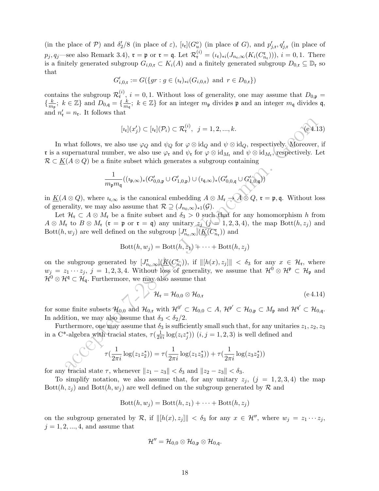(in the place of  $P$ ) and  $\delta'_2/8$  (in place of  $\varepsilon$ ),  $[\iota_r](G_u^o)$  (in place of G), and  $p'_{j,r}, q'_{j,r}$  (in place of  $p_j, q_j$ —see also Remark 3.4),  $\mathfrak{r} = \mathfrak{p}$  or  $\mathfrak{r} = \mathfrak{q}$ . Let  $\mathcal{R}^{(i)}_{\mathfrak{r}} = (\iota_{\mathfrak{r}})_{*i}(J_{n_{\mathfrak{r}},\infty}(K_i(C_{n_{\mathfrak{r}}}^{\mathfrak{r}})))$ ,  $i = 0,1$ . There is a finitely generated subgroup  $G_{i,0,\mathfrak{r}} \subset K_i(A)$  and a finitely generated subgroup  $D_{0,\mathfrak{r}} \subseteq \mathbb{D}_{\mathfrak{r}}$  so that

$$
G'_{i,0,\mathfrak{x}} := G(\{gr : g \in (\iota_{\mathfrak{r}})_{*i}(G_{i,0,\mathfrak{r}}) \text{ and } r \in D_{0,\mathfrak{r}}\})
$$

contains the subgroup  $\mathcal{R}_{\mathfrak{r}}^{(i)}$ ,  $i = 0, 1$ . Without loss of generality, one may assume that  $D_{0,\mathfrak{p}} =$  $\left\{\frac{k}{m}\right\}$  $\frac{k}{m_{\mathfrak{p}}}; k \in \mathbb{Z}$  and  $D_{0,\mathfrak{q}} = \{\frac{k}{m}\}$  $\frac{k}{m_q}$ ;  $k \in \mathbb{Z}$  for an integer  $m_p$  divides  $\mathfrak{p}$  and an integer  $m_q$  divides  $\mathfrak{q}$ , and  $n'_{\mathfrak{r}} = n_{\mathfrak{r}}$ . It follows that

$$
[\imath_{\mathfrak{r}}](x_j') \subset [\imath_{\mathfrak{r}}](\mathcal{P}_i) \subset \mathcal{R}_{\mathfrak{r}}^{(i)}, \ \ j = 1, 2, ..., k. \tag{e.4.13}
$$

In what follows, we also use  $\varphi_Q$  and  $\psi_Q$  for  $\varphi \otimes id_Q$  and  $\psi \otimes id_Q$ , respectively. Moreover, if r is a supernatural number, we also use  $\varphi_{\mathfrak{r}}$  and  $\psi_{\mathfrak{r}}$  for  $\varphi \otimes id_{M_{\mathfrak{r}}}$  and  $\psi \otimes id_{M_{\mathfrak{r}}}$ , respectively. Let  $\mathcal{R} \subset \underline{K}(A \otimes Q)$  be a finite subset which generates a subgroup containing

$$
\frac{1}{m_{\mathfrak{p}} m_{\mathfrak{q}}}((\imath_{\mathfrak{p}, \infty})_*(G'_{0,0, \mathfrak{p}} \cup G'_{1,0, \mathfrak{p}}) \cup (\imath_{\mathfrak{q}, \infty})_*(G'_{0,0, \mathfrak{q}} \cup G'_{1,0, \mathfrak{q}}))'
$$

in  $\underline{K}(A\otimes Q)$ , where  $\iota_{\mathfrak{r},\infty}$  is the canonical embedding  $A\otimes M_{\mathfrak{r}}\to A\otimes Q$ ,  $\mathfrak{r}=\mathfrak{p},\mathfrak{q}$ . Without loss of generality, we may also assume that  $\mathcal{R} \supseteq (J_{n_0,\infty})_{*1}(\mathcal{G})$ .

Let  $\mathcal{H}_r \subset A \otimes M_r$  be a finite subset and  $\delta_3 > 0$  such that for any homomorphism h from  $A \otimes M_{\mathfrak{r}}$  to  $B \otimes M_{\mathfrak{r}}$  ( $\mathfrak{r} = \mathfrak{p}$  or  $\mathfrak{r} = \mathfrak{q}$ ) any unitary  $z_j \hat{y} = 1, 2, 3, 4$ ), the map  $Bott(h, z_j)$  and Bott $(h, w_j)$  are well defined on the subgroup  $[J^{\mathfrak{r}}_{n_{\mathfrak{r}},\infty}](\underline{\mathcal{K}}(C^{\mathfrak{r}}_{n_{\mathfrak{r}}}))$  and

$$
Bott(h, w_j) = Bott(h, z_1) + \cdots + Bott(h, z_j)
$$

 $\label{eq:21} \begin{array}{ll} |a_i|(x_j')\subset [a_i](\mathcal{P}_i)\subset \mathcal{R}_i^{(i)},\quad j=1,2,...,k. \end{array} \hskip .2in \\ \begin{minipage}[c]{0.9\textwidth} \begin{minipage}[c]{0.9\textwidth} \begin{minipage}[c]{0.9\textwidth} \begin{minipage}[c]{0.9\textwidth} \begin{minipage}[c]{0.9\textwidth} \begin{minipage}[c]{0.9\textwidth} \begin{minipage}[c]{0.9\textwidth} \begin{minipage}[c]{0.9\textwidth} \begin{minipage}[c]{0.9\textwidth} \begin{minip$ on the subgroup generated by  $[J_{n_r,\infty}^{\mathfrak{r}}](\underline{K}(C_{n_r}^{\mathfrak{r}}))$ , if  $\| [h(x), z_j] \| < \delta_3$  for any  $x \in \mathcal{H}_{\mathfrak{r}}$ , where  $w_j = z_1 \cdots z_j$ ,  $j = 1, 2, 3, 4$ . Without loss of generality, we assume that  $\mathcal{H}^0 \otimes \mathcal{H}^{\mathfrak{p}} \subset \mathcal{H}_{\mathfrak{p}}$  and  $\mathcal{H}^0 \otimes \mathcal{H}^q \subset \mathcal{H}_q$ . Furthermore, we may also assume that

$$
\mathcal{H}_{\mathfrak{r}} = \mathcal{H}_{0,0} \otimes \mathcal{H}_{0,\mathfrak{r}}
$$
 (e 4.14)

for some finite subsets  $\mathcal{H}_{0,0}$  and  $\mathcal{H}_{0,\mathfrak{r}}$  with  $\mathcal{H}^{0'} \subset \mathcal{H}_{0,0} \subset A$ ,  $\mathcal{H}^{\mathfrak{p}'} \subset \mathcal{H}_{0,\mathfrak{p}} \subset M_{\mathfrak{p}}$  and  $\mathcal{H}^{\mathfrak{q}'} \subset \mathcal{H}_{0,\mathfrak{q}}$ . In addition, we may also assume that  $\delta_3 < \delta_2/2$ .

Furthermore, one may assume that  $\delta_3$  is sufficiently small such that, for any unitaries  $z_1, z_2, z_3$ in a C<sup>\*</sup>-algebra with tracial states,  $\tau(\frac{1}{2\pi i} \log(z_i z_j^*))$   $(i, j = 1, 2, 3)$  is well defined and

$$
\tau(\frac{1}{2\pi i}\log(z_1 z_2^*)) = \tau(\frac{1}{2\pi i}\log(z_1 z_3^*)) + \tau(\frac{1}{2\pi i}\log(z_3 z_2^*))
$$

for any tracial state  $\tau$ , whenever  $||z_1 - z_3|| < \delta_3$  and  $||z_2 - z_3|| < \delta_3$ .

To simplify notation, we also assume that, for any unitary  $z_j$ ,  $(j = 1, 2, 3, 4)$  the map Bott $(h, z<sub>j</sub>)$  and Bott $(h, w<sub>j</sub>)$  are well defined on the subgroup generated by R and

$$
Bott(h, w_j) = Bott(h, z_1) + \cdots + Bott(h, z_j)
$$

on the subgroup generated by R, if  $\|[h(x), z_j]\| < \delta_3$  for any  $x \in \mathcal{H}$ , where  $w_j = z_1 \cdots z_j$ ,  $j = 1, 2, ..., 4$ , and assume that

$$
\mathcal{H}''=\mathcal{H}_{0,0}\otimes\mathcal{H}_{0,\mathfrak{p}}\otimes\mathcal{H}_{0,\mathfrak{q}}.
$$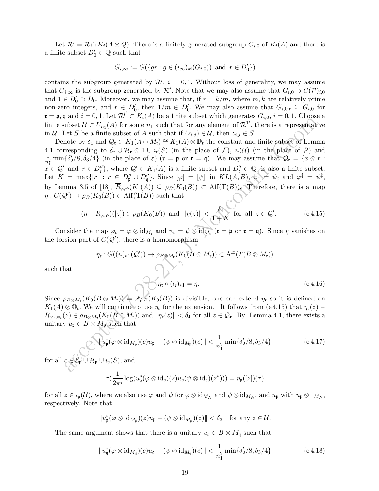Let  $\mathcal{R}^i = \mathcal{R} \cap K_i(A \otimes Q)$ . There is a finitely generated subgroup  $G_{i,0}$  of  $K_i(A)$  and there is a finite subset  $D'_0 \subset \mathbb{Q}$  such that

$$
G_{i,\infty} := G(\{gr : g \in (\iota_{\infty})_{*i}(G_{i,0})) \text{ and } r \in D'_0 \})
$$

contains the subgroup generated by  $\mathcal{R}^i$ ,  $i = 0, 1$ . Without loss of generality, we may assume that  $G_{i,\infty}$  is the subgroup generated by  $\mathcal{R}^i$ . Note that we may also assume that  $G_{i,0} \supset G(\mathcal{P})_{i,0}$ and  $1 \in D'_0 \supset D_0$ . Moreover, we may assume that, if  $r = k/m$ , where  $m, k$  are relatively prime non-zero integers, and  $r \in D'_0$ , then  $1/m \in D'_0$ . We may also assume that  $G_{i,0,\mathfrak{x}} \subseteq G_{i,0}$  for  $\mathfrak{r} = \mathfrak{p}, \mathfrak{q}$  and  $i = 0, 1$ . Let  $\mathcal{R}^{i'} \subset K_i(A)$  be a finite subset which generates  $G_{i,0}, i = 0, 1$ . Choose a finite subset  $\mathcal{U} \subset U_{n_1}(A)$  for some  $n_1$  such that for any element of  $\mathcal{R}^1$ , there is a representative in U. Let S be a finite subset of A such that if  $(z_{i,j}) \in U$ , then  $z_{i,j} \in S$ .

ative  $H \subset U_{n_1}(A)$  for some  $n_1$  such that for any defined to  $\mathcal{R}^D$ , there is a representable<br>these  $H \subset U_{n_1}(A)$  for some  $n_1$  such that for any defined to  $\mathcal{R}^D$ , there is a representable<br>note by  $\delta_4$  and Denote by  $\delta_4$  and  $\mathcal{Q}_r \subset K_1(A \otimes M_r) \cong K_1(A) \otimes \mathbb{D}_r$  the constant and finite subset of Lemma 4.1 corresponding to  $\mathcal{E}_{\mathfrak{r}} \cup \mathcal{H}_{\mathfrak{r}} \otimes 1 \cup i_{\mathfrak{r}}(S)$  (in the place of  $\mathcal{F}$ ),  $i_{\mathfrak{r}}(\mathcal{U})$  (in the place of  $\mathcal{P}$ ) and 1  $\frac{1}{n_1^2}$  min $\{\delta'_2/8, \delta_3/4\}$  (in the place of  $\varepsilon$ ) ( $\mathfrak{r} = \mathfrak{p}$  or  $\mathfrak{r} = \mathfrak{q}$ ). We may assume that  $\mathcal{Q}_{\mathfrak{r}} = \{x \otimes r :$  $x \in \mathcal{Q}'$  and  $r \in D''_r$ , where  $\mathcal{Q}' \subset K_1(A)$  is a finite subset and  $D''_r \subset \mathbb{Q}_r$  is also a finite subset. Let  $K = \max\{|r| : r \in D_{\mathfrak{p}}'' \cup D_{\mathfrak{q}}''\}.$  Since  $[\varphi] = [\psi]$  in  $KL(A, B), \varphi_{\sharp} \geq \psi_{\sharp}$  and  $\varphi^{\sharp} = \psi^{\sharp}$ , by Lemma 3.5 of [18],  $\overline{R}_{\varphi,\psi}(K_1(A)) \subseteq \overline{\rho_B(K_0(B))} \subset Aff(T(B))$ . Therefore, there is a map  $\eta: G(\mathcal{Q}') \to \overline{\rho_B(K_0(B))} \subset \text{Aff}(\mathrm{T}(B))$  such that

$$
(\eta - \overline{R}_{\varphi,\psi})([z]) \in \rho_B(K_0(B)) \text{ and } \|\eta(z)\| < \frac{\delta_4}{1+K} \text{ for all } z \in \mathcal{Q}'.
$$
 (e.4.15)

Consider the map  $\varphi_{\mathfrak{r}} = \varphi \otimes \mathrm{id}_{M_{\mathfrak{r}}}$  and  $\psi_{\mathfrak{r}} = \psi \otimes \mathrm{id}_{M_{\mathfrak{r}}}$  ( $\mathfrak{r} = \mathfrak{p}$  or  $\mathfrak{r} = \mathfrak{q}$ ). Since  $\eta$  vanishes on the torsion part of  $G(Q')$ , there is a homomorphism

$$
\eta_{\mathfrak{r}}: G((\imath_{\mathfrak{r}})_{*1}(\mathcal{Q}')) \to \overline{\rho_{B\otimes M_{\mathfrak{r}}}(K_0(B\otimes M_{\mathfrak{r}}))} \subset \text{Aff}(T(B\otimes M_{\mathfrak{r}}))
$$
\n
$$
\eta_{\mathfrak{r}} \circ (\imath_{\mathfrak{r}})_{*1} = \eta.
$$
\n
$$
(e \ 4.16)
$$

such that

Since 
$$
\overline{\rho_{B\otimes M_{\tau}}(K_0(B\otimes M_{\tau}))}
$$
 =  $\overline{\mathbb{R}\rho_B(K_0(B))}$  is divisible, one can extend  $\eta_{\tau}$  so it is defined on  $K_1(A)\otimes\mathbb{Q}_{\tau}$ . We will continue to use  $\eta_{\tau}$  for the extension. It follows from (e 4.15) that  $\eta_{\tau}(z) - \overline{R}_{\varphi_{\tau},\psi_{\tau}}(z) \in \rho_{B\otimes M_{\tau}}(K_0(B\otimes M_{\tau}))$  and  $||\eta_{\tau}(z)|| < \delta_4$  for all  $z \in \mathcal{Q}_{\tau}$ . By Lemma 4.1, there exists a unitary  $u_p \in B \otimes M_p$  such that

$$
\|\hat{u}_{\mathfrak{p}}^*(\varphi\otimes \mathrm{id}_{M_{\mathfrak{p}}})(c)u_{\mathfrak{p}}-(\psi\otimes \mathrm{id}_{M_{\mathfrak{p}}})(c)\|<\frac{1}{n_1^2}\min\{\delta_2^{\prime}/8,\delta_3/4\}\qquad\qquad(e\,4.17)
$$

for all  $c \in \mathcal{E}_p \cup \mathcal{H}_p \cup \iota_p(S)$ , and

$$
\tau(\frac{1}{2\pi i}\log(u_{\mathfrak{p}}^*(\varphi\otimes\mathrm{id}_{\mathfrak{p}})(z)u_{\mathfrak{p}}(\psi\otimes\mathrm{id}_{\mathfrak{p}})(z^*)))=\eta_{\mathfrak{p}}([z])(\tau)
$$

for all  $z \in i_{\mathfrak{p}}(\mathcal{U})$ , where we also use  $\varphi$  and  $\psi$  for  $\varphi \otimes id_{M_N}$  and  $\psi \otimes id_{M_N}$ , and  $u_{\mathfrak{p}}$  with  $u_{\mathfrak{p}} \otimes 1_{M_N}$ , respectively. Note that

$$
||u_{\mathfrak{p}}^*(\varphi\otimes \mathrm{id}_{M_{\mathfrak{p}}})(z)u_{\mathfrak{p}}-(\psi\otimes \mathrm{id}_{M_{\mathfrak{p}}})(z)||<\delta_3\quad\text{for any }z\in\mathcal{U}.
$$

The same argument shows that there is a unitary  $u_{\mathfrak{q}} \in B \otimes M_{\mathfrak{q}}$  such that

$$
||u_{\mathfrak{q}}^*(\varphi \otimes id_{M_{\mathfrak{q}}})(c)u_{\mathfrak{q}} - (\psi \otimes id_{M_{\mathfrak{q}}})(c)|| < \frac{1}{n_1^2} \min{\{\delta'_2/8, \delta_3/4\}} \qquad (e \ 4.18)
$$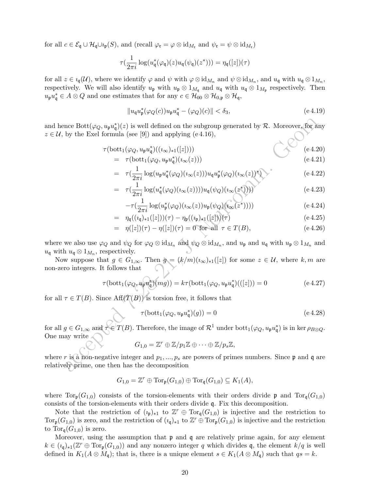for all  $c \in \mathcal{E}_{\mathfrak{q}} \cup \mathcal{H}_{\mathfrak{q}} \cup \iota_{\mathfrak{p}}(S)$ , and  $(\text{recall } \varphi_{\mathfrak{r}} = \varphi \otimes \text{id}_{M_{\mathfrak{r}}} \text{ and } \psi_{\mathfrak{r}} = \psi \otimes \text{id}_{M_{\mathfrak{r}}}$ 

$$
\tau(\frac{1}{2\pi i}\log(u_{\mathfrak{q}}^*(\varphi_{\mathfrak{q}})(z)u_{\mathfrak{q}}(\psi_{\mathfrak{q}})(z^*)))=\eta_{\mathfrak{q}}([z])(\tau)
$$

for all  $z \in i_{\mathfrak{q}}(\mathcal{U})$ , where we identify  $\varphi$  and  $\psi$  with  $\varphi \otimes id_{M_n}$  and  $\psi \otimes id_{M_n}$ , and  $u_{\mathfrak{q}}$  with  $u_{\mathfrak{q}} \otimes 1_{M_n}$ , respectively. We will also identify  $u_{\mathfrak{p}}$  with  $u_{\mathfrak{p}} \otimes 1_{M_{\mathfrak{q}}}$  and  $u_{\mathfrak{q}}$  with  $u_{\mathfrak{q}} \otimes 1_{M_{\mathfrak{p}}}$  respectively. Then  $u_{\mathfrak{p}}u_{\mathfrak{q}}^* \in A \otimes Q$  and one estimates that for any  $c \in \mathcal{H}_{00} \otimes \mathcal{H}_{0,\mathfrak{p}} \otimes \mathcal{H}_{\mathfrak{q}},$ 

$$
||u_q u_{\mathfrak{p}}^*(\varphi_Q(c)) u_{\mathfrak{p}} u_q^* - (\varphi_Q)(c)|| < \delta_3, \tag{e.4.19}
$$

and hence  $Bott(\varphi_Q, u_p u_q^*)(z)$  is well defined on the subgroup generated by R. Moreover, for any  $z \in \mathcal{U}$ , by the Exel formula (see [9]) and applying (e.4.16),

$$
\tau(\text{bott}_1(\varphi_Q, u_p u_q^*)( (i_{\infty})_{*1}([z]))) \tag{e 4.20}
$$
\n
$$
= \tau(\text{bott}_1((2 \circ z, u_q x^*)(q_-(z)))) \tag{e 4.21}
$$

$$
= \tau(\text{bott}_1(\varphi_Q, u_{\mathfrak{p}} u_{\mathfrak{q}}^*)(\iota_{\infty}(z))) \tag{e.4.21}
$$

$$
= \tau(\frac{1}{2\pi i}\log(u_{\mathfrak{p}}u_{\mathfrak{q}}^*(\varphi_Q)(i_{\infty}(z)))u_{\mathfrak{q}}u_{\mathfrak{p}}^*(\varphi_Q)(i_{\infty}(z))^*)
$$
 (e 4.22)

$$
= \tau(\frac{1}{2\pi i}\log(u_{\mathfrak{q}}^*(\varphi_Q)(\imath_\infty(z))))u_{\mathfrak{q}}(\psi_Q)(\imath_\infty(z^*))))
$$
 (e 4.23)

$$
-\tau(\frac{1}{2\pi i}\log(u_{\mathfrak{p}}^*(\varphi_Q)(i_{\infty}(z))u_{\mathfrak{p}}(\psi_Q)(i_{\infty}(z^*))))
$$
 (e 4.24)

$$
= \eta_{\mathfrak{q}}((\iota_{\mathfrak{q}})_{*1}([z]))(\tau) - \eta_{\mathfrak{p}}((\iota_{\mathfrak{p}})_{*1}([z]))(\tau) \qquad (e \, 4.25)
$$

$$
= \eta([z])(\tau) - \eta([z])(\tau) = 0 \text{ for all } \tau \in T(B), \tag{e.4.26}
$$

where we also use  $\varphi_Q$  and  $\psi_Q$  for  $\varphi_Q \otimes id_{M_n}$  and  $\psi_Q \otimes id_{M_n}$ , and  $u_{\mathfrak{p}}$  and  $u_{\mathfrak{q}}$  with  $u_{\mathfrak{p}} \otimes 1_{M_n}$  and  $u_{\mathfrak{q}}$  with  $u_{\mathfrak{q}} \otimes 1_{M_n}$ , respectively.

Now suppose that  $g \in G_{1,\infty}$ . Then  $g = (k/m)(i_{\infty})_{*1}([z])$  for some  $z \in \mathcal{U}$ , where  $k,m$  are non-zero integers. It follows that

$$
\tau(\text{bott}_1(\varphi_Q, u_p u_q^*)(mg)) = k\tau(\text{bott}_1(\varphi_Q, u_p u_q^*)(([z])) = 0 \qquad (\text{e 4.27})
$$

for all  $\tau \in T(B)$ . Since  $\text{Aff}(T(B))$  is torsion free, it follows that

$$
\tau(\text{bott}_1(\varphi_Q, u_{\mathfrak{p}} u_{\mathfrak{q}}^*)(g)) = 0 \tag{e.4.28}
$$

ance Bott $(\varphi_Q, u_q u_q^*)(z)$  is well defined on the subgroup generated by  $\mathcal R$ . Moreover, for a<br>by the Excl formula (see [9]) and applying (e.4.16),<br> $\tau(\text{bot}_1(\varphi_Q, u_q u_q^*)( (x_\infty, x_1([z])) )$ <br>=  $\tau(\text{bot}_1(\varphi_Q, u_q u_q^*)( (x_\infty(z))) u_q u_q^*(\varphi_Q$ for all  $g \in G_{1,\infty}$  and  $\tau \in T(B)$ . Therefore, the image of  $\mathcal{R}^1$  under bott<sub>1</sub> $(\varphi_Q, u_p u_q^*)$  is in ker  $\rho_{B\otimes Q}$ . One may write

$$
G_{1,0}=\mathbb{Z}^r\oplus\mathbb{Z}/p_1\mathbb{Z}\oplus\cdots\oplus\mathbb{Z}/p_s\mathbb{Z},
$$

where r is a non-negative integer and  $p_1, ..., p_s$  are powers of primes numbers. Since  $\mathfrak p$  and  $\mathfrak q$  are relatively prime, one then has the decomposition

$$
G_{1,0} = \mathbb{Z}^r \oplus \mathrm{Tor}_{\mathfrak{p}}(G_{1,0}) \oplus \mathrm{Tor}_{\mathfrak{q}}(G_{1,0}) \subseteq K_1(A),
$$

where  $\text{Tor}_{\mathfrak{p}}(G_{1,0})$  consists of the torsion-elements with their orders divide p and  $\text{Tor}_{\mathfrak{q}}(G_{1,0})$ consists of the torsion-elements with their orders divide q. Fix this decomposition.

Note that the restriction of  $(\iota_{\mathfrak{p}})_{*1}$  to  $\mathbb{Z}^r \oplus \text{Tor}_{\mathfrak{q}}(G_{1,0})$  is injective and the restriction to  $Tor_{\mathfrak{p}}(G_{1,0})$  is zero, and the restriction of  $(\iota_{\mathfrak{q}})_{*1}$  to  $\mathbb{Z}^r \oplus Tor_{\mathfrak{p}}(G_{1,0})$  is injective and the restriction to  $Tor_{\mathfrak{q}}(G_{1,0})$  is zero.

Moreover, using the assumption that  $\mathfrak p$  and  $\mathfrak q$  are relatively prime again, for any element  $k \in (i_{\mathfrak{q}})_{*1}(\mathbb{Z}^r \oplus \text{Tor}_{\mathfrak{p}}(G_{1,0}))$  and any nonzero integer q which divides q, the element  $k/q$  is well defined in  $K_1(A \otimes M_{\mathfrak{q}})$ ; that is, there is a unique element  $s \in K_1(A \otimes M_{\mathfrak{q}})$  such that  $qs = k$ .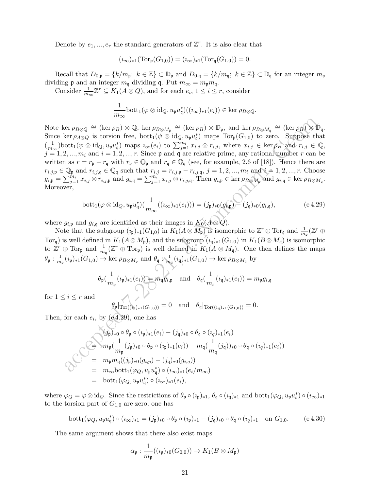Denote by  $e_1, ..., e_r$  the standard generators of  $\mathbb{Z}^r$ . It is also clear that

$$
(\iota_{\infty})_{*1}(\mathrm{Tor}_{\mathfrak{p}}(G_{1,0})) = (\iota_{\infty})_{*1}(\mathrm{Tor}_{\mathfrak{q}}(G_{1,0})) = 0.
$$

Recall that  $D_{0,\mathfrak{p}} = \{k/m_{\mathfrak{p}}; k \in \mathbb{Z}\} \subset \mathbb{D}_{\mathfrak{p}}$  and  $D_{0,\mathfrak{q}} = \{k/m_{\mathfrak{q}}; k \in \mathbb{Z}\} \subset \mathbb{D}_{\mathfrak{q}}$  for an integer  $m_{\mathfrak{p}}$ dividing **p** and an integer  $m_q$  dividing **q**. Put  $m_\infty = m_p m_q$ .

Consider  $\frac{1}{m_{\infty}}\mathbb{Z}^r \subseteq K_1(A \otimes Q)$ , and for each  $e_i$ ,  $1 \leq i \leq r$ , consider

$$
\frac{1}{m_{\infty}} \text{bott}_1(\varphi \otimes \text{id}_Q, u_{\mathfrak{p}} u_{\mathfrak{q}}^*)( (\imath_{\infty})_{*1}(e_i)) \in \ker \rho_{B \otimes Q}.
$$

 $\begin{array}{l} \mbox{ker } \rho_{B\otimes Q} \cong (\mbox{ker } \rho_B) \otimes \mathbb{Q}, \mbox{ ker } \rho_{B\otimes M_1} \cong (\mbox{ker } \rho_B) \otimes \mathbb{D}_y, \mbox{ and ker } \rho_{B\otimes M_1} \cong (\mbox{ker } \rho_B) \otimes \mathbb{D}_y, \mbox{ for } \rho_{A\otimes Q} \mbox{ is torsion free, both} (\psi \otimes \mbox{id}_q, u_p u_q^*) \mbox{ maps } \mbox{Tor}_p(G_{1,0}) \mbox{ to zero. Suppose that } \rho_{A\otimes Q} \mbox{ is torsion free, so }$ Note ker  $\rho_{B\otimes Q} \cong (\ker \rho_B) \otimes \mathbb{Q}$ , ker  $\rho_{B\otimes M_{\mathfrak{p}}} \cong (\ker \rho_B) \otimes \mathbb{D}_{\mathfrak{p}}$ , and ker  $\rho_{B\otimes M_{\mathfrak{q}}} \cong (\ker \rho_B) \otimes \mathbb{D}_{\mathfrak{q}}$ . Since ker  $\rho_{A\otimes Q}$  is torsion free, bott<sub>1</sub> $(\psi \otimes id_Q, u_{\mathfrak{p}}u_{\mathfrak{q}}^*)$  maps  $Tor_{\mathfrak{p}}(G_{1,0})$  to zero. Suppose that  $\left(\frac{1}{m}\right)$  $\frac{1}{m_{\infty}}$ )bott<sub>1</sub>( $\psi \otimes id_Q$ ,  $u_{\mathfrak{p}}u_{\mathfrak{q}}^*$ ) maps  $i_{\infty}(e_i)$  to  $\sum_{j=1}^{m_i} x_{i,j} \otimes r_{i,j}$ , where  $x_{i,j} \in \text{ker } \rho_B$  and  $r_{i,j} \in \mathbb{Q}$ ,  $j = 1, 2, ..., m_i$  and  $i = 1, 2, ..., r$ . Since p and q are relative prime, any rational number r can be written as  $r = r_p - r_q$  with  $r_p \in \mathbb{Q}_p$  and  $r_q \in \mathbb{Q}_q$  (see, for example, 2.6 of [18]). Hence there are  $r_{i,j,\mathfrak{p}} \in \mathbb{Q}_{\mathfrak{p}}$  and  $r_{i,j,\mathfrak{q}} \in \mathbb{Q}_{\mathfrak{q}}$  such that  $r_{i,j} = r_{i,j,\mathfrak{p}} - r_{i,j,\mathfrak{q}}, j = 1, 2, ..., m_i$  and  $i = 1, 2, ..., r$ . Choose  $g_{i,\mathfrak{p}} = \sum_{j=1}^{m_i} x_{i,j} \otimes r_{i,j,\mathfrak{p}} \text{ and } g_{i,\mathfrak{q}} = \sum_{j=1}^{m_i} x_{i,j} \otimes r_{i,j,\mathfrak{q}}.$  Then  $g_{i,\mathfrak{p}} \in \ker \rho_{B \otimes M_{\mathfrak{p}}}$  and  $g_{i,\mathfrak{q}} \in \ker \rho_{B \otimes M_{\mathfrak{q}}}$ . Moreover,

$$
\text{bott}_1(\varphi \otimes \text{id}_Q, u_{\mathfrak{p}} u_{\mathfrak{q}}^*) \left( \frac{1}{m_{\infty}}((\imath_{\infty})_{*1}(e_i)) \right) = (j_{\mathfrak{p}})_{*0}(g_{i,\mathfrak{p}}) - (j_{\mathfrak{q}})_{*0}(g_{i,\mathfrak{q}}), \tag{e.4.29}
$$

where  $g_{i,\mathfrak{p}}$  and  $g_{i,\mathfrak{q}}$  are identified as their images in  $K_0(A \otimes Q)$ .

Note that the subgroup  $(i_p)_{*1}(G_{1,0})$  in  $K_1(A\otimes M_p)$  is isomorphic to  $\mathbb{Z}^r \oplus \text{Tor}_{\mathfrak{q}}$  and  $\frac{1}{m_\mathfrak{p}}(\mathbb{Z}^r \oplus$ Tor<sub>q</sub>) is well defined in  $K_1(A \otimes M_{\mathfrak{p}})$ , and the subgroup  $(\iota_{\mathfrak{q}})_{*1}(G_{1,0})$  in  $K_1(B \otimes M_{\mathfrak{q}})$  is isomorphic to  $\mathbb{Z}^r \oplus \text{Tor}_{\mathfrak{p}}$  and  $\frac{1}{m_{\mathfrak{q}}}(\mathbb{Z}^r \oplus \text{Tor}_{\mathfrak{p}})$  is well defined in  $K_1(A \otimes M_{\mathfrak{q}})$ . One then defines the maps  $\theta_{\mathfrak{p}}: \frac{1}{m}$  $\frac{1}{m_{\mathfrak{p}}}(i_{\mathfrak{p}})_{*1}(G_{1,0}) \to \ker \rho_{B\otimes M_{\mathfrak{p}}}$  and  $\theta_{\mathfrak{q}}:\frac{1}{m}$  $\frac{1}{m_q}(i_q)_{*1}(G_{1,0}) \to \ker \rho_{B\otimes M_q}$  by

$$
\theta_{\mathfrak{p}}(\frac{1}{m_{\mathfrak{p}}}(\iota_{\mathfrak{p}})_{*1}(e_i)) = m_{\mathfrak{q}}g_{i,\mathfrak{p}} \quad \text{and} \quad \theta_{\mathfrak{q}}(\frac{1}{m_{\mathfrak{q}}}(\iota_{\mathfrak{q}})_{*1}(e_i)) = m_{\mathfrak{p}}g_{i,\mathfrak{q}}
$$

for  $1 \leq i \leq r$  and

$$
\theta_{\mathfrak{p}}|_{Tor((i_{\mathfrak{p}})_{*1}(G_{1,0}))}=0
$$
 and  $\theta_{\mathfrak{q}}|_{Tor((i_{\mathfrak{q}})_{*1}(G_{1,0}))}=0.$ 

Then, for each  $e_i$ , by (e4.29), one has

$$
(j_{\mathfrak{p}})_{*0} \circ \theta_{\mathfrak{p}} \circ (i_{\mathfrak{p}})_{*1}(e_{i}) - (j_{\mathfrak{q}})_{*0} \circ \theta_{\mathfrak{q}} \circ (i_{q})_{*1}(e_{i})
$$
\n
$$
\Rightarrow m_{\mathfrak{p}} \left( \frac{1}{m_{\mathfrak{p}}} (j_{\mathfrak{p}})_{*0} \circ \theta_{\mathfrak{p}} \circ (i_{\mathfrak{p}})_{*1}(e_{i}) - m_{\mathfrak{q}} \left( \frac{1}{m_{\mathfrak{q}}} (j_{\mathfrak{q}}) \right)_{*0} \circ \theta_{\mathfrak{q}} \circ (i_{q})_{*1}(e_{i}) \right)
$$
\n
$$
= m_{\mathfrak{p}} m_{\mathfrak{q}} ((j_{\mathfrak{p}})_{*0}(g_{i,p}) - (j_{\mathfrak{q}})_{*0}(g_{i,q}))
$$
\n
$$
= m_{\infty} \text{bot}_{1} (\varphi_{Q}, u_{\mathfrak{p}} u_{\mathfrak{q}}^{*}) \circ (i_{\infty})_{*1}(e_{i}/m_{\infty})
$$
\n
$$
= \text{bot}_{1} (\varphi_{Q}, u_{\mathfrak{p}} u_{\mathfrak{q}}^{*}) \circ (i_{\infty})_{*1}(e_{i}),
$$

where  $\varphi_Q = \varphi \otimes id_Q$ . Since the restrictions of  $\theta_{\mathfrak{p}} \circ (i_{\mathfrak{p}})_{*1}$ ,  $\theta_{\mathfrak{q}} \circ (i_{\mathfrak{q}})_{*1}$  and  $bott_1(\varphi_Q, u_{\mathfrak{p}} u_{\mathfrak{q}}^*) \circ (i_{\infty})_{*1}$ to the torsion part of  $G_{1,0}$  are zero, one has

$$
\text{bott}_1(\varphi_Q, u_{\mathfrak{p}} u_{\mathfrak{q}}^*) \circ (i_{\infty})_{*1} = (j_{\mathfrak{p}})_{*0} \circ \theta_{\mathfrak{p}} \circ (i_{\mathfrak{p}})_{*1} - (j_{\mathfrak{q}})_{*0} \circ \theta_{\mathfrak{q}} \circ (i_{q})_{*1} \quad \text{on } G_{1,0}.\tag{e.4.30}
$$

The same argument shows that there also exist maps

$$
\alpha_{\mathfrak{p}}: \frac{1}{m_{\mathfrak{p}}}((\iota_{\mathfrak{p}})_{*0}(G_{0,0})) \to K_1(B \otimes M_{\mathfrak{p}})
$$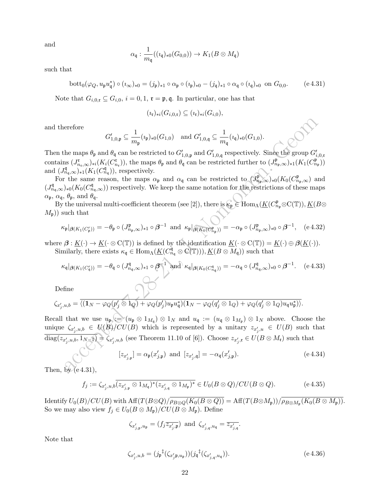and

$$
\alpha_{\mathfrak{q}}: \frac{1}{m_{\mathfrak{q}}}((\imath_{\mathfrak{q}})_{*0}(G_{0,0})) \to K_1(B \otimes M_{\mathfrak{q}})
$$

such that

$$
\mathrm{bott}_0(\varphi_Q, u_{\mathfrak{p}} u_{\mathfrak{q}}^*) \circ (i_{\infty})_{*0} = (j_{\mathfrak{p}})_{*1} \circ \alpha_{\mathfrak{p}} \circ (i_{\mathfrak{p}})_{*0} - (j_{\mathfrak{q}})_{*1} \circ \alpha_{\mathfrak{q}} \circ (i_{\mathfrak{q}})_{*0} \text{ on } G_{0,0}.
$$
 (e.4.31)

Note that  $G_{i,0,\mathfrak{r}} \subseteq G_{i,0}, i = 0,1, \mathfrak{r} = \mathfrak{p}, \mathfrak{q}$ . In particular, one has that

$$
(\iota_{\mathfrak{r}})_{*i}(G_{i,0,\mathfrak{r}}) \subseteq (\iota_{\mathfrak{r}})_{*i}(G_{i,0}),
$$

and therefore

$$
G'_{1,0,\mathfrak{p}} \subseteq \frac{1}{m_{\mathfrak{p}}}(i_{\mathfrak{p}})_{*0}(G_{1,0}) \text{ and } G'_{1,0,\mathfrak{q}} \subseteq \frac{1}{m_{\mathfrak{q}}}(i_{\mathfrak{q}})_{*0}(G_{1,0}).
$$

Then the maps  $\theta_{\rm p}$  and  $\theta_{\rm q}$  can be restricted to  $G'_{1,0,\rm p}$  and  $G'_{1,0,\rm q}$  respectively. Since the group  $G'_{i,0,\rm r}$ contains  $(J_{n_r,\infty}^{\mathfrak{r}})_{*i}(K_i(C_{n_r}^{\mathfrak{r}}))$ , the maps  $\theta_{\mathfrak{p}}$  and  $\theta_{\mathfrak{q}}$  can be restricted further to  $(J_{n_p,\infty}^{\mathfrak{p}})_{*1}(K_1(C_{n_p}^{\mathfrak{p}}))$ and  $(J_{n_q,\infty}^{\mathfrak{q}})_{*1}(K_1(C_{n_q}^{\mathfrak{q}}))$ , respectively.

For the same reason, the maps  $\alpha_{\mathfrak{p}}$  and  $\alpha_{\mathfrak{q}}$  can be restricted to  $(J_{n_{\mathfrak{p}},\infty}^{\mathfrak{p}})_{{*}0}(K_0(C_{n_{\mathfrak{p}},\infty}^{\mathfrak{p}})$  and  $(J_{n,q,\infty}^{\mathfrak{q}})_{*0}(K_0(C_{n,q,\infty}^{\mathfrak{q}}))$  respectively. We keep the same notation for the restrictions of these maps  $\alpha_{\mathfrak{p}}, \alpha_{\mathfrak{q}}, \theta_{\mathfrak{p}}, \text{ and } \theta_{\mathfrak{q}}.$ 

By the universal multi-coefficient theorem (see [2]), there is  $\kappa_{\mathfrak{p}} \in \text{Hom}_{\Lambda}(\underline{K}(C_{n_{\mathfrak{p}}}^{\mathfrak{p}}\otimes \mathrm{C}(\mathbb{T})), \underline{K}(B\otimes$  $(M_{\mathfrak{p}})$  such that

$$
\kappa_{\mathfrak{p}}|_{\beta(K_1(C_{\mathfrak{p}}'))} = -\theta_{\mathfrak{p}} \circ (J_{n_{\mathfrak{p}},\infty}^{\mathfrak{p}})_{*1} \circ \beta^{-1} \text{ and } \kappa_{\mathfrak{p}}|_{\beta(K_0(C_{n_{\mathfrak{p}}}^{\mathfrak{p}}))} = -\alpha_{\mathfrak{p}} \circ (J_{n_{\mathfrak{p}},\infty}^{\mathfrak{p}})_{*0} \circ \beta^{-1}, \quad (e \ 4.32)
$$

where  $\beta: \underline{K}(\cdot) \to \underline{K}(\cdot \otimes C(\mathbb{T}))$  is defined by the identification  $\underline{K}(\cdot \otimes C(\mathbb{T})) = \underline{K}(\cdot) \oplus \beta(\underline{K}(\cdot)).$ Similarly, there exists  $\kappa_{\mathfrak{q}} \in \text{Hom}_{\Lambda}(\underline{K}(C_{n_{\mathfrak{q}}}^{\mathfrak{q}} \otimes C(\mathbb{T}))), \underline{K}(B \otimes M_{\mathfrak{q}}))$  such that

q −1 q −1

$$
\kappa_{\mathfrak{q}}|_{\beta(K_1(C'_{\mathfrak{q}}))} = -\theta_{\mathfrak{q}} \circ (J^{\mathfrak{q}}_{n_{\mathfrak{q}},\infty})_{*1} \circ \beta^{-1} \text{ and } \kappa_{\mathfrak{q}}|_{\beta(K_0(C_{n_{\mathfrak{q}}}^{\mathfrak{q}}))} = -\alpha_{\mathfrak{q}} \circ (J^{\mathfrak{q}}_{n_{\mathfrak{q}},\infty})_{*0} \circ \beta^{-1}.
$$
 (e.4.33)

Define

$$
\zeta_{x'_j,u,b}=\overline{\langle (\mathbf{1}_N-\varphi_Q(p'_j\otimes \mathbf{1}_Q)+\varphi_Q(p'_j)u_{\mathfrak{p}}u_{\mathfrak{q}}^*)(\mathbf{1}_N-\varphi_Q(q'_j\otimes \mathbf{1}_Q)+\varphi_Q(q'_j\otimes \mathbf{1}_Q)u_{\mathfrak{q}}u_{\mathfrak{p}}^*)\rangle}.
$$

 $\label{eq:22} \begin{array}{l} \mbox{erefore} \\ G_{1,0,\mathfrak{p}}^{\bullet} \subseteq \frac{1}{m_{\mathfrak{p}}}(i_{\mathfrak{p}})_{s0}(G_{1,0}) \quad \mbox{and} \,\, G_{1,0,\mathfrak{q}}^{\prime} \subseteq \frac{1}{m_{\mathfrak{q}}}(i_{\mathfrak{q}})_{s0}(G_{1,0}).\\ \mbox{the maps $\theta_{\mathfrak{p}}$ and $\theta_{\mathfrak{q}}$ can be restricted to $G_{1,0,\mathfrak{q}}^{\prime}$ and $G_{1,0,\mathfrak{q}}^{\prime}$ respectively. Since the group $G_{1,$ Recall that we use  $u_{\mathfrak{p}} := (u_{\mathfrak{p}} \otimes 1_{M_{\mathfrak{q}}}) \otimes 1_N$  and  $u_{\mathfrak{q}} := (u_{\mathfrak{q}} \otimes 1_{M_{\mathfrak{p}}}) \otimes 1_N$  above. Choose the unique  $\zeta_{x'_j,u,b} \in U(B)/CU(B)$  which is represented by a unitary  $z_{x'_j,u} \in U(B)$  such that  $\text{diag}(z_{x'_j,u,b}, 1_{N-1}) = \zeta_{x'_j,u,b}$  (see Theorem 11.10 of [6]). Choose  $z_{x'_j,\mathfrak{r}} \in U(B \otimes M_{\mathfrak{r}})$  such that

$$
[z_{x'_{j,\mathfrak{p}}}] = \alpha_{\mathfrak{p}}(x'_{j,\mathfrak{p}}) \text{ and } [z_{x'_{j},\mathfrak{q}}] = -\alpha_{\mathfrak{q}}(x'_{j,\mathfrak{p}}). \tag{e.4.34}
$$

Then, by  $(e4.31)$ ,

$$
f_j := \zeta_{x'_j, u, b} \overline{(z_{x'_{j, \mathfrak{p}} \otimes 1_{M_{\mathfrak{q}}})^*(z_{x'_{j, \mathfrak{q}} \otimes 1_{M_{\mathfrak{p}}})^*}} \in U_0(B \otimes Q) / CU(B \otimes Q).
$$
 (e 4.35)

Identify  $U_0(B)/CU(B)$  with  $\text{Aff}(T(B\otimes Q)/\rho_{B\otimes Q}(K_0(B\otimes Q)) = \text{Aff}(T(B\otimes M_{\mathfrak{p}}))/\rho_{B\otimes M_{\mathfrak{p}}}(K_0(B\otimes M_{\mathfrak{p}})).$ So we may also view  $f_j \in U_0(B \otimes M_{\mathfrak{p}})/CU(B \otimes M_{\mathfrak{p}})$ . Define

$$
\zeta_{x'_{j,\mathfrak{p}},u_{\mathfrak{p}}} = (f_j \overline{z_{x'_{j},\mathfrak{p}}}) \text{ and } \zeta_{x'_{j,\mathfrak{q}},u_{\mathfrak{q}}} = \overline{z_{x'_{j,\mathfrak{q}}}}.
$$

Note that

$$
\zeta_{x'_j, u, b} = (j_{\mathfrak{p}}^{\dagger}(\zeta_{x'_j \mathfrak{p}, u_{\mathfrak{p}}})) (j_{\mathfrak{q}}^{\dagger}(\zeta_{x'_{j, \mathfrak{q}}, u_{\mathfrak{q}}})).
$$
\n(e.4.36)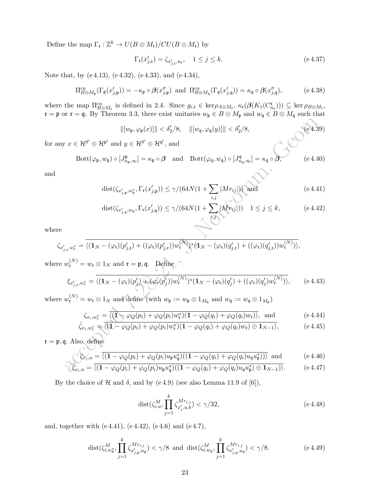Define the map  $\Gamma_{\mathfrak{r}}: \mathbb{Z}^k \to U(B \otimes M_{\mathfrak{r}})/CU(B \otimes M_{\mathfrak{r}})$  by

$$
\Gamma_{\mathfrak{r}}(x'_{j,\mathfrak{r}}) = \zeta_{x'_{j,\mathfrak{r}},u_{\mathfrak{r}}}, \quad 1 \le j \le k. \tag{e.4.37}
$$

Note that, by (e 4.13), (e 4.32), (e 4.33), and (e 4.34),

$$
\Pi_{B\otimes M_{\mathfrak{p}}}^{cu}(\Gamma_{\mathfrak{p}}(x'_{j,\mathfrak{p}})) = -\kappa_{\mathfrak{p}} \circ \beta(x''_{j,\mathfrak{p}}) \text{ and } \Pi_{B\otimes M_{\mathfrak{q}}}^{cu}(\Gamma_{\mathfrak{q}}(x'_{j,\mathfrak{q}})) = \kappa_{\mathfrak{q}} \circ \beta(x''_{j,\mathfrak{q}}), \tag{e.4.38}
$$

where the map  $\Pi_{B\otimes M_{\tau}}^{cu}$  is defined in 2.4. Since  $g_{i,\tau} \in \text{ker}\rho_{A\otimes M_{\tau}}, \ \kappa_{\tau}(\beta(K_1(C_{n_{\tau}}^{\tau}))) \subseteq \text{ker}\rho_{B\otimes M_{\tau}}$ ,  $\mathfrak{r} = \mathfrak{p}$  or  $\mathfrak{r} = \mathfrak{q}$ . By Theorem 3.3, there exist unitaries  $w_{\mathfrak{p}} \in B \otimes M_{\mathfrak{p}}$  and  $w_{\mathfrak{q}} \in B \otimes M_{\mathfrak{q}}$  such that

$$
\| [w_{\mathfrak{p}}, \varphi_{\mathfrak{p}}(x)] \| < \delta'_2/8, \quad \| [w_{\mathfrak{q}}, \varphi_{\mathfrak{q}}(y)] \| < \delta'_2/8,
$$
 (e 4.39)  
for any  $x \in \mathcal{H}^{0'} \otimes \mathcal{H}^{\mathfrak{p}'} \text{ and } y \in \mathcal{H}^{0'} \otimes \mathcal{H}^{\mathfrak{q}'}, \text{ and}$ 

$$
Bott(\varphi_{\mathfrak{p}}, w_{\mathfrak{p}}) \circ [J^{\mathfrak{p}}_{n_{\mathfrak{p}}, \infty}] = \kappa_{\mathfrak{p}} \circ \beta \quad \text{and} \quad Bott(\varphi_{\mathfrak{q}}, w_{\mathfrak{q}}) \circ [J^{\mathfrak{q}}_{n_{\mathfrak{q}}, \infty}] = \kappa_{\mathfrak{q}} \circ \beta,
$$
 (e.4.40)

and

$$
dist(\zeta_{x'_{j,\mathfrak{p}},w_{\mathfrak{p}}^*},\Gamma_{\mathfrak{r}}(x'_{j,\mathfrak{p}})) \le \gamma/(64N(1+\sum_{i,j}|Mr_{ij}|)) \text{ and } (e\,4.41)
$$

$$
\text{dist}(\zeta_{x'_{j,\mathfrak{q}},w_{\mathfrak{q}}},\Gamma_{\mathfrak{r}}(x'_{j,\mathfrak{q}})) \le \gamma/(64N(1+\sum_{i,j} |Mr_{ij}|)) \quad 1 \le j \le k,\tag{e.4.42}
$$

where

$$
\zeta_{x'_{j,\mathfrak{r}},w_{\mathfrak{r}}^*} = \overline{\langle (\mathbf{1}_N - (\varphi_{\mathfrak{r}})(p'_{j,\mathfrak{r}}) + ((\varphi_{\mathfrak{r}})(p'_{j,\mathfrak{r}}))w_{\mathfrak{r}}^{(N)} \rangle^* (\mathbf{1}_N - (\varphi_{\mathfrak{r}})(q'_{j,\mathfrak{r}}) + ((\varphi_{\mathfrak{r}})(q'_{j,\mathfrak{r}}))w_{\mathfrak{r}}^{(N)})\rangle},
$$

where  $w_{\mathfrak{r}}^{(N)}=w_{\mathfrak{r}}\otimes 1_N$  and  $\mathfrak{r}=\mathfrak{p},\mathfrak{q}$ . Define

$$
||[w_{\mathfrak{p}}, \varphi_{\mathfrak{p}}(x)]|| < \delta_{2}'/8, \quad ||[w_{\mathfrak{q}}, \varphi_{\mathfrak{q}}(y)]|| < \delta_{2}'/8,
$$
\n
$$
r x \in \mathcal{H}^{0'} \otimes \mathcal{H}^{\mathfrak{p}'} \text{ and } y \in \mathcal{H}^{0'} \otimes \mathcal{H}^{\mathfrak{q}'}, \text{ and}
$$
\n
$$
\text{Bott}(\varphi_{\mathfrak{p}}, w_{\mathfrak{p}}) \circ [J_{n_{\mathfrak{p}}, \infty}^{\mathfrak{p}}] = \kappa_{\mathfrak{p}} \circ \beta \quad \text{and} \quad \text{Bott}(\varphi_{\mathfrak{q}}, w_{\mathfrak{q}}) \circ [J_{n_{\mathfrak{q}}, \infty}^{\mathfrak{q}}] = \kappa_{\mathfrak{q}} \circ \beta,
$$
\n
$$
\text{dist}(\zeta_{x'_{j,\mathfrak{p}}, w_{\mathfrak{p}}^{\ast}}, \Gamma_{\mathfrak{r}}(x'_{j,\mathfrak{p}})) \le \gamma/(64N(1 + \sum_{i,j} |Mr_{ij}|)) \text{ and}
$$
\n
$$
\text{dist}(\zeta_{x'_{j,\mathfrak{p}}, w_{\mathfrak{p}}^{\ast}}, \Gamma_{\mathfrak{r}}(x'_{j,\mathfrak{q}})) \le \gamma/(64N(1 + \sum_{i,j} |\mathcal{M}r_{ij}|)) \quad 1 \le j \le k,
$$
\n
$$
(\text{e } 4.42)
$$
\n
$$
\zeta_{j,\mathfrak{r}}, w_{\mathfrak{r}}^{\ast} = \overline{\langle (1_N - (\varphi_{\mathfrak{r}})(p'_{j,\mathfrak{r}}) + ((\varphi_{\mathfrak{r}})(p'_{j,\mathfrak{r}}))w_{\mathfrak{r}}^{(N)} \rangle^{*}(1_N - (\varphi_{\mathfrak{r}})(q'_{j,\mathfrak{r}}) + ((\varphi_{\mathfrak{r}})(q'_{j,\mathfrak{r}}))w_{\mathfrak{r}}^{(N)})},
$$
\n
$$
w_{\mathfrak{r}}^{(N)} = w_{\mathfrak{r}} \otimes 1_N \text{ and } \mathfrak{r} = \mathfrak
$$

where  $w_{\mathfrak{r}}^{(N)} = w_{\mathfrak{r}} \otimes 1_N$  and define (with  $w_{\mathfrak{p}} := w_{\mathfrak{p}} \otimes 1_{M_{\mathfrak{q}}}$  and  $w_{\mathfrak{q}} := w_{\mathfrak{q}} \otimes 1_{M_{\mathfrak{p}}})$ 

$$
\zeta_{x_i, w_{\mathfrak{r}}^*} = \overline{\langle (1 - \varphi_Q(p_i) + \varphi_Q(p_i)w_{\mathfrak{r}}^*)(1 - \varphi_Q(q_i) + \varphi_Q(q_i)w_{\mathfrak{r}}) \rangle}, \text{ and } (e4.44)
$$
\n
$$
\zeta_{x_i, w_{\mathfrak{r}}^*} = \overline{\langle (1 - \varphi_Q(p_i) + \varphi_Q(p_i)w_{\mathfrak{r}}^*)(1 - \varphi_Q(q_i) + \varphi_Q(q_i)w_{\mathfrak{r}}) \rangle}, \text{ and } (e4.45)
$$

$$
\tilde{\zeta}_{x_i,w_{\mathfrak{r}}^*} = \overline{\langle (1 + \varphi_Q(p_i) + \varphi_Q(p_i)w_{\mathfrak{r}}^*)(1 - \varphi_Q(q_i) + \varphi_Q(q_i)w_{\mathfrak{r}}) \oplus 1_{N-1} \rangle},
$$
 (e.4.45)

 $\mathfrak{r} = \mathfrak{p}, \mathfrak{q}.$  Also, define

$$
\mathcal{L}_{x_i,u} = \overline{\langle (1 - \varphi_Q(p_i) + \varphi_Q(p_i)u_{\mathfrak{p}}u_{\mathfrak{q}}^*)(1 - \varphi_Q(q_i) + \varphi_Q(q_i)u_{\mathfrak{q}}u_{\mathfrak{p}}^*) \rangle \rangle} \text{ and } (e 4.46)
$$

$$
\widehat{\zeta_{x_i, u}} = \overline{\langle (1 - \varphi_Q(p_i) + \varphi_Q(p_i)u_{\mathfrak{p}}u_{\mathfrak{q}}^*) \langle (1 - \varphi_Q(q_i) + \varphi_Q(q_i)u_{\mathfrak{q}}u_{\mathfrak{p}}^*) \oplus 1_{N-1}) \rangle}.
$$
 (e.4.47)

By the choice of H and  $\delta$ , and by (e 4.9) (see also Lemma 11.9 of [6]),

$$
dist(\zeta_{i,u}^M, \prod_{j=1}^k \zeta_{x'_j, u, b}^{Mr_{i,j}}) < \gamma/32,
$$
\n(e 4.48)

and, together with (e 4.41), (e 4.42), (e 4.6) and (e 4.7),

$$
\text{dist}(\zeta_{i,w_{\mathfrak{p}}^*}^M, \prod_{j=1}^k \zeta_{x'_{j,\mathfrak{p}}^*,u_{\mathfrak{p}}^*}^{Mr_{i,j}}) < \gamma/8 \text{ and } \text{dist}(\zeta_{i,w_{\mathfrak{q}}}^M, \prod_{j=1}^k \zeta_{x'_{j,\mathfrak{q}}^*,u_{\mathfrak{q}}^*}^{Mr_{i,j}}) < \gamma/8. \tag{e.4.49}
$$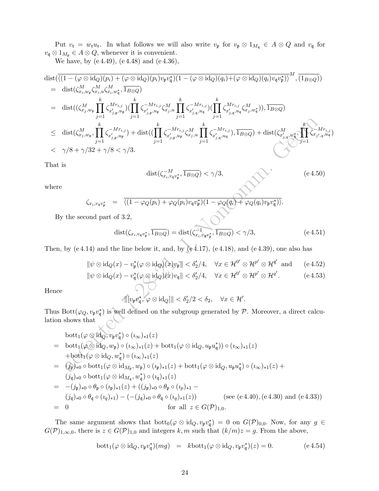Put  $v_{\mathfrak{r}} = w_{\mathfrak{r}} u_{\mathfrak{r}}$ . In what follows we will also write  $v_{\mathfrak{p}}$  for  $v_{\mathfrak{p}} \otimes 1_{M_{\mathfrak{q}}} \in A \otimes Q$  and  $v_{\mathfrak{q}}$  for  $v_{\mathfrak{q}}\otimes 1_{M_{\mathfrak{p}}}\in A\otimes Q,$  whenever it is convenient.

We have, by (e 4.49), (e 4.48) and (e 4.36),

dist(
$$
\overline{\langle (1 - (\varphi \otimes id_{Q})(p_{i}) + (\varphi \otimes id_{Q})(p_{i})v_{p}v_{q}^{*})(1 - (\varphi \otimes id_{Q})(q_{i}) + (\varphi \otimes id_{Q})(q_{i})v_{q}v_{p}^{*})^{M}, \overline{(1_{B \otimes Q})}
$$
  
\n
$$
= dist(\zeta_{x_{i},w_{p}}^{M}, \zeta_{x_{i},w_{i}}^{M}, \zeta_{x_{i},w_{i}}^{M}, \overline{1_{B \otimes Q}})
$$
\n
$$
= dist(\zeta_{x_{i},w_{p}}^{M}, \sum_{j=1}^{M} \zeta_{x_{j},w_{j}}^{M,r_{i,j}}) (\sum_{j=1}^{k} \zeta_{x_{j},w_{j}}^{M,r_{i,j}}) (\sum_{j=1}^{k} \zeta_{x_{j},w_{j}}^{M,r_{i,j}}) \overline{1_{B \otimes Q}})
$$
\n
$$
\leq dist(\zeta_{x_{j},w_{p}}^{M}, \sum_{j=1}^{k} \zeta_{x_{j},w_{j}}^{M,r_{i,j}}) + dist((\sum_{j=1}^{k} \zeta_{x_{j},w_{j}}^{M,r_{i,j}}) \sum_{j=1}^{k} \zeta_{x_{j},w_{j}}^{M,r_{i,j}}) \overline{1_{B \otimes Q}}) + dist(\zeta_{x_{j},w_{i}}^{M}, \sum_{j=1}^{k} \zeta_{x_{j},w_{i}}^{M,r_{i,j}})
$$
\n
$$
< \gamma/8 + \gamma/32 + \gamma/8 < \gamma/3.
$$
\nThat is  
\n
$$
dist(\zeta_{x_{i},v_{q}v_{p}^{*}}, \overline{1_{B \otimes Q}}) < \gamma/3,
$$
\nwhere  
\n
$$
\zeta_{x_{i},v_{q}v_{p}^{*}} = \overline{\langle (1 - \varphi_{Q}(p_{i}) + \varphi_{Q}(p_{i})v_{q}v_{p}^{*})(1 - \varphi_{Q}(q_{i}) + \varphi_{Q}(q_{i})v_{p}v_{q}^{*}) \rangle}.
$$
\nBy the second part of 3.2,  
\n
$$
dist(\zeta_{x_{i},v_{q}v_{p}^{*}}, \overline{1_{B \otimes Q}}) = dist(\zeta_{x_{i},v_{q}v_{p}^{*}}, \overline{1_{B
$$

That is

$$
\text{dist}(\zeta_{x_i, v_\mathfrak{q} v_\mathfrak{p}^*}^{-M}, \overline{1_{B \otimes Q}}) < \gamma/3,\tag{e.4.50}
$$

where

$$
\zeta_{x_i, v_{\mathfrak{q}} v_{\mathfrak{p}}^*} = \overline{\langle (1 - \varphi_Q(p_i) + \varphi_Q(p_i)v_{\mathfrak{q}} v_{\mathfrak{p}}^*) (1 - \varphi_Q(q_i) + \varphi_Q(q_i)v_{\mathfrak{p}} v_{\mathfrak{q}}^*) \rangle}.
$$
  
cond part of 3.2,

By the second part of 3.2,

$$
dist(\zeta_{x_i, v_{\mathfrak{q}}v_{\mathfrak{p}}^*}, \overline{1_{B \otimes Q}}) = dist(\zeta_{x_i, v_{\mathfrak{q}}v_{\mathfrak{p}}^*}, \overline{1_{B \otimes Q}}) < \gamma/3, \tag{e.4.51}
$$

Then, by  $(e 4.14)$  and the line below it, and, by  $(e 4.17)$ ,  $(e 4.18)$ , and  $(e 4.39)$ , one also has

$$
\|\psi \otimes \mathrm{id}_{Q}(x) - v_{\mathfrak{p}}^{*}(\varphi \otimes \mathrm{id}_{Q})(x)v_{\mathfrak{p}}\| < \delta_{2}'/4, \quad \forall x \in \mathcal{H}^{0'} \otimes \mathcal{H}^{p'} \otimes \mathcal{H}^{q'} \text{ and } (e 4.52)
$$
  

$$
\|\psi \otimes \mathrm{id}_{Q}(x) - v_{\mathfrak{q}}^{*}(\varphi \otimes \mathrm{id}_{Q})(x)v_{\mathfrak{q}}\| < \delta_{2}'/4, \quad \forall x \in \mathcal{H}^{0'} \otimes \mathcal{H}^{p'} \otimes \mathcal{H}^{q'}.
$$
 (e 4.53)

$$
\|\psi \otimes \mathrm{id}_{Q}(x) - v_{\mathfrak{q}}^{*}(\varphi \otimes \mathrm{id}_{Q})(x)v_{\mathfrak{q}}\| < \delta_{2}'/4, \quad \forall x \in \mathcal{H}^{0'} \otimes \mathcal{H}^{p'} \otimes \mathcal{H}^{q'}.
$$
 (e.4.5)

Hence

$$
\|\left[v_{\mathfrak{p}}v_{\mathfrak{q}}^*,\varphi\otimes\mathrm{id}_Q\right]\|<\delta_2'/2<\delta_2,\quad\forall x\in\mathcal{H}'.
$$

Thus Bott $(\varphi_Q, v_{\mathfrak{p}} v_{\mathfrak{q}}^*)$  is well defined on the subgroup generated by  $\mathcal P$ . Moreover, a direct calculation shows that

$$
\begin{array}{ll}\n\text{bott}_1(\varphi\otimes\text{id}_Q, v_{\mathfrak{p}}v_{\mathfrak{q}}^*) \circ (i_{\infty})_{*1}(z) \\
= & \text{bott}_1(\varphi\otimes\text{id}_Q, w_{\mathfrak{p}}) \circ (i_{\infty})_{*1}(z) + \text{bott}_1(\varphi\otimes\text{id}_Q, u_{\mathfrak{p}}u_{\mathfrak{q}}^*) \circ (i_{\infty})_{*1}(z) \\
+ & \text{bott}_1(\varphi\otimes\text{id}_Q, w_{\mathfrak{q}}^*) \circ (i_{\infty})_{*1}(z) \\
= & \text{(j}_{\mathfrak{p}})_{*0} \circ \text{bott}_1(\varphi\otimes\text{id}_{M_{\mathfrak{p}}}, w_{\mathfrak{p}}) \circ (i_{\mathfrak{p}})_{*1}(z) + \text{bott}_1(\varphi\otimes\text{id}_Q, u_{\mathfrak{p}}u_{\mathfrak{q}}^*) \circ (i_{\infty})_{*1}(z) + \\
& (j_{\mathfrak{q}})_{*0} \circ \text{bott}_1(\varphi\otimes\text{id}_{M_{\mathfrak{q}}}, w_{\mathfrak{q}}^*) \circ (i_{\mathfrak{q}})_{*1}(z) \\
= & -(j_{\mathfrak{p}})_{*0} \circ \theta_{\mathfrak{p}} \circ (i_{\mathfrak{p}})_{*1}(z) + ((j_{\mathfrak{p}})_{*0} \circ \theta_{\mathfrak{p}} \circ (i_{\mathfrak{p}})_{*1} - \\
& (j_{\mathfrak{q}})_{*0} \circ \theta_{\mathfrak{q}} \circ (i_{\mathfrak{q}})_{*1}) - (-(j_{\mathfrak{q}})_{*0} \circ \theta_{\mathfrak{q}} \circ (i_{\mathfrak{q}})_{*1}(z)) \qquad \text{(see (e 4.40), (e 4.30) and (e 4.33))} \\
= & 0 \qquad \text{for all } z \in G(\mathcal{P})_{1,0}.\n\end{array}
$$

The same argument shows that  $bot_0(\varphi \otimes id_Q, v_{\mathfrak{p}}v_{\mathfrak{q}}^*) = 0$  on  $G(\mathcal{P})_{0,0}$ . Now, for any  $g \in$  $G(\mathcal{P})_{1,\infty,0}$ , there is  $z \in G(\mathcal{P})_{1,0}$  and integers k, m such that  $(k/m)z = g$ . From the above,

$$
bott_1(\varphi \otimes id_Q, v_{\mathfrak{p}}v_{\mathfrak{q}}^*)(mg) = kbot_1(\varphi \otimes id_Q, v_{\mathfrak{p}}v_{\mathfrak{q}}^*)(z) = 0.
$$
 (e 4.54)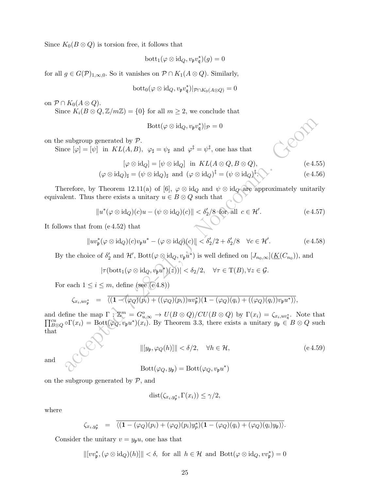Since  $K_0(B \otimes Q)$  is torsion free, it follows that

$$
\mathrm{bott}_1(\varphi\otimes\mathrm{id}_Q,v_{\mathfrak{p}}v_{\mathfrak{q}}^*)(g)=0
$$

for all  $g \in G(\mathcal{P})_{1,\infty,0}$ . So it vanishes on  $\mathcal{P} \cap K_1(A \otimes Q)$ . Similarly,

$$
\mathrm{bott}_0(\varphi\otimes\mathrm{id}_Q,v_{\mathfrak{p}}v_{\mathfrak{q}}^*)|_{\mathcal{P}\cap K_0(A\otimes Q)}=0
$$

on  $\mathcal{P} \cap K_0(A \otimes Q)$ .

Since  $K_i(B \otimes Q, \mathbb{Z}/m\mathbb{Z}) = \{0\}$  for all  $m \geq 2$ , we conclude that

$$
\text{Bott}(\varphi \otimes \text{id}_Q, v_{\mathfrak{p}} v_{\mathfrak{q}}^*)|_{\mathcal{P}} = 0
$$

on the subgroup generated by  $\mathcal{P}$ .

Since  $[\varphi] = [\psi]$  in  $KL(A, B)$ ,  $\varphi_{\sharp} = \psi_{\sharp}$  and  $\varphi^{\ddagger} = \psi^{\ddagger}$ , one has that

$$
[\varphi \otimes \mathrm{id}_Q] = [\psi \otimes \mathrm{id}_Q] \quad \text{in} \quad KL(A \otimes Q, B \otimes Q), \tag{e.4.55}
$$

$$
(\varphi \otimes \mathrm{id}_Q)_{\sharp} = (\psi \otimes \mathrm{id}_Q)_{\sharp} \text{ and } (\varphi \otimes \mathrm{id}_Q)^{\sharp} = (\psi \otimes \mathrm{id}_Q)^{\sharp}.
$$
 (e.4.56)

Therefore, by Theorem 12.11(a) of [6],  $\varphi \otimes id_Q$  and  $\psi \otimes id_Q$  are approximately unitarily equivalent. Thus there exists a unitary  $u\in B\otimes Q$  such that

$$
||u^*(\varphi \otimes id_Q)(c)u - (\psi \otimes id_Q)(c)|| < \delta'_2/8 \text{ for all } c \in \mathcal{H}'.
$$
 (e 4.57)

It follows that from (e 4.52) that

$$
||uv_{\mathfrak{p}}^*(\varphi \otimes id_Q)(c)v_{\mathfrak{p}}u^* - (\varphi \otimes id_Q)(c)|| < \delta'_2/2 + \delta'_2/8 \quad \forall c \in \mathcal{H}'.
$$
 (e.4.58)

By the choice of  $\delta'_2$  and  $\mathcal{H}'$ ,  $Bott(\varphi \otimes id_Q, v_pu^*)$  is well defined on  $[J_{n_0,\infty}](\underline{K}(C_{n_0}))$ , and

$$
|\tau(\mathrm{bott}_1(\varphi\otimes\mathrm{id}_Q, v_{\mathfrak{p}}u^*)(z))| < \delta_2/2, \quad \forall \tau \in \mathrm{T}(B), \forall z \in \mathcal{G}.
$$

For each  $1 \leq i \leq m$ , define (see (e.4.8))

$$
\zeta_{x_i,uv_p^*} = \frac{\overline{\langle (1 - (\varphi_Q)(p_i) + ((\varphi_Q)(p_i))uv_p^* \rangle (1 - (\varphi_Q)(q_i) + ((\varphi_Q)(q_i))v_pu^* ) \rangle}}{\langle \varphi_Q \rangle_{\mathcal{H}}}
$$

 $\begin{array}{ll} &\text{Bott}(\varphi\otimes \mathrm{id}_Q,v_{\overline{p}}v_{\overline{q}}^*)|p=0\\ \text{subgroup generated by }\mathcal{P},\\ \text{ce } [\varphi]=[\psi]\ \ \text{in }\ KL(A,B),\ \varphi_1=\psi_1\ \text{and }\varphi^{\dagger}=\psi^{\dagger},\ \text{one has that}\\ & [\varphi\otimes \mathrm{id}_Q]=[\psi\otimes \mathrm{id}_Q]\ \text{in }\ KL(A\otimes Q,B\otimes Q),\\ & (\varphi\otimes \mathrm{id}_Q)_{\overline{r}}=(\psi\otimes \mathrm{id}_Q)_{\overline{r}}\ \text{and }\ (\varphi\otimes \mathrm{id}_Q$ and define the map  $\Gamma : \mathbb{Z}^m = G_{u,\infty}^o \to U(B \otimes Q)/CU(B \otimes Q)$  by  $\Gamma(x_i) = \zeta_{x_i,uv_i^*}$ . Note that  $\prod_{B\otimes Q}^{cu} \circ \Gamma(x_i) = \text{Bott}(\varphi_Q, v_pu^*)(x_i)$ . By Theorem 3.3, there exists a unitary  $y_p \in B \otimes Q$  such that

and

$$
||[y_{\mathfrak{p}}, \varphi_Q(h)]|| < \delta/2, \quad \forall h \in \mathcal{H},
$$
\n
$$
(\text{e } 4.59)
$$
\n
$$
\text{Bott}(\varphi_Q, y_{\mathfrak{p}}) = \text{Bott}(\varphi_Q, v_{\mathfrak{p}} u^*)
$$

on the subgroup generated by  $P$ , and

$$
dist(\zeta_{x_i,y_p^*},\Gamma(x_i)) \le \gamma/2,
$$

where

$$
\zeta_{x_i,y_p^*} = \overline{\langle (1-(\varphi_Q)(p_i)+(\varphi_Q)(p_i)y_p^*)(1-(\varphi_Q)(q_i)+(\varphi_Q)(q_i)y_p) \rangle}.
$$

Consider the unitary  $v = y_p u$ , one has that

 $\|[vv^*_{\mathfrak{p}},(\varphi\otimes \mathrm{id}_Q)(h)]\|<\delta, \text{ for all } h\in\mathcal{H} \text{ and } \mathrm{Bott}(\varphi\otimes \mathrm{id}_Q,vv^*_{\mathfrak{p}})=0$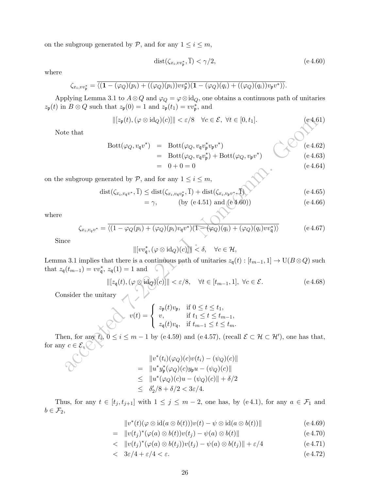on the subgroup generated by  $P$ , and for any  $1 \leq i \leq m$ ,

$$
dist(\zeta_{x_i, vv_p^*}, \overline{1}) < \gamma/2, \tag{e.4.60}
$$

where

$$
\zeta_{x_i,vv_{\mathfrak{p}}^*} = \overline{\langle (1 - (\varphi_Q)(p_i) + ((\varphi_Q)(p_i))vv_{\mathfrak{p}}^*)(1 - (\varphi_Q)(q_i) + ((\varphi_Q)(q_i))v_{\mathfrak{p}}v^*) \rangle}.
$$

Applying Lemma 3.1 to  $A \otimes Q$  and  $\varphi_Q = \varphi \otimes id_Q$ , one obtains a continuous path of unitaries  $z_{\mathfrak{p}}(t)$  in  $B \otimes Q$  such that  $z_{\mathfrak{p}}(0) = 1$  and  $z_{\mathfrak{p}}(t_1) = v v_{\mathfrak{p}}^*$ , and

$$
\| [z_{\mathfrak{p}}(t), (\varphi \otimes \mathrm{id}_{Q})(c)] \| < \varepsilon/8 \quad \forall c \in \mathcal{E}, \ \forall t \in [0, t_{1}]. \tag{e4.61}
$$

Note that

$$
||[z_{p}(t), (\varphi \otimes id_{Q})(c)]|| < \varepsilon/8 \quad \forall c \in \mathcal{E}, \forall t \in [0, t_{1}].
$$
\n
$$
= \text{Bott}(\varphi_{Q}, v_{q}v_{p}^{*}v_{p}v^{*})
$$
\n
$$
= 0 + 0 = 0
$$
\n
$$
= 0 + 0 = 0
$$
\n
$$
\text{subgroup generated by } \mathcal{P}, \text{ and for any } 1 \leq i \leq m,
$$
\n
$$
\text{dist}(\zeta_{x_{i},v_{q}v^{*}}, \overline{1}) \leq \text{dist}(\zeta_{x_{i},v_{q}v_{p}^{*}}, \overline{1}) + \text{dist}(\zeta_{x_{i},v_{p}v^{*}}, \overline{1})
$$
\n
$$
= \gamma, \qquad (\text{by (e 4.51) and (e 4.60)})
$$
\n
$$
\zeta_{x_{i},v_{q}v^{*}} = \overline{\langle (1 - \varphi_{Q}(p_{i}) + (\varphi_{Q})(p_{i})v_{q}v^{*})(\overline{1 - (\varphi_{Q})(q_{i}) + (\varphi_{Q})(q_{i})v_{q}^{*}) \rangle} \qquad (e 4.66)
$$
\n
$$
\zeta_{x_{i},v_{q}v^{*}} = \overline{\langle (1 - \varphi_{Q}(p_{i}) + (\varphi_{Q})(p_{i})v_{q}v^{*})(\overline{1 - (\varphi_{Q})(q_{i}) + (\varphi_{Q})(q_{i})v_{q}^{*}) \rangle} \qquad (e 4.67)
$$
\n
$$
\text{ace}
$$
\n
$$
||[vv_{q}^{*}, (\varphi \otimes id_{Q})(c)]|| < \delta, \quad \forall c \in \mathcal{H},
$$
\na 3.1 implies that there is a continuous path of unitaries  $z_{q}(t): [t_{m-1}, 1] \rightarrow \text{U}(B \otimes Q)$  such that\n
$$
||[z_{q}(t), (\varphi \otimes id_{Q})(c)]|| < \varepsilon/8, \quad \forall t \in [t_{m-1}, 1], \forall c \in \mathcal{E}.
$$
\n
$$
\text{inside the unitary}
$$
\n
$$
v(t) = \begin{cases} z_{p}(t)v_{p}, & \text{if }
$$

on the subgroup generated by  $P$ , and for any  $1 \leq i \leq m$ ,

$$
dist(\zeta_{x_i, v_q v^*}, \overline{1}) \leq dist(\zeta_{x_i, v_q v_p^*}, \overline{1}) + dist(\zeta_{x_i, v_p v^*}, \overline{1})
$$
\n
$$
= \gamma, \qquad (by \text{ (e 4.51) and (e 4.60)})
$$
\n
$$
(e 4.66)
$$

where

$$
\zeta_{x_i, v_q v^*} = \overline{\langle (1 - \varphi_Q(p_i) + (\varphi_Q)(p_i)v_q v^*)(1 - (\varphi_Q)(q_i) + (\varphi_Q)(q_i)v v_q^*) \rangle}
$$
 (e 4.67)

Since

$$
\| [v v_{\mathfrak{q}}^*, (\varphi \otimes \mathrm{id}_Q)(c)] \| < \delta, \quad \forall c \in \mathcal{H},
$$

Lemma 3.1 implies that there is a continuous path of unitaries  $z_{\mathfrak{q}}(t): [t_{m-1}, 1] \to \mathrm{U}(B \otimes Q)$  such that  $z_{\mathfrak{q}}(t_{m-1}) = v v_{\mathfrak{q}}^*$ ,  $z_{\mathfrak{q}}(1) = 1$  and

$$
\| [z_{\mathfrak{q}}(t), (\varphi \otimes id_{Q})(c)] \| < \varepsilon/8, \quad \forall t \in [t_{m-1}, 1], \ \forall c \in \mathcal{E}.
$$
 (e 4.68)

Consider the unitary  $\begin{array}{cc} \diagup \diagup \diagdown \end{array}$ 

$$
v(t) = \begin{cases} z_{\mathfrak{p}}(t)v_{\mathfrak{p}}, & \text{if } 0 \leq t \leq t_1, \\ v, & \text{if } t_1 \leq t \leq t_{m-1}, \\ z_{\mathfrak{q}}(t)v_{\mathfrak{q}}, & \text{if } t_{m-1} \leq t \leq t_m. \end{cases}
$$

Then, for any  $t_i$ ,  $0 \le i \le m-1$  by (e4.59) and (e4.57), (recall  $\mathcal{E} \subset \mathcal{H} \subset \mathcal{H}'$ ), one has that, for any  $c \in \mathcal{E}$ 

$$
||v^*(t_i)(\varphi_Q)(c)v(t_i) - (\psi_Q)(c)||
$$
  
=  $||u^*y_p^*(\varphi_Q)(c)y_p u - (\psi_Q)(c)||$   
 $\leq ||u^*(\varphi_Q)(c)u - (\psi_Q)(c)|| + \delta/2$   
 $\leq \delta'_2/8 + \delta/2 < 3\varepsilon/4.$ 

Thus, for any  $t \in [t_j, t_{j+1}]$  with  $1 \leq j \leq m-2$ , one has, by (e4.1), for any  $a \in \mathcal{F}_1$  and  $b \in \mathcal{F}_2$ ,

$$
||v^*(t)(\varphi \otimes id(a \otimes b(t)))v(t) - \psi \otimes id(a \otimes b(t))|| \qquad (e 4.69)
$$

$$
= \|v(t_j)^*(\varphi(a)\otimes b(t))v(t_j) - \psi(a)\otimes b(t)\|
$$
\n(e.4.70)

$$
<\quad \|v(t_j)^*(\varphi(a)\otimes b(t_j))v(t_j)-\psi(a)\otimes b(t_j)\|+\varepsilon/4\tag{e.4.71}
$$

$$
< \quad 3\varepsilon/4 + \varepsilon/4 < \varepsilon. \tag{e.4.72}
$$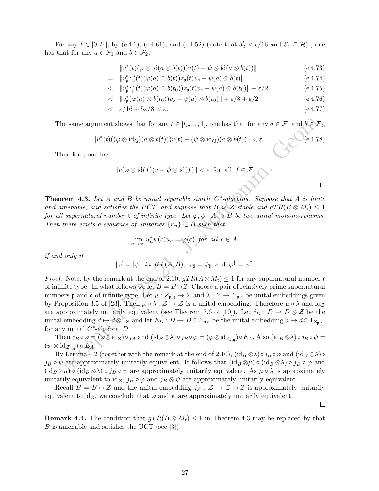For any  $t \in [0, t_1]$ , by (e4.1), (e4.61), and (e4.52) (note that  $\delta'_2 < \epsilon/16$  and  $\mathcal{E}_\mathfrak{p} \subseteq \mathcal{H}$ ), one has that for any  $a \in \mathcal{F}_1$  and  $b \in \mathcal{F}_2$ ,

$$
||v^*(t)(\varphi \otimes id(a \otimes b(t)))v(t) - \psi \otimes id(a \otimes b(t))|| \qquad (e 4.73)
$$

$$
= \|v_{\mathfrak{p}}^* z_{\mathfrak{p}}^*(t)(\varphi(a)\otimes b(t))z_{\mathfrak{p}}(t)v_{\mathfrak{p}} - \psi(a)\otimes b(t)\|
$$
 (e 4.74)

$$
<\quad \|v_p^* z_p^*(t)(\varphi(a)\otimes b(t_0)) z_p(t) v_p - \psi(a)\otimes b(t_0)\| + \varepsilon/2\tag{e.4.75}
$$

$$
<\quad \|v_{\mathfrak{p}}^*(\varphi(a)\otimes b(t_0))v_{\mathfrak{p}} - \psi(a)\otimes b(t_0)\| + \varepsilon/8 + \varepsilon/2\tag{e.4.76}
$$

 $\langle \varepsilon/16 + 5\varepsilon/8 \langle \varepsilon.$  (e.4.77)

The same argument shows that for any  $t \in [t_{m-1}, 1]$ , one has that for any  $a \in \mathcal{F}_1$  and  $b \in \mathcal{F}_2$ ,

$$
||v^*(t)((\varphi \otimes \mathrm{id}_Q)(a \otimes b(t)))v(t) - (\psi \otimes \mathrm{id}_Q)(a \otimes b(t))|| < \varepsilon.
$$
 (e.4.78)

Therefore, one has

$$
||v(\varphi \otimes id(f))v - \psi \otimes id(f)|| < \varepsilon \text{ for all } f \in \mathcal{F}.
$$

**Theorem 4.3.** Let A and B be unital separable simple  $C^*$ -algebras. Suppose that A is finite and amenable, and satisfies the UCT, and suppose that  $B$  is  $\mathcal{Z}\text{-stable}$  and  $gTR(B \otimes M_{\mathfrak{r}}) \leq 1$ for all supernatural number **r** of infinite type. Let  $\varphi, \psi : A \rightarrow B$  be two unital monomorphisms. Then there exists a sequence of unitaries  $\{u_n\} \subset B$  such that

$$
\lim_{n \to \infty} u_n^* \psi(c) u_n = \varphi(c) \text{ for all } c \in A,
$$

if and only if

$$
[\varphi]=[\psi]
$$
 in  $KL(A, B)$ ,  $\varphi_{\sharp}=\psi_{\sharp}$  and  $\varphi^{\sharp}=\psi^{\ddagger}$ .

e same argument shows that for any  $t \in [t_{m-1}, 1]$ , one has that for any  $a \in \mathcal{F}_1$  and  $b \in \mathcal{F}'$ <br>  $||v^*(t)((\varphi \otimes id(f))v - \psi \otimes id(f)|| < \varphi \otimes id(f)|| < \varphi \otimes id(f)|| < \varphi \otimes id(f)||$ <br>
erefore, one has<br>  $||v(\varphi \otimes id(f))v - \psi \otimes id(f)|| < \varphi \otimes id(f)|| < \varphi \otimes id(f$ *Proof.* Note, by the remark at the end of 2.10,  $gTR(A \otimes M_{\mathfrak{r}}) \leq 1$  for any supernatural number  $\mathfrak{r}$ of infinite type. In what follows we let  $B = B \otimes \mathcal{Z}$ . Choose a pair of relatively prime supernatural numbers **p** and **q** of infinite type. Let  $\mu$  :  $Z_{p,q} \to \mathcal{Z}$  and  $\lambda : \mathcal{Z} \to \mathcal{Z}_{p,q}$  be unital embeddings given by Proposition 3.5 of [23]. Then  $\mu \circ \lambda : \mathcal{Z} \to \mathcal{Z}$  is a unital embedding. Therefore  $\mu \circ \lambda$  and  $id_{\mathcal{Z}}$ are approximately unitarily equivalent (see Theorem 7.6 of [10]). Let  $j_D : D \to D \otimes \mathcal{Z}$  be the unital embedding  $d \mapsto d \otimes 1_{\mathcal{Z}}$  and let  $E_D : D \to D \otimes \mathcal{Z}_{\mathfrak{p},\mathfrak{q}}$  be the unital embedding  $d \mapsto d \otimes 1_{\mathcal{Z}_{\mathfrak{p},\mathfrak{q}}}$ . for any unital  $C^*$ -algebra  $D$ .

Then  $j_B \circ \varphi = (\varphi \otimes \mathrm{id}_{\mathcal{Z}}) \circ j_A$  and  $(\mathrm{id}_B \otimes \lambda) \circ j_B \circ \varphi = (\varphi \otimes \mathrm{id}_{Z_{\mathfrak{p}, \mathfrak{q}}}) \circ E_A$ . Also  $(\mathrm{id}_B \otimes \lambda) \circ j_B \circ \psi = \psi$  $(\psi \otimes \operatorname{id}_{\mathcal{Z}_{\mathfrak{p},\mathfrak{q}}}) \circ E_{A}$ 

By Lemma 4.2 (together with the remark at the end of 2.10),  $(id_B \otimes \lambda) \circ j_B \circ \varphi$  and  $(id_B \otimes \lambda) \circ j_B$  $j_B \circ \psi$  are approximately unitarily equivalent. It follows that  $(id_B \otimes \mu) \circ (id_B \otimes \lambda) \circ j_B \circ \varphi$  and  $(id_B \otimes \mu)$  (id<sub>B</sub>  $\otimes \lambda$ ) ∘ j<sub>B</sub> ∘  $\psi$  are approximately unitarily equivalent. As  $\mu \circ \lambda$  is approximately unitarily equivalent to  $id_{\mathcal{Z}}$ ,  $j_B \circ \varphi$  and  $j_B \otimes \psi$  are approximately unitarily equivalent.

Recall  $B = B \otimes \mathcal{Z}$  and the unital embedding  $j_{\mathcal{Z}} : \mathcal{Z} \to \mathcal{Z} \otimes \mathcal{Z}$  is approximately unitarily equivalent to id $\zeta$ , we conclude that  $\varphi$  and  $\psi$  are approximately unitarily equivalent.

 $\Box$ 

**Remark 4.4.** The condition that  $gTR(B \otimes M_t) \leq 1$  in Theorem 4.3 may be replaced by that B is amenable and satisfies the UCT (see [3]).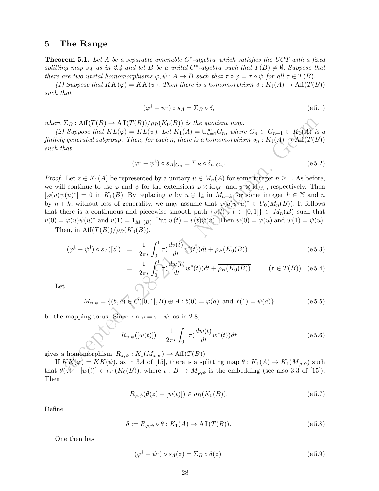## 5 The Range

**Theorem 5.1.** Let A be a separable amenable  $C^*$ -algebra which satisfies the UCT with a fixed splitting map  $s_A$  as in 2.4 and let B be a unital C<sup>\*</sup>-algebra such that  $T(B) \neq \emptyset$ . Suppose that there are two unital homomorphisms  $\varphi, \psi : A \to B$  such that  $\tau \circ \varphi = \tau \circ \psi$  for all  $\tau \in T(B)$ .

(1) Suppose that  $KK(\varphi) = KK(\psi)$ . Then there is a homomorphism  $\delta : K_1(A) \to Aff(T(B))$ such that

$$
(\varphi^{\ddagger} - \psi^{\ddagger}) \circ s_A = \Sigma_B \circ \delta, \tag{e.5.1}
$$

where  $\Sigma_B$ : Aff $(T(B) \to \text{Aff}(T(B))/\rho_B(K_0(B))$  is the quotient map.

(2) Suppose that  $KL(\varphi) = KL(\psi)$ . Let  $K_1(A) = \bigcup_{n=1}^{\infty} G_n$ , where  $G_n \subset G_{n+1} \subset K_1(A)$  is a finitely generated subgroup. Then, for each n, there is a homomorphism  $\delta_n : K_1(A) \to \text{Aff}(T(B))$ such that

$$
(\varphi^{\ddagger} - \psi^{\ddagger}) \circ s_A|_{G_n} = \Sigma_B \circ \delta_n|_{G_n}.
$$
\n
$$
(e 5.2)
$$

 $\begin{array}{l} \Sigma_D: \mathrm{Aff}(T(D) \rightarrow \mathrm{Aff}(T(D))/\overline{\rho_D(K_0(D))} \text{ is the quotient map,} \\ \mathrm{Suppose}\;that\; KL(\varphi)=KL(\psi). \;Let\; K_1(A)=\cup_{n=1}^\infty C_n, \;where\; C_n \subset C_{n+1} \subset K_1(A) \text{ is the product of } \mathrm{Sp}_2(M) \text{ is the product of } \mathrm{Sp}_2(M) \text{ is the product of } \mathrm{Sp}_2(M) \text{ is the product of } \mathrm{Sp}_2(M) \text{ is the product of } \mathrm{Sp}_2(M) \text{ is the product of } \mathrm{Sp}_2(M) \text{ is the product of } \$ *Proof.* Let  $z \in K_1(A)$  be represented by a unitary  $u \in M_n(A)$  for some integer  $n \geq 1$ . As before, we will continue to use  $\varphi$  and  $\psi$  for the extensions  $\varphi \otimes id_{M_n}$  and  $\psi \otimes id_{M_n}$ , respectively. Then  $[\varphi(u)\psi(u)^*]=0$  in  $K_1(B)$ . By replacing u by  $u \oplus 1_k$  in  $M_{n+k}$  for some integer  $k \in \mathbb{N}$  and n by  $n + k$ , without loss of generality, we may assume that  $\varphi(u)\psi(u)^* \in U_0(M_n(B))$ . It follows that there is a continuous and piecewise smooth path  $\{v(t): t \in [0,1]\} \subset M_n(B)$  such that  $v(0) = \varphi(u)\psi(u)^*$  and  $v(1) = 1_{M_n(B)}$ . Put  $w(t) = v(t)\psi(v)$ . Then  $w(0) = \varphi(u)$  and  $w(1) = \psi(u)$ .

Then, in  $\text{Aff}(T(B))/\overline{\rho_B(K_0(B))}$ ,

$$
(\varphi^{\dagger} - \psi^{\dagger}) \circ s_A([z]) = \frac{1}{2\pi i} \int_0^1 \tau(\frac{dv(t)}{dt} v^*(t)) dt + \overline{\rho_B(K_0(B))}
$$
(e 5.3)

$$
= \frac{1}{2\pi i} \int_0^1 \tau(\frac{dw(t)}{dt} w^*(t)) dt + \overline{\rho_B(K_0(B))} \qquad (\tau \in T(B)). \quad (e.5.4)
$$

Let

$$
M_{\varphi,\psi} = \{(b,a) \in C([0,1],B) \oplus A : b(0) = \varphi(a) \text{ and } b(1) = \psi(a)\}
$$
 (e 5.5)

be the mapping torus. Since  $\tau \circ \varphi = \tau \circ \psi$ , as in 2.8,

$$
R_{\varphi,\psi}([w(t)]) = \frac{1}{2\pi i} \int_0^1 \tau(\frac{dw(t)}{dt} w^*(t)) dt
$$
 (e 5.6)

gives a homomorphism  $R_{\varphi,\psi}: K_1(M_{\varphi,\psi}) \to \text{Aff}(T(B)).$ 

If  $KK(\varphi) = KK(\psi)$ , as in 3.4 of [15], there is a splitting map  $\theta : K_1(A) \to K_1(M_{\varphi,\psi})$  such that  $\theta(z) - [w(t)] \in \iota_{*1}(K_0(B))$ , where  $\iota : B \to M_{\varphi,\psi}$  is the embedding (see also 3.3 of [15]). Then

$$
R_{\varphi,\psi}(\theta(z) - [w(t)]) \in \rho_B(K_0(B)).
$$
\n<sup>(e.5.7)</sup>

Define

$$
\delta := R_{\varphi,\psi} \circ \theta : K_1(A) \to \text{Aff}(T(B)). \tag{e.5.8}
$$

One then has

$$
(\varphi^{\ddagger} - \psi^{\ddagger}) \circ s_A(z) = \Sigma_B \circ \delta(z). \tag{e.5.9}
$$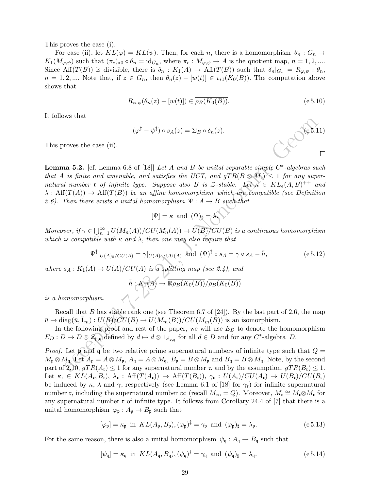This proves the case (i).

For case (ii), let  $KL(\varphi) = KL(\psi)$ . Then, for each n, there is a homomorphism  $\theta_n : G_n \to$  $K_1(M_{\varphi,\psi})$  such that  $(\pi_e)_{*0} \circ \theta_n = \mathrm{id}_{G_n}$ , where  $\pi_e: M_{\varphi,\psi} \to A$  is the quotient map,  $n = 1, 2, ...$ Since Aff(T(B)) is divisible, there is  $\delta_n : K_1(A) \to Aff(T(B))$  such that  $\delta_n|_{G_n} = R_{\varphi,\psi} \circ \theta_n$ ,  $n = 1, 2, \dots$  Note that, if  $z \in G_n$ , then  $\theta_n(z) - [w(t)] \in \iota_{*1}(K_0(B))$ . The computation above shows that

$$
R_{\varphi,\psi}(\theta_n(z) - [w(t)]) \in \overline{\rho_B(K_0(B))}.
$$
\n
$$
\tag{e.5.10}
$$

It follows that

$$
(\varphi^{\ddagger} - \psi^{\ddagger}) \circ s_A(z) = \Sigma_B \circ \delta_n(z).
$$
 (e 5.11)

This proves the case (ii).

Access the case (ii).<br>
<br>
access the case (ii).<br>
as 5.2. [cf. Lemma 6.8 of [18]] Let A and B be unital separable simple  $C^*$ -algebras su<br>
is finite and annenable, and satisfies the UCT, and gTR(B  $\otimes A_3$ )  $\leq 1$  for any **Lemma 5.2.** [cf. Lemma 6.8 of [18]] Let A and B be unital separable simple  $C^*$ -algebras such that A is finite and amenable, and satisfies the UCT, and  $qTR(B \otimes M_r) \leq 1$  for any supernatural number **r** of infinite type. Suppose also B is Z-stable. Let  $\kappa \in KL_e(A, B)^{++}$  and  $\lambda$  : Aff(T(A))  $\rightarrow$  Aff(T(B)) be an affine homomorphism which are compatible (see Definition 2.6). Then there exists a unital homomorphism  $\Psi: A \rightarrow B$  such that

$$
[\Psi]=\kappa \text{ and } (\Psi)_{\sharp}=\lambda,
$$

Moreover, if  $\gamma \in \bigcup_{n=1}^{\infty} U(M_n(A))/CU(M_n(A)) \to \widehat{U(B)}/CU(B)$  is a continuous homomorphism which is compatible with  $\kappa$  and  $\lambda$ , then one may also require that

$$
\Psi^{\ddagger}|_{U(A)_0/CU(A)} = \gamma|_{U(A)_0/CU(A)} \text{ and } (\Psi)^{\ddagger} \circ s_A = \gamma \circ s_A - \bar{h}, \qquad (e.5.12)
$$

where  $s_A : K_1(A) \to U(A)/CU(A)$  is a splitting map (see 2.4), and

$$
\bar{h}: K_1(A) \to \overline{\mathbb{R}\rho_B(K_0(B))}/\overline{\rho_B(K_0(B))}
$$

is a homomorphism.

Recall that B has stable rank one (see Theorem 6.7 of [24]). By the last part of 2.6, the map  $\overline{u} \to \text{diag}(\overline{u}, \overline{1}_m) : U(B)/CU(B) \to U(M_m(B))/CU(M_m(B))$  is an isomorphism.

In the following proof and rest of the paper, we will use  $E_D$  to denote the homomorphism  $E_D: D \to D \otimes \mathcal{Z}_{p,q}$  defined by  $d \mapsto d \otimes 1_{\mathcal{Z}_{p,q}}$  for all  $d \in D$  and for any  $C^*$ -algebra  $D$ .

*Proof.* Let **p** and **q** be two relative prime supernatural numbers of infinite type such that  $Q =$  $M_{\mathfrak{p}} \otimes M_{\mathfrak{q}}$ . Let  $A_{\mathfrak{p}} = A \otimes M_{\mathfrak{p}}$ ,  $A_{\mathfrak{q}} = A \otimes M_{\mathfrak{q}}$ ,  $B_{\mathfrak{p}} = B \otimes M_{\mathfrak{p}}$  and  $B_{\mathfrak{q}} = B \otimes M_{\mathfrak{q}}$ . Note, by the second part of 2.10,  $gTR(A_{r}) \leq 1$  for any supernatural number **r**, and by the assumption,  $gTR(B_{r}) \leq 1$ . Let  $\kappa_{\mathfrak{r}} \in KL(A_{\mathfrak{r}}, B_{\mathfrak{r}}), \ \lambda_{\mathfrak{r}} : Aff(T(A_{\mathfrak{r}})) \to Aff(T(B_{\mathfrak{r}})), \ \gamma_{\mathfrak{r}} : U(A_{\mathfrak{r}})/CU(A_{\mathfrak{r}}) \to U(B_{\mathfrak{r}})/CU(B_{\mathfrak{r}})$ be induced by  $\kappa$ ,  $\lambda$  and  $\gamma$ , respectively (see Lemma 6.1 of [18] for  $\gamma_t$ ) for infinite supernatural number **r**, including the supernatural number  $\infty$  (recall  $M_{\infty} = Q$ ). Moreover,  $M_{\mathfrak{r}} \cong M_{\mathfrak{r}} \otimes M_{\mathfrak{r}}$  for any supernatural number  $\mathfrak r$  of infinite type. It follows from Corollary 24.4 of [7] that there is a unital homomorphism  $\varphi_{\mathfrak{p}} : A_{\mathfrak{p}} \to B_{\mathfrak{p}}$  such that

$$
[\varphi_{\mathfrak{p}}] = \kappa_{\mathfrak{p}} \text{ in } KL(A_{\mathfrak{p}}, B_{\mathfrak{p}}), (\varphi_{\mathfrak{p}})^{\dagger} = \gamma_{\mathfrak{p}} \text{ and } (\varphi_{\mathfrak{p}})_{\sharp} = \lambda_{\mathfrak{p}}.
$$
 (e 5.13)

For the same reason, there is also a unital homomorphism  $\psi_{\mathfrak{q}} : A_{\mathfrak{q}} \to B_{\mathfrak{q}}$  such that

$$
[\psi_{\mathfrak{q}}] = \kappa_{\mathfrak{q}} \text{ in } KL(A_{\mathfrak{q}}, B_{\mathfrak{q}}), (\psi_{\mathfrak{q}})^{\dagger} = \gamma_{\mathfrak{q}} \text{ and } (\psi_{\mathfrak{q}})_{\sharp} = \lambda_{\mathfrak{q}}.
$$
 (e.5.14)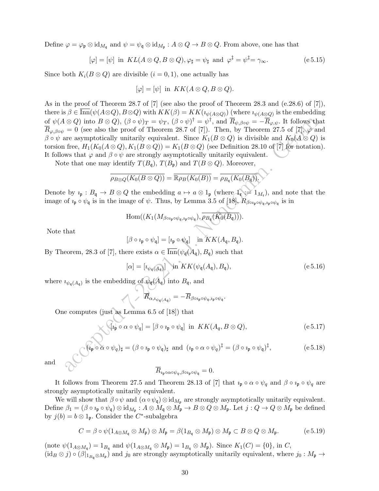Define  $\varphi = \varphi_{\mathfrak{p}} \otimes \mathrm{id}_{M_{\mathfrak{q}}}$  and  $\psi = \psi_{\mathfrak{q}} \otimes \mathrm{id}_{M_{\mathfrak{p}}} : A \otimes Q \to B \otimes Q$ . From above, one has that

$$
[\varphi] = [\psi] \text{ in } KL(A \otimes Q, B \otimes Q), \varphi_{\sharp} = \psi_{\sharp} \text{ and } \varphi^{\sharp} = \psi^{\sharp} = \gamma_{\infty}.
$$
 (e.5.15)

Since both  $K_i(B \otimes Q)$  are divisible  $(i = 0, 1)$ , one actually has

$$
[\varphi] = [\psi] \text{ in } KK(A \otimes Q, B \otimes Q).
$$

(c)  $\otimes Q$ ) into  $B \otimes Q$ ),  $(\beta \circ \psi)_T - \psi_{T}$ ,  $(\beta \circ \psi)^{\dagger} - \psi^{\dagger}$ , and  $\overline{R}_{\psi, \beta \circ \psi} = -\overline{R}_{\psi, \psi}$ . It follows the<br>  $= 0$  (see also the proof of Theorem 28.7 of [7]). Then, by Theorem 27.5 of [*X*<sub>2</sub><sup>2</sup> and  $K_0(A \otimes$ As in the proof of Theorem 28.7 of [7] (see also the proof of Theorem 28.3 and (e.28.6) of [7]), there is  $\beta \in \text{Inn}(\psi(A\otimes Q), B\otimes Q)$  with  $KK(\beta) = KK(i_{\psi(A\otimes Q)})$  (where  $i_{\psi(A\otimes Q)}$  is the embedding of  $\psi(A\otimes Q)$  into  $B\otimes Q$ ),  $(\beta\circ\psi)_T=\psi_T$ ,  $(\beta\circ\psi)^{\dagger}=\psi^{\dagger}$ , and  $\overline{R}_{\psi,\beta\circ\psi}=-\overline{R}_{\varphi,\psi}$ . It follows that  $\overline{R}_{\varphi,\beta\circ\psi} = 0$  (see also the proof of Theorem 28.7 of [7]). Then, by Theorem 27.5 of [7],  $\varphi$  and  $\beta \circ \psi$  are asymptotically unitarily equivalent. Since  $K_1(B \otimes Q)$  is divisible and  $K_0(A \otimes Q)$  is torsion free,  $H_1(K_0(A \otimes Q), K_1(B \otimes Q)) = K_1(B \otimes Q)$  (see Definition 28.10 of [7] for notation). It follows that  $\varphi$  and  $\beta \circ \psi$  are strongly asymptotically unitarily equivalent.

Note that one may identify  $T(B_q)$ ,  $T(B_p)$  and  $T(B \otimes Q)$ . Moreover,

$$
\overline{\rho_{B\otimes Q}(K_0(B\otimes Q))} = \overline{\mathbb{R}\rho_B(K_0(B))} = \overline{\rho_{B_{\mathfrak{q}}}(K_0(B_{\mathfrak{q}}))}.
$$

Denote by  $i_{\mathfrak{p}}: B_{\mathfrak{q}} \to B \otimes Q$  the embedding  $a \mapsto a \otimes 1_{\mathfrak{p}}$  (where  $1_{\mathfrak{r}} := 1_{M_{\mathfrak{r}}},$  and note that the image of  $\iota_p \circ \psi_q$  is in the image of  $\psi$ . Thus, by Lemma 3.5 of [18],  $R_{\beta \circ \iota_p \circ \psi_q, \iota_p \circ \psi_q}$  is in

$$
\mathrm{Hom}((K_1(M_{\beta\circ\imath_{\mathfrak{p}}\circ\psi_{\mathfrak{q}},\imath_{\mathfrak{p}}\circ\psi_{\mathfrak{q}}}),\overline{\rho_{B_{\mathfrak{q}}}(K_0(B_{\mathfrak{q}}))}).
$$

Note that

$$
[\beta \circ \iota_{\mathfrak{p}} \circ \psi_{\mathfrak{q}}] = [\iota_{\mathfrak{p}} \circ \psi_{\mathfrak{q}}] \quad \text{in } KK(A_{\mathfrak{q}}, B_{\mathfrak{q}}).
$$

By Theorem, 28.3 of [7], there exists  $\alpha \in \overline{\mathrm{Inn}}(\psi_{\mathfrak{q}}(A_{\mathfrak{q}}), B_{\mathfrak{q}})$  such that

$$
[\alpha] = [\iota_{\psi_{\mathfrak{q}}(A_{\mathfrak{q}})}] \text{ in } KK(\psi_{\mathfrak{q}}(A_{\mathfrak{q}}), B_{\mathfrak{q}}), \tag{e.5.16}
$$

where  $i_{\psi_{\mathfrak{q}}(A_{\mathfrak{q}})}$  is the embedding of  $\psi_{\mathfrak{q}}(A_{\mathfrak{q}})$  into  $B_{\mathfrak{q}}$ , and

$$
\mathcal{F}_{\alpha,\imath_{\psi_{\mathfrak{q}}(A_{\mathfrak{q}})}} = -\overline{R}_{\beta \circ \imath_{\mathfrak{p}} \circ \psi_{\mathfrak{q}},\imath_{\mathfrak{p}} \circ \psi_{\mathfrak{q}}}.
$$

One computes (just as Lemma 6.5 of [18]) that

$$
\mathcal{I}_{\mathfrak{p}} \circ \alpha \circ \psi_{q} = [\beta \circ \iota_{\mathfrak{p}} \circ \psi_{q}] \text{ in } KK(A_{q}, B \otimes Q), \tag{e.5.17}
$$

$$
\mathcal{C}_{\mathfrak{p}} \circ \alpha \circ \psi_{q})_{\sharp} = (\beta \circ \iota_{\mathfrak{p}} \circ \psi_{q})_{\sharp} \text{ and } (\iota_{\mathfrak{p}} \circ \alpha \circ \psi_{q})^{\sharp} = (\beta \circ \iota_{\mathfrak{p}} \circ \psi_{q})^{\sharp}, \tag{e.5.18}
$$

and

$$
\overline{R}_{i_{\mathfrak{p}}\circ\alpha\circ\psi_q,\beta\circ\imath_{\mathfrak{p}}\circ\psi_{\mathfrak{q}}} = 0.
$$

It follows from Theorem 27.5 and Theorem 28.13 of [7] that  $\iota_p \circ \alpha \circ \psi_q$  and  $\beta \circ \iota_p \circ \psi_q$  are strongly asymptotically unitarily equivalent.

We will show that  $\beta \circ \psi$  and  $(\alpha \circ \psi_{\mathfrak{q}}) \otimes id_{M_{\mathfrak{p}}}$  are strongly asymptotically unitarily equivalent. Define  $\beta_1 = (\beta \circ \imath_{\mathfrak{p}} \circ \psi_{\mathfrak{q}}) \otimes \mathrm{id}_{M_{\mathfrak{p}}} : A \otimes M_{\mathfrak{q}} \otimes M_{\mathfrak{p}} \to B \otimes Q \otimes M_{\mathfrak{p}}$ . Let  $j : Q \to Q \otimes M_{\mathfrak{p}}$  be defined by  $j(b) = b \otimes 1_p$ . Consider the C<sup>\*</sup>-subalgebra

$$
C = \beta \circ \psi(1_{A \otimes M_{\mathfrak{q}}} \otimes M_{\mathfrak{p}}) \otimes M_{\mathfrak{p}} = \beta(1_{B_{\mathfrak{q}}} \otimes M_{\mathfrak{p}}) \otimes M_{\mathfrak{p}} \subset B \otimes Q \otimes M_{\mathfrak{p}}.
$$
 (e 5.19)

(note  $\psi(1_{A\otimes M_{\mathfrak{q}}})=1_{B_{\mathfrak{q}}}$  and  $\psi(1_{A\otimes M_{\mathfrak{q}}}\otimes M_{\mathfrak{p}})=1_{B_{\mathfrak{q}}}\otimes M_{\mathfrak{p}})$ . Since  $K_1(C)=\{0\}$ , in C,  $(id_B \otimes j) \circ (\beta|_{1_{B_q} \otimes M_p})$  and  $j_0$  are strongly asymptotically unitarily equivalent, where  $j_0: M_p \to$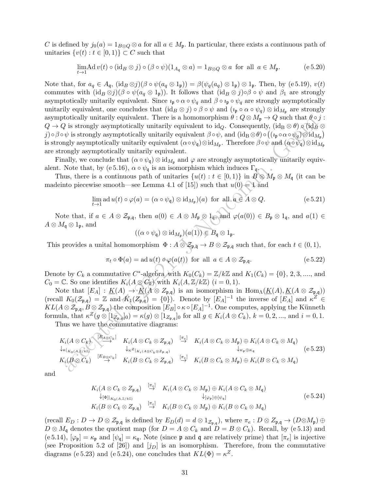C is defined by  $j_0(a) = 1_{B\otimes Q} \otimes a$  for all  $a \in M_p$ . In particular, there exists a continuous path of unitaries  $\{v(t): t \in [0,1)\} \subset C$  such that

$$
\lim_{t \to 1} \operatorname{Ad} v(t) \circ (\operatorname{id}_B \otimes j) \circ (\beta \circ \psi)(1_{A_{\mathfrak{q}}} \otimes a) = 1_{B \otimes Q} \otimes a \text{ for all } a \in M_{\mathfrak{p}}.
$$
 (e 5.20)

Note that, for  $a_q \in A_q$ ,  $(id_B \otimes j)(\beta \circ \psi(a_q \otimes 1_p)) = \beta(\psi_q(a_q) \otimes 1_p) \otimes 1_p$ . Then, by (e 5.19),  $v(t)$ commutes with  $(id_B \otimes j)(\beta \circ \psi(a_q \otimes 1_p))$ . It follows that  $(id_B \otimes j) \circ \beta \circ \psi$  and  $\beta_1$  are strongly asymptotically unitarily equivalent. Since  $\iota_{\mathfrak{p}} \circ \alpha \circ \psi_q$  and  $\beta \circ \iota_{\mathfrak{p}} \circ \psi_q$  are strongly asymptotically unitarily equivalent, one concludes that  $(id_B \otimes j) \circ \beta \circ \psi$  and  $(\iota_{\mathfrak{p}} \circ \alpha \circ \psi_q) \otimes id_{M_{\mathfrak{p}}}$  are strongly asymptotically unitarily equivalent. There is a homomorphism  $\theta : Q \otimes M_{\mathfrak{p}} \to Q$  such that  $\theta \circ j$ :  $Q \to Q$  is strongly asymptotically unitarily equivalent to id<sub>Q</sub>. Consequently, (id<sub>B</sub>  $\otimes \theta$ )  $\circ$  (id<sub>B</sub>  $\otimes$  $j) \circ \beta \circ \psi$  is strongly asymptotically unitarily equivalent  $\beta \circ \psi$ , and  $(\mathrm{id}_B \otimes \theta) \circ ((\imath_\mathfrak{p} \circ \alpha \circ \psi_q) \otimes \mathrm{id}_{M_\mathfrak{p}})$ is strongly asymptotically unitarily equivalent  $(\alpha \circ \psi_{\mathfrak{q}}) \otimes \mathrm{id}_{M_{\mathfrak{p}}}$ . Therefore  $\beta \circ \psi$  and  $(\alpha \circ \psi_{\mathfrak{q}}) \otimes \mathrm{id}_{M_{\mathfrak{p}}}$ are strongly asymptotically unitarily equivalent.

Finally, we conclude that  $(\alpha \circ \psi_{\mathfrak{q}}) \otimes id_{M_{\mathfrak{p}}}$  and  $\varphi$  are strongly asymptotically unitarily equivalent. Note that, by (e 5.16),  $\alpha \circ \psi_{\mathfrak{q}}$  is an isomorphism which induces  $\Gamma_{\mathfrak{q}}$ .

Thus, there is a continuous path of unitaries  $\{u(t): t \in [0,1)\}\$ in  $B \otimes M_{\mathfrak{p}} \otimes M_{\mathfrak{q}}$  (it can be madeinto piecewise smooth—see Lemma 4.1 of [15]) such that  $u(0) = 1$  and

$$
\lim_{t \to 1} \operatorname{ad} u(t) \circ \varphi(a) = (\alpha \circ \psi_{\mathfrak{q}}) \otimes \operatorname{id}_{M_{\mathfrak{p}}}(a) \text{ for all } a \in A \otimes Q.
$$
 (e 5.21)

Note that, if  $a \in A \otimes \mathcal{Z}_{\mathfrak{p},\mathfrak{q}}$ , then  $a(0) \in A \otimes M_{\mathfrak{p}} \otimes 1_{\mathfrak{q}},$  and  $\varphi(a(0)) \in B_{\mathfrak{p}} \otimes 1_{\mathfrak{q}},$  and  $a(1) \in A \otimes M \otimes 1_{\mathfrak{q}}$ .  $A \otimes M_{\mathfrak{q}} \otimes 1_{\mathfrak{p}},$  and

$$
((\alpha \circ \psi_{\mathfrak{q}}) \otimes \mathrm{id}_{M_{\mathfrak{p}}})(a(1)) \in B_{\mathfrak{q}} \otimes 1_{\mathfrak{p}}.
$$

This provides a unital homomorphism  $\Phi: A \otimes \mathcal{Z}_{\mathfrak{p},\mathfrak{q}} \to B \otimes \mathcal{Z}_{\mathfrak{p},\mathfrak{q}}$  such that, for each  $t \in (0,1)$ ,

$$
\pi_t \circ \Phi(a) = \text{ad } u(t) \circ \varphi(a(t)) \text{ for all } a \in A \otimes \mathcal{Z}_{\mathfrak{p}, \mathfrak{q}}.
$$
 (e 5.22)

Denote by  $C_k$  a commutative  $C^*$ -algebra with  $K_0(C_k) = \mathbb{Z}/k\mathbb{Z}$  and  $K_1(C_k) = \{0\}, 2, 3, \dots,$  and  $C_0 = \mathbb{C}$ . So one identifies  $K_i(A \otimes C_k)$  with  $K_i(A, \mathbb{Z}/k\mathbb{Z})$   $(i = 0, 1)$ .

Note that  $[E_A] : \underline{K}(A) \to \underline{K}(A \otimes Z_{\mathfrak{p},\mathfrak{q}})$  is an isomorphism in  $\text{Hom}_{\Lambda}(\underline{K}(A), \underline{K}(A \otimes Z_{\mathfrak{p},\mathfrak{q}}))$ (recall  $K_0(\mathcal{Z}_{\mathfrak{p},\mathfrak{q}}) = \mathbb{Z}$  and  $K_1(\mathcal{Z}_{\mathfrak{p},\mathfrak{q}}) = \{0\}$ ). Denote by  $[E_A]^{-1}$  the inverse of  $[E_A]$  and  $\kappa^Z \in$  $KL(A \otimes \mathcal{Z}_{\mathfrak{p},\mathfrak{q}}, B \otimes \mathcal{Z}_{\mathfrak{p},\mathfrak{q}})$  the composition  $[E_B] \circ \kappa \circ [E_A]^{-1}$ . One computes, applying the Künneth formula, that  $\kappa^Z(g \otimes [1_{\mathbb{Z}_{p,q}}]_0) = \kappa(g) \otimes [1_{\mathbb{Z}_{p,q}}]_0$  for all  $g \in K_i(A \otimes C_k)$ ,  $k = 0, 2, ...,$  and  $i = 0, 1$ . Thus we have the commutative diagrams:

accepted 7-28-21, J. Noncomm. Geom Ki(A ⊗ Ck) [EA⊗Ck ] −→ Ki(A ⊗ C<sup>k</sup> ⊗ Z<sup>p</sup>,<sup>q</sup>) [πe] <sup>→</sup> <sup>K</sup>i(<sup>A</sup> <sup>⊗</sup> <sup>C</sup><sup>k</sup> <sup>⊗</sup> <sup>M</sup>p) <sup>⊕</sup> <sup>K</sup>i(<sup>A</sup> <sup>⊗</sup> <sup>C</sup><sup>k</sup> <sup>⊗</sup> <sup>M</sup>q) ↓κ|K0(A,Z/kZ) ↓κ<sup>Z</sup> <sup>|</sup>Ki (A⊗Ck⊗Zp,q) ↓<sup>κ</sup>p⊕κ<sup>q</sup> Ki(B ⊗ Ck) [EB⊗Ck ] → Ki(B ⊗ C<sup>k</sup> ⊗ Z<sup>p</sup>,<sup>q</sup>) [πe] <sup>→</sup> <sup>K</sup>i(<sup>B</sup> <sup>⊗</sup> <sup>C</sup><sup>k</sup> <sup>⊗</sup> <sup>M</sup>p) <sup>⊕</sup> <sup>K</sup>i(<sup>B</sup> <sup>⊗</sup> <sup>C</sup><sup>k</sup> <sup>⊗</sup> <sup>M</sup>q) (e 5.23)

and

$$
K_{i}(A \otimes C_{k} \otimes Z_{\mathfrak{p},\mathfrak{q}}) \stackrel{[\pi_{e}]}{\to} K_{i}(A \otimes C_{k} \otimes M_{\mathfrak{p}}) \oplus K_{i}(A \otimes C_{k} \otimes M_{\mathfrak{q}})
$$
  
\n
$$
\downarrow_{[\varphi_{1}]|_{K_{0}(A,\mathbb{Z}/k\mathbb{Z})}} \downarrow_{[\varphi_{\mathfrak{p}}] \oplus [\psi_{\mathfrak{q}}]} (e 5.24)
$$
  
\n
$$
K_{i}(B \otimes C_{k} \otimes Z_{\mathfrak{p},\mathfrak{q}}) \stackrel{[\pi_{e}]}{\to} K_{i}(B \otimes C_{k} \otimes M_{\mathfrak{p}}) \oplus K_{i}(B \otimes C_{k} \otimes M_{\mathfrak{q}})
$$

 $(\text{recall } E_D: D \to D \otimes \mathcal{Z}_{\mathfrak{p},\mathfrak{q}} \text{ is defined by } E_D(d) = d \otimes 1_{\mathcal{Z}_{\mathfrak{p},\mathfrak{q}}}\text{), where } \pi_e: D \otimes \mathcal{Z}_{\mathfrak{p},\mathfrak{q}} \to (D \otimes M_{\mathfrak{p}}) \oplus \mathfrak{p}$  $D \otimes M_{\mathfrak{q}}$  denotes the quotient map (for  $D = A \otimes C_k$  and  $D = B \otimes C_k$ ). Recall, by (e 5.13) and (e 5.14),  $[\varphi_{\mathfrak{p}}] = \kappa_{\mathfrak{p}}$  and  $[\psi_{\mathfrak{q}}] = \kappa_{\mathfrak{q}}$ . Note (since  $\mathfrak{p}$  and  $\mathfrak{q}$  are relatively prime) that  $[\pi_e]$  is injective (see Proposition 5.2 of [26]) and  $[j_D]$  is an isomorphism. Therefore, from the commutative diagrams (e 5.23) and (e 5.24), one concludes that  $KL(\Phi) = \kappa^Z$ .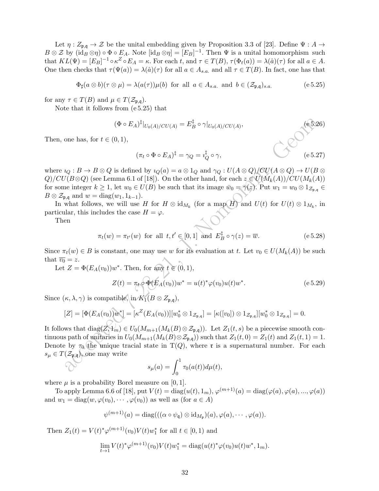Let  $\eta: Z_{\mathfrak{p},\mathfrak{q}} \to \mathcal{Z}$  be the unital embedding given by Proposition 3.3 of [23]. Define  $\Psi: A \to$  $B \otimes \mathcal{Z}$  by  $(\text{id}_B \otimes \eta) \circ \Phi \circ E_A$ . Note  $[\text{id}_B \otimes \eta] = [E_B]^{-1}$ . Then  $\Psi$  is a unital homomorphism such that  $KL(\Psi) = [E_B]^{-1} \circ \kappa^Z \circ E_A = \kappa$ . For each t, and  $\tau \in T(B)$ ,  $\tau(\Phi_t(a)) = \lambda(\hat{a})(\tau)$  for all  $a \in A$ . One then checks that  $\tau(\Psi(a)) = \lambda(\hat{a})(\tau)$  for all  $a \in A_{s,a}$  and all  $\tau \in T(B)$ . In fact, one has that

$$
\Phi_{\sharp}(a \otimes b)(\tau \otimes \mu) = \lambda(a(\tau))\mu(b) \text{ for all } a \in A_{s.a.} \text{ and } b \in (\mathcal{Z}_{\mathfrak{p},\mathfrak{q}})_{s.a.}
$$
 (e 5.25)

for any  $\tau \in T(B)$  and  $\mu \in T(\mathcal{Z}_{\mathfrak{p},\mathfrak{q}})$ .

Note that it follows from (e 5.25) that

$$
(\Phi \circ E_A)^{\dagger}|_{U_0(A)/CU(A)} = E_B^{\dagger} \circ \gamma|_{U_0(A)/CU(A)},
$$
\n(6.5.26)

Then, one has, for  $t \in (0,1)$ ,

$$
(\pi_t \circ \Phi \circ E_A)^{\ddagger} = \gamma_Q = i_Q^{\ddagger} \circ \gamma,
$$
 (e 5.27)

where  $i_Q : B \to B \otimes Q$  is defined by  $i_Q(a) = a \otimes 1_Q$  and  $\gamma_Q : U(A \otimes Q)/\mathbb{C}U(A \otimes Q) \to U(B \otimes Q)$  $Q$ /CU(B⊗Q) (see Lemma 6.1 of [18]). On the other hand, for each  $z \in U(M_k(A))/CU(M_k(A))$ for some integer  $k \geq 1$ , let  $w_0 \in U(B)$  be such that its image  $\bar{w}_0 = \gamma(z)$ . Put  $w_1 = w_0 \otimes 1_{\mathcal{Z}_{p,q}} \in$  $B \otimes \mathcal{Z}_{\mathfrak{p},\mathfrak{q}}$  and  $w = \text{diag}(w_1, 1_{k-1}).$ 

In what follows, we will use H for  $H \otimes id_{M_k}$  (for a map H) and  $U(t)$  for  $U(t) \otimes 1_{M_k}$ , in particular, this includes the case  $H = \varphi$ .

Then

$$
\pi_t(w) = \pi_{t'}(w) \text{ for all } t, t' \in [0, 1] \text{ and } E_B^{\ddagger} \circ \gamma(z) = \overline{w}.
$$
 (e 5.28)

Since  $\pi_t(w) \in B$  is constant, one may use w for its evaluation at t. Let  $v_0 \in U(M_k(A))$  be such that  $\overline{v_0} = z$ .

Let  $Z = \Phi(E_A(v_0))w^*$ . Then, for any  $t \in (0,1)$ ,

$$
Z(t) = \pi_t \circ \Phi(E_A(v_0)) w^* = u(t)^* \varphi(v_0) u(t) w^*.
$$
 (e 5.29)

Since  $(\kappa, \lambda, \gamma)$  is compatible, in  $K_1(B \otimes Z_{\mathfrak{p}, \mathfrak{q}})$ ,

$$
[Z] = [\Phi(E_A(v_0))w^*] = [\kappa^Z(E_A(v_0))][w_0^* \otimes 1_{\mathcal{Z}_{\mathfrak{p},\mathfrak{q}}}] = [\kappa([v_0]) \otimes 1_{\mathcal{Z}_{\mathfrak{p},\mathfrak{q}}}] [w_0^* \otimes 1_{\mathcal{Z}_{\mathfrak{p},\mathfrak{q}}}] = 0.
$$

 $\begin{array}{l} (\Phi\circ E_A)^{\frac{1}{2}}|_{U_0(A)/CU(A)}=E_B^{\frac{1}{2}}\circ\gamma|_{U_0(A)/CU(A)},\\[2mm] \mbox{one has, for $t\in (0,1)$},\\[2mm] (\pi_t\circ\Phi\circ E_A)^{\frac{1}{2}}=\gamma_Q-\imath_Q^{\frac{1}{2}}\circ\gamma,\\[2mm] l_2:B\to B\otimes Q\mbox{ is defined by $u_Q(a)=a\otimes 1_Q$ and $\gamma_Q:U(A\otimes Q)(CU(A\otimes Q)\to U(B)\wedge U(B\otimes Q)$ and $U_0(A\otimes Q)\to U(B\otimes Q)$ and $U_0(A\otimes Q$ It follows that diag( $Z, Y_m$ ) ∈  $U_0(M_{m+1}(M_k(B) \otimes \mathcal{Z}_{\mathfrak{p},\mathfrak{q}}))$ . Let  $Z_1(t,s)$  be a piecewise smooth continuous path of unitaries in  $U_0(M_{m+1}(M_k(B)\otimes \mathcal{Z}_{\mathfrak{p},\mathfrak{q}}))$  such that  $Z_1(t,0) = Z_1(t)$  and  $Z_1(t,1) = 1$ . Denote by  $\tau_0$  the unique tracial state in T(Q), where **r** is a supernatural number. For each  $s_{\mu} \in T(\mathcal{Z}_{\mathfrak{p},q})$ , one may write

$$
s_{\mu}(a) = \int_0^1 \tau_0(a(t))d\mu(t),
$$

where  $\mu$  is a probability Borel measure on [0, 1].

To apply Lemma 6.6 of [18], put  $V(t) = \text{diag}(u(t), 1_m)$ ,  $\varphi^{(m+1)}(a) = \text{diag}(\varphi(a), \varphi(a), ..., \varphi(a))$ and  $w_1 = \text{diag}(w, \varphi(v_0), \dots, \varphi(v_0))$  as well as (for  $a \in A$ )

$$
\psi^{(m+1)}(a)=\mathrm{diag}(((\alpha\circ\psi_{\mathfrak{q}})\otimes\mathrm{id}_{M_{\mathfrak{p}}})(a),\varphi(a),\cdots,\varphi(a)).
$$

Then  $Z_1(t) = V(t)^* \varphi^{(m+1)}(v_0) V(t) w_1^*$  for all  $t \in [0, 1)$  and

$$
\lim_{t \to 1} V(t)^* \varphi^{(m+1)}(v_0) V(t) w_1^* = \text{diag}(u(t)^* \varphi(v_0) u(t) w^*, 1_m).
$$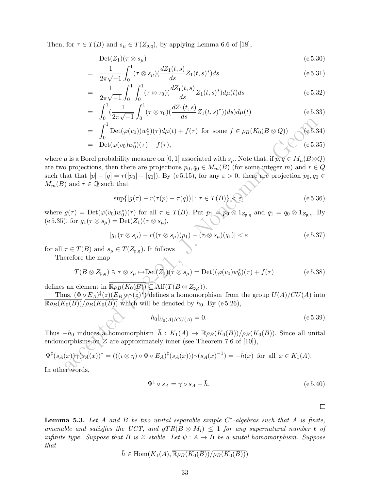Then, for  $\tau \in T(B)$  and  $s_{\mu} \in T(Z_{\mathfrak{p},\mathfrak{q}})$ , by applying Lemma 6.6 of [18],

$$
Det(Z_1)(\tau \otimes s_{\mu}) \tag{e 5.30}
$$

$$
= \frac{1}{2\pi\sqrt{-1}} \int_0^1 (\tau \otimes s_\mu) (\frac{dZ_1(t,s)}{ds} Z_1(t,s)^*) ds \tag{e.5.31}
$$

$$
= \frac{1}{2\pi\sqrt{-1}} \int_0^1 \int_0^1 (\tau \otimes \tau_0) (\frac{dZ_1(t,s)}{ds} Z_1(t,s)^*) d\mu(t) ds \qquad (e 5.32)
$$

$$
= \int_0^1 \left(\frac{1}{2\pi\sqrt{-1}} \int_0^1 (\tau \otimes \tau_0) \left(\frac{dZ_1(t,s)}{ds} Z_1(t,s)^*)\right) ds\right) d\mu(t) \tag{e 5.33}
$$

$$
= \int_0^1 \mathrm{Det}(\varphi(v_0))w_0^*)(\tau)d\mu(t) + f(\tau) \text{ for some } f \in \rho_B(K_0(B \otimes Q))
$$
 (e5.34)  
=  $\mathrm{Det}(\varphi(v_0)w_0^*)(\tau) + f(\tau),$  (e5.35)

 $\begin{array}{ll} \displaystyle{J_0=2s\sqrt{-1}}\,J_0 & \displaystyle{J_0=2s\sqrt{-1}}\,J_1 & \displaystyle{J_1=\sqrt{1}}\,J_2 & \displaystyle{J_2=\sqrt{1}}\,J_3 & \displaystyle{J_3=\sqrt{1}}\,J_4 & \displaystyle{J_4=\sqrt{1}}\,J_5 & \displaystyle{J_5=\sqrt{1}}\,J_6 & \displaystyle{J_6=\sqrt{1}}\,J_7 & \displaystyle{J_7=\sqrt{1}}\,J_8 & \displaystyle{J_7=\sqrt{1}}\,J_9 & \displaystyle{J_8=\sqrt{1}}\,J_9 & \displaystyle{J_8=\sqrt$ where  $\mu$  is a Borel probability measure on [0, 1] associated with  $s_{\mu}$ . Note that, if  $p, q \in M_n(B \otimes Q)$ are two projections, then there are projections  $p_0, q_0 \in M_m(B)$  (for some integer m) and  $r \in Q$ such that that  $[p] - [q] = r([p_0] - [q_0])$ . By (e 5.15), for any  $\varepsilon > 0$ , there are projection  $p_0, q_0 \in$  $M_m(B)$  and  $r \in \mathbb{Q}$  such that

$$
\sup\{|g(\tau) - r(\tau(p) - \tau(q))| : \tau \in T(B)\} < \varepsilon,
$$
\n
$$
(e 5.36)
$$

where  $g(\tau) = \mathrm{Det}(\varphi(v_0)w_0^*)(\tau)$  for all  $\tau \in T(B)$ . Put  $p_1 = p_0 \otimes 1_{Z_{\mathfrak{p},\mathfrak{q}}}\text{ and } q_1 = q_0 \otimes 1_{Z_{\mathfrak{p},\mathfrak{q}}}\text{. By}$ (e 5.35), for  $g_1(\tau \otimes s_\mu) = \text{Det}(Z_1)(\tau \otimes s_\mu),$ 

$$
|g_1(\tau \otimes s_\mu) - r((\tau \otimes s_\mu)(p_1) - (\tau \otimes s_\mu)(q_1)| < \varepsilon
$$
 (e 5.37)

for all  $\tau \in T(B)$  and  $s_{\mu} \in T(Z_{\mathfrak{p},\mathfrak{q}})$ . It follows

Therefore the map

$$
T(B \otimes Z_{\mathfrak{p},\mathfrak{q}}) \ni \tau \otimes s_{\mu} \mapsto Det(Z_1)(\tau \otimes s_{\mu}) = Det((\varphi(v_0)w_0^*)(\tau) + f(\tau)
$$
(e 5.38)

defines an element in  $\overline{\mathbb{R}\rho_B(K_0(B))}$   $\subseteq$  Aff( $T(B \otimes Z_{\mathfrak{p},\mathfrak{q}})$ ).

Thus,  $(\Phi \circ E_A)^{\dagger}(z) (E_B \circ \gamma(z)^*)$  defines a homomorphism from the group  $U(A)/CU(A)$  into  $\frac{\overline{\mathbb{R}\rho_B(K_0(B))}}{\mathbb{R}\rho_B(K_0(B))}$  which will be denoted by  $h_0$ . By (e 5.26),

$$
h_0|_{U_0(A)/CU(A)} = 0.\t\t(e 5.39)
$$

Thus  $-h_0$  induces a homomorphism  $\bar{h}: K_1(A) \to \overline{\mathbb{R}\rho_B(K_0(B))}/\overline{\rho_B(K_0(B))}$ . Since all unital endomorphisms on  $\mathcal Z$  are approximately inner (see Theorem 7.6 of [10]),

$$
\Psi^{\ddagger}(s_A(x))\gamma(s_A(x))^* = (((\omega \eta) \circ \Phi \circ E_A)^{\ddagger}(s_A(x)))\gamma(s_A(x)^{-1}) = -\bar{h}(x) \text{ for all } x \in K_1(A).
$$
  
In other words,

$$
\Psi^{\ddagger} \circ s_A = \gamma \circ s_A - \bar{h}.\tag{e.5.40}
$$

 $\Box$ 

**Lemma 5.3.** Let A and B be two unital separable simple  $C^*$ -algebras such that A is finite, amenable and satisfies the UCT, and  $gTR(B \otimes M_r) \leq 1$  for any supernatural number  $\mathfrak r$  of infinite type. Suppose that B is Z-stable. Let  $\psi : A \to B$  be a unital homomorphism. Suppose that

$$
\bar{h} \in \text{Hom}(K_1(A), \overline{\mathbb{R}\rho_B(K_0(B))}/\overline{\rho_B(K_0(B))})
$$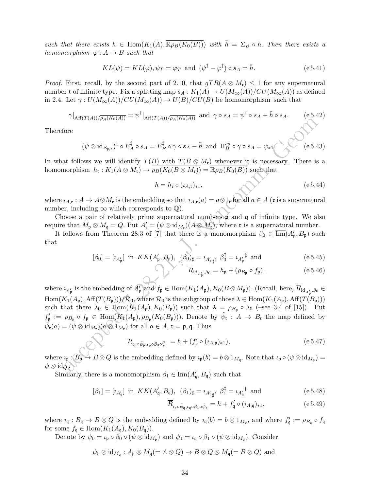such that there exists  $h \in \text{Hom}(K_1(A), \overline{\mathbb{R}\rho_B(K_0(B))})$  with  $\overline{h} = \Sigma_B \circ h$ . Then there exists a homomorphism  $\varphi: A \to B$  such that

$$
KL(\psi) = KL(\varphi), \psi_T = \varphi_T \text{ and } (\psi^{\dagger} - \varphi^{\dagger}) \circ s_A = \bar{h}.
$$
 (e.5.41)

*Proof.* First, recall, by the second part of 2.10, that  $qTR(A \otimes M_{r}) \leq 1$  for any supernatural number **r** of infinite type. Fix a splitting map  $s_A : K_1(A) \to U(M_\infty(A))/CU(M_\infty(A))$  as defined in 2.4. Let  $\gamma: U(M_\infty(A))/CU(M_\infty(A)) \to U(B)/CU(B)$  be homomorphism such that

$$
\gamma|_{\text{Aff}(T(A))/\overline{\rho_A(K_0(A))}} = \psi^{\ddagger}|_{\text{Aff}(T(A))/\overline{\rho_A(K_0(A))}} \text{ and } \gamma \circ s_A = \psi^{\ddagger} \circ s_A + \bar{h} \circ s_A. \tag{e.5.42}
$$

Therefore

$$
(\psi \otimes id_{\mathcal{Z}_{\mathfrak{p},\mathfrak{q}}})^{\sharp} \circ E_A^{\sharp} \circ s_A = E_B^{\sharp} \circ \gamma \circ s_A - \bar{h} \text{ and } \Pi_B^{cu} \circ \gamma \circ s_A = \psi_{*1} \qquad (e \ 5.43)
$$

In what follows we will identify  $T(B)$  with  $T(B \otimes M_{\mathfrak{r}})$  whenever it is necessary. There is a homomorphism  $h_{\mathfrak{r}}: K_1(A \otimes M_{\mathfrak{r}}) \to \overline{\rho_B(K_0(B \otimes M_{\mathfrak{r}}))} = \overline{\mathbb{R}\rho_B(K_0(B))}$  such that

$$
h = h_{\mathfrak{r}} \circ (i_{A,\mathfrak{r}})_{*1},\tag{e.5.44}
$$

where  $i_{A,\mathfrak{r}}: A \to A \otimes M_{\mathfrak{r}}$  is the embedding so that  $i_{A,\mathfrak{r}}(a) = a \otimes 1_{\mathfrak{r}}$  for all  $a \in A$  ( $\mathfrak{r}$  is a supernatural number, including  $\infty$  which corresponds to  $\mathbb{Q}$ ).

Choose a pair of relatively prime supernatural numbers p and q of infinite type. We also require that  $M_{\mathfrak{p}} \otimes M_{\mathfrak{q}} = Q$ . Put  $A'_{\mathfrak{r}} = (\psi \otimes \mathrm{id}_{M_{\mathfrak{r}}})(A \otimes M_{\mathfrak{r}})$ , where  $\mathfrak{r}$  is a supernatural number.

It follows from Theorem 28.3 of [7] that there is a monomorphism  $\beta_0 \in \overline{\text{Inn}}(A'_{\mathfrak{p}}, B_{\mathfrak{p}})$  such that

$$
[\beta_0] = [\iota_{A'_{\mathfrak{p}}}] \text{ in } KK(A'_{\mathfrak{p}}, B_{\mathfrak{p}}), \ (\beta_0)_{\sharp} = \iota_{A'_{\mathfrak{p}}_{\sharp}}, \ \beta_0^{\ddagger} = \iota_{A'_{\mathfrak{p}}}^{\ddagger} \text{ and } (\text{e } 5.45)
$$

$$
\overline{R}_{\mathrm{id}_{A'_{\mathfrak{p}}},\beta_0} = h_{\mathfrak{p}} + (\rho_{B_{\mathfrak{p}}} \circ f_{\mathfrak{p}}),\tag{e.5.46}
$$

 $\label{eq:21} \begin{array}{ll} \text{Var}(I(A))/\rho_A(Ke(A)) & \longrightarrow \text{Var}(I(A))/\rho_A(Ke(A)) & \longrightarrow \text{Var}(I(A))/\rho_B(Ke(A)) & \longrightarrow \text{Var}(I(A))/\rho_B(Ke(A)) & \longrightarrow \text{Var}(I(A))\\ \text{for} \quad \text{for } \quad \text{for } \quad \text{for } \quad \text{for } \quad \text{for } \quad \text{for } \quad \text{for } \quad \text{for } \quad \text{for } \quad \text{for } \quad \text{for } \quad \text{for } \quad \text{for } \quad \text{for } \quad \text{for } \quad \text{for } \quad \text{for }$ where  $i_{A'_\mathfrak{p}}$  is the embedding of  $A'_\mathfrak{p}$  and  $f_\mathfrak{p} \in \text{Hom}(K_1(A_\mathfrak{p}), K_0(B \otimes M_\mathfrak{p}))$ . (Recall, here,  $\overline{R}_{\text{id}_{A'_\mathfrak{p}},\beta_0} \in$  $\text{Hom}(K_1(A_{\mathfrak{p}}), \text{Aff}(T(B_{\mathfrak{p}})))/\mathcal{R}_0$ , where  $\mathcal{R}_0$  is the subgroup of those  $\lambda \in \text{Hom}(K_1(A_{\mathfrak{p}}), \text{Aff}(T(B_{\mathfrak{p}})))$ such that there  $\lambda_0 \in \text{Hom}(K_1(A_{\mathfrak{p}}), K_0(B_{\mathfrak{p}}))$  such that  $\lambda = \rho_{B_{\mathfrak{p}}} \circ \lambda_0$  (–see 3.4 of [15]). Put  $f'_\mathfrak{p} := \rho_{B_\mathfrak{p}} \circ f_\mathfrak{p} \in \text{Hom}(K_\mathfrak{p}(A_\mathfrak{p}), \rho_{B_\mathfrak{p}}(K_0(B_\mathfrak{p})))$ . Denote by  $\tilde{\psi}_\mathfrak{r} : A \to B_\mathfrak{r}$  the map defined by  $\tilde{\psi}_{\mathfrak{r}}(a) = (\psi \otimes \mathrm{id}_{M_{\mathfrak{r}}})(a \otimes \mathfrak{1}_{M_{\mathfrak{r}}})$  for all  $a \in A$ ,  $\mathfrak{r} = \mathfrak{p}, \mathfrak{q}$ . Thus

$$
\overline{R}_{\iota_{\mathfrak{p}} \circ \tilde{\psi}_{\mathfrak{p}}, \iota_{\mathfrak{p}} \circ \beta_0 \circ \tilde{\psi}_{\mathfrak{p}}} = h + (f'_{\mathfrak{p}} \circ (\iota_{A, \mathfrak{p}})_{*1}),
$$
\n
$$
\tag{e.5.47}
$$

where  $\iota_{\mathfrak{p}}: B_{\mathfrak{p}} \to B \otimes Q$  is the embedding defined by  $\iota_{\mathfrak{p}}(b) = b \otimes 1_{M_{\mathfrak{q}}}$ . Note that  $\iota_{\mathfrak{p}} \circ (\psi \otimes \mathrm{id}_{M_{\mathfrak{p}}}) =$  $\psi \otimes \mathrm{id}_Q$ .

Similarly, there is a monomorphism  $\beta_1 \in \overline{\text{Inn}}(A'_{\mathfrak{q}}, B_{\mathfrak{q}})$  such that

$$
[\beta_1] = [\iota_{A'_\mathfrak{q}}] \text{ in } KK(A'_\mathfrak{q}, B_\mathfrak{q}), \ (\beta_1)_\sharp = \iota_{A'_\mathfrak{q}\sharp}, \ \beta_1^\sharp = \iota_{A'_\mathfrak{q}}^{\sharp} \text{ and } (\text{e } 5.48)
$$

$$
\overline{R}_{i_{\mathfrak{q}} \circ \tilde{\psi}_{\mathfrak{q}}, \iota_{\mathfrak{q}} \circ \beta_1 \circ \tilde{\psi}_{\mathfrak{q}}} = h + f'_{\mathfrak{q}} \circ (i_{A, \mathfrak{q}})_{*1},
$$
\n
$$
(e 5.49)
$$

where  $i_{\mathfrak{q}}: B_{\mathfrak{q}} \to B \otimes Q$  is the embedding defined by  $i_{\mathfrak{q}}(b) = b \otimes 1_{M_{\mathfrak{p}}},$  and where  $f'_{\mathfrak{q}} := \rho_{B_{\mathfrak{q}}} \circ f_{\mathfrak{q}}$ for some  $f_{\mathfrak{q}} \in \text{Hom}(K_1(A_{\mathfrak{q}}), K_0(B_{\mathfrak{q}})).$ 

Denote by  $\psi_0 = \iota_{\mathfrak{p}} \circ \beta_0 \circ (\psi \otimes \mathrm{id}_{M_{\mathfrak{p}}})$  and  $\psi_1 = \iota_{\mathfrak{q}} \circ \beta_1 \circ (\psi \otimes \mathrm{id}_{M_{\mathfrak{q}}})$ . Consider

$$
\psi_0 \otimes \text{id}_{M_{\mathfrak{q}}}: A_{\mathfrak{p}} \otimes M_{\mathfrak{q}} (= A \otimes Q) \to B \otimes Q \otimes M_{\mathfrak{q}} (= B \otimes Q)
$$
 and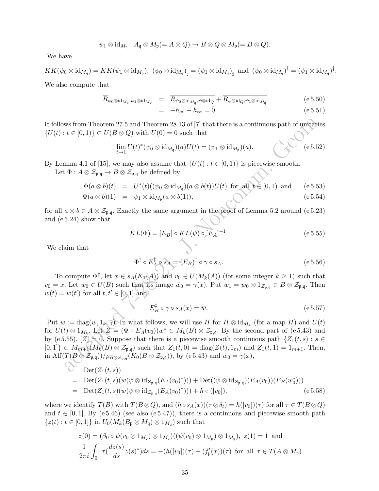$$
\psi_1 \otimes \mathrm{id}_{M_{\mathfrak{p}}}: A_{\mathfrak{q}} \otimes M_{\mathfrak{p}}(=A \otimes Q) \to B \otimes Q \otimes M_{\mathfrak{p}}(=B \otimes Q).
$$

We have

 $KK(\psi_0\otimes \mathrm{id}_{M_\mathfrak{q}})=KK(\psi_1\otimes \mathrm{id}_{M_\mathfrak{p}}),\,\, (\psi_0\otimes \mathrm{id}_{M_\mathfrak{q}})_{\sharp}=(\psi_1\otimes \mathrm{id}_{M_\mathfrak{q}})_{\sharp} \,\,\,\text{and}\,\,\, (\psi_0\otimes \mathrm{id}_{M_\mathfrak{q}})^\ddagger=(\psi_1\otimes \mathrm{id}_{M_\mathfrak{q}})^\ddagger.$ 

We also compute that

$$
\overline{R}_{\psi_0 \otimes \mathrm{id}_{M_\mathfrak{q}}, \psi_1 \otimes \mathrm{id}_{M_\mathfrak{p}}} = \overline{R_{\psi_0 \otimes \mathrm{id}_{M_\mathfrak{q}}, \psi \otimes \mathrm{id}_Q}} + \overline{R_{\psi \otimes \mathrm{id}_Q, \psi_1 \otimes \mathrm{id}_{M_\mathfrak{q}}}} \tag{e 5.50}
$$
\n
$$
= -h_{\infty} + h_{\infty} = \overline{0}.
$$
\n
$$
(e 5.51)
$$

It follows from Theorem 27.5 and Theorem 28.13 of [7] that there is a continuous path of unitaries  $\{U(t): t \in [0,1)\} \subset U(B \otimes Q)$  with  $U(0) = 0$  such that

$$
\lim_{t\to 1} U(t)^{*}(\psi_0\otimes id_{M_{\mathfrak{q}}})(a)U(t)=(\psi_1\otimes id_{M_{\mathfrak{p}}})(a).
$$
 (e 5.52)

By Lemma 4.1 of [15], we may also assume that  $\{U(t): t \in [0, 1)\}\$ is piecewise smooth.

Let  $\Phi: A \otimes \mathcal{Z}_{\mathfrak{p},\mathfrak{q}} \to B \otimes \mathcal{Z}_{\mathfrak{p},\mathfrak{q}}$  be defined by

$$
\Phi(a\otimes b)(t) = U^*(t)((\psi_0\otimes id_{M_{\mathfrak{q}}})(a\otimes b(t))U(t) \text{ for all } t\in[0,1) \text{ and } (e\,5.53)
$$

$$
\Phi(a\otimes b)(1) = \psi_1\otimes \mathrm{id}_{M_{\mathfrak{p}}}(a\otimes b(1)), \qquad (e\,5.54)
$$

for all  $a \otimes b \in A \otimes \mathcal{Z}_{p,q}$ . Exactly the same argument in the proof of Lemma 5.2 around (e 5.23) and (e 5.24) show that

$$
KL(\Phi) = [E_B] \circ KL(\psi) \circ [E_A]^{-1}.
$$
\n
$$
(e 5.55)
$$

We claim that

$$
\Phi^{\ddagger} \circ E_A^{\ddagger} \circ s_A = (E_B)^{\ddagger} \circ \gamma \circ s_A. \tag{e.5.56}
$$

To compute  $\Phi^{\ddagger}$ , let  $x \in s_A(K_{\mathcal{I}}(A))$  and  $v_0 \in U(M_k(A))$  (for some integer  $k \geq 1$ ) such that  $\overline{v_0} = x$ . Let  $w_0 \in U(B)$  such that its image  $\overline{w_0} = \gamma(x)$ . Put  $w_1 = w_0 \otimes 1_{\mathcal{Z}_{\mathfrak{p},\mathfrak{q}}}\in B \otimes \mathcal{Z}_{\mathfrak{p},\mathfrak{q}}$ . Then  $w(t) = w(t')$  for all  $t, t' \in [0, 1]$  and

$$
E_B^{\ddagger} \circ \gamma \circ s_A(x) = \overline{w}.\tag{e.557}
$$

ws from Theorem 27.5 and Theorem 28.13 of [7] that there is a continuous path of unitarity  $t \in [0,1)$ ])  $\subset U(B \otimes Q)$  with  $U(0) = 0$  such that<br>  $\lim_{t \to 1} U(t)^*(\psi_0 \otimes \mathrm{id}_{M_q})(a)U(t) = (\psi_1 \otimes \mathrm{id}_{M_q})(a).$ <br>  $\mathfrak{g}: A \otimes \mathcal{Z}_{p,q} \to B \ot$ Put  $w := diag(w, 1_{k-1})$ . In what follows, we will use H for  $H \otimes id_{M_k}$  (for a map H) and  $U(t)$ for  $U(t) \otimes 1_{M_k}$ . Let  $Z = (\Phi \circ E_A(v_0))w^* \in M_k(B) \otimes \mathcal{Z}_{\mathfrak{p},\mathfrak{q}}$ . By the second part of (e 5.43) and by (e 5.55),  $[Z] = 0$ . Suppose that there is a piecewise smooth continuous path  $\{Z_1(t,s) : s \in \mathbb{R}\}$  $[0,1]\subset M_{m+1}(M_k(B)\otimes \mathcal{Z}_{\mathfrak{p},\mathfrak{q}})$  such that  $Z_1(t,0)=\text{diag}(Z(t),1_m)$  and  $Z_1(t,1)=1_{m+1}$ . Then, in  $\text{Aff}(T(B\otimes \mathcal{Z}_{\mathfrak{p},\mathfrak{q}}))/\rho_{B\otimes \mathcal{Z}_{\mathfrak{p},\mathfrak{q}}}(K_0(B\otimes \mathcal{Z}_{\mathfrak{p},\mathfrak{q}})),$  by (e 5.43) and  $\bar{w}_0 = \gamma(x)$ ,

$$
\begin{aligned}\n\text{Det}(Z_1(t,s)) \\
&= \text{Det}(Z_1(t,s)(w(\psi \otimes \text{id}_{\mathcal{Z}_{\mathfrak{p},\mathfrak{q}}}(E_A(v_0)^*))) + \text{Det}((\psi \otimes \text{id}_{\mathcal{Z}_{\mathfrak{p},\mathfrak{q}}})(E_A(v_0))(E_B(w_0^*))) \\
&= \text{Det}(Z_1(t,s)(w(\psi \otimes \text{id}_{\mathcal{Z}_{\mathfrak{p},\mathfrak{q}}}(E_A(v_0)^*))) + h \circ ([v_0]),\n\end{aligned} \tag{e 5.58}
$$

where we identify  $T(B)$  with  $T(B \otimes Q)$ , and  $(h \circ s_A(x))(\tau \otimes \delta_t) = h([v_0])(\tau)$  for all  $\tau \in T(B \otimes Q)$ and  $t \in [0, 1]$ . By (e 5.46) (see also (e 5.47)), there is a continuous and piecewise smooth path  $\{z(t): t \in [0,1]\}$  in  $U_0(M_k(B_{\mathfrak{p}} \otimes M_{\mathfrak{q}}) \otimes 1_{M_{\mathfrak{q}}})$  such that

$$
z(0) = (\beta_0 \circ \psi(v_0 \otimes 1_{M_{\mathfrak{p}}}) \otimes 1_{M_{\mathfrak{q}}})((\psi(v_0) \otimes 1_{M_{\mathfrak{p}}}) \otimes 1_{M_{\mathfrak{q}}}), \ z(1) = 1 \text{ and}
$$
  

$$
\frac{1}{2\pi i} \int_0^1 \tau(\frac{dz(s)}{ds}z(s)^*)ds = -(h([v_0])(\tau) + (f'_{\mathfrak{p}}(x))(\tau) \text{ for all } \tau \in T(A \otimes M_{\mathfrak{p}}).
$$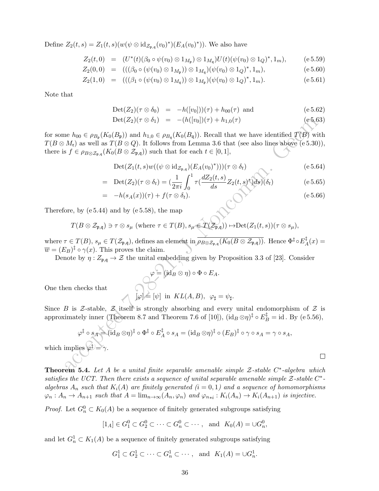Define  $Z_2(t, s) = Z_1(t, s) (w(\psi \otimes id_{\mathcal{Z}_{\mathfrak{p}, \mathfrak{q}}}(v_0)^*)(E_A(v_0)^*))$ . We also have

$$
Z_2(t,0) = (U^*(t)(\beta_0 \circ \psi(v_0) \otimes 1_{M_{\mathfrak{p}}}) \otimes 1_{M_{\mathfrak{q}}}) U(t) (\psi(v_0) \otimes 1_Q)^*, 1_m), \qquad (e \ 5.59)
$$

$$
Z_2(0,0) = (((\beta_0 \circ (\psi(v_0) \otimes 1_{M_{\mathfrak{p}}})) \otimes 1_{M_{\mathfrak{q}}})(\psi(v_0) \otimes 1_Q)^*, 1_m), \qquad (\mathrm{e }5.60)
$$

$$
Z_2(1,0) = (((\beta_1 \circ (\psi(v_0) \otimes 1_{M_q})) \otimes 1_{M_p})(\psi(v_0) \otimes 1_Q)^*, 1_m).
$$
 (e 5.61)

Note that

$$
Det(Z_2)(\tau \otimes \delta_0) = -h([v_0]))(\tau) + h_{00}(\tau) \text{ and } (e 5.62)
$$

$$
Det(Z_2)(\tau \otimes \delta_1) = -(h([v_0])(\tau) + h_{1,0}(\tau)) \qquad (e5.63)
$$

for some  $h_{00} \in \rho_{B_{\mathfrak{p}}}(K_0(B_{\mathfrak{p}}))$  and  $h_{1,0} \in \rho_{B_{\mathfrak{q}}}(K_0(B_{\mathfrak{q}}))$ . Recall that we have identified  $T(B)$  with  $T(B \otimes M_{\mathfrak{r}})$  as well as  $T(B \otimes Q)$ . It follows from Lemma 3.6 that (see also lines above (e 5.30)), there is  $f \in \rho_{B \otimes \mathcal{Z}_{\mathfrak{p},\mathfrak{q}}}(K_0(B \otimes \mathcal{Z}_{\mathfrak{p},\mathfrak{q}}))$  such that for each  $t \in [0,1],$ 

$$
Det(Z_1(t,s)w((\psi \otimes id_{\mathcal{Z}_{\mathfrak{p},\mathfrak{q}}})(E_A(v_0)^*)))(\tau \otimes \delta_t)
$$
 (e 5.64)

= 
$$
\text{Det}(Z_2)(\tau \otimes \delta_t) = \left(\frac{1}{2\pi i} \int_0^1 \tau \left(\frac{dZ_2(t,s)}{ds} Z_2(t,s)^*\right) ds\right) (\delta_t)
$$
 (e 5.65)  
=  $-h(s_A(x))(\tau) + f(\tau \otimes \delta_t).$  (e 5.66)

Therefore, by  $(e 5.44)$  and by  $(e 5.58)$ , the map

$$
T(B\otimes \mathcal{Z}_{\mathfrak{p},\mathfrak{q}})\ni \tau \otimes s_{\mu}\ \text{(where $\tau\in T(B)$, $s_{\mu}\in T(\mathcal{Z}_{\mathfrak{p},\mathfrak{q}}))\mapsto \text{Det}(Z_1(t,s))(\tau\otimes s_{\mu})$},
$$

where  $\tau \in T(B)$ ,  $s_\mu \in T(\mathcal{Z}_{\mathfrak{p},\mathfrak{q}})$ , defines an element in  $\rho_{B \otimes \mathcal{Z}_{\mathfrak{p},\mathfrak{q}}}(K_0(B \otimes \mathcal{Z}_{\mathfrak{p},\mathfrak{q}}))$ . Hence  $\Phi^\ddagger \circ E^\ddagger$  $A^+(x) =$  $\overline{w} = (E_B)^{\ddagger} \circ \gamma(x)$ . This proves the claim.

Denote by  $\eta: Z_{\mathfrak{p},\mathfrak{q}} \to \mathcal{Z}$  the unital embedding given by Proposition 3.3 of [23]. Consider

$$
\varphi = (\mathrm{id}_B \otimes \eta) \circ \Phi \circ E_A.
$$

One then checks that

which i

$$
[\varphi] \cong [\psi]
$$
 in  $KL(A, B)$ ,  $\varphi_{\sharp} = \psi_{\sharp}$ .

Since B is Z-stable,  $Z$  itself is strongly absorbing and every unital endomorphism of  $Z$  is approximately inner (Theorem 8.7 and Theorem 7.6 of [10]),  $(id_B \otimes \eta)^{\ddagger} \circ E_B^{\ddagger} = id$ . By (e 5.56),

Det(Z<sub>2</sub>)(τ ⊗ δ<sub>1</sub>) = 
$$
-(h([v_0])(\tau) + h_{1,0}(\tau))
$$
 (e5.63)  
\nne  $h_{00} ∈ \rho_{B_p}(K_0(B_p))$  and  $h_{1,0} ∈ \rho_{B_q}(K_0(B_q))$ . Recall that we have identified  $T(B)$  with  
\n $M_t$ ) as well as  $T(B ⊗ Q)$ . It follows from Lemma 3.6 that (see also lines above (e 5.30)),  
\n $s f ∈ \rho_{B \otimes Z_{p,q}}(K_0(B \otimes Z_{p,q}))$  such that for each  $t ∈ [0, 1]$ ,  
\n $Det(Z_1(t, s)w((ψ ⊗ id_{Z_{p,q}})(E_A(v_0)^*)))(\tau ⊗ δ_t)$  (e 5.64)  
\n $= Det(Z_2)(\tau ⊗ δ_t) = (\frac{1}{2\pi i} \int_0^1 \tau(\frac{dZ_2(t, s)}{ds} Z_2(t, s)^* ds)(δ_t)$  (e 5.65)  
\n $= -h(s_A(x))(\tau) + f(\tau ⊗ δ_t)$ .  
\n(25.66)  
\n $\tau ∈ T(B)$ ,  $s_\mu ∈ T(Z_{p,q})$ , defines an element in  $\overline{\rho_{B \otimes Z_{p,q}}(K_0(B \otimes Z_{p,q}))}$ . Hence  $\Phi^{\dagger} ∘ E_A^{\dagger}(x) = E_B)^{\dagger} ∘ \gamma(x)$ . This proves the claim.  
\nnote by  $\eta : Z_{p,q} \rightarrow Z$  the unital embedding given by Proposition 3.3 of [23]. Consider  
\n $\varphi = [\text{id}_B ⊗ \eta) ∘ \Phi ∘ E_A$ .  
\nthen checks that  
\n $[\varphi] = [\psi]$  in  $KL(A, B)$ ,  $\varphi_{\sharp} = \psi_{\sharp}$ .  
\nB is Z-stable, Z itself is strongly absorbing and every unital endomorphism of Z is  
\nsimately inner (Theorem 8.7 and Theorem 7.6 of [10]),  $(id_B ⊗ \eta)^{\dagger} ∘ E_B^{\dagger} = id$ . By (e 5.56),  
\n $\varphi^{\dagger} ∘ s_A$ – $(id_B ⊗ \eta)^{\dagger} ∘ \Phi^{\dagger} ∘ E_A^{\dagger} ∘ s_A = (id_B ⊗ \$ 

**Theorem 5.4.** Let A be a unital finite separable amenable simple  $\mathcal{Z}\text{-stable}$  C<sup>\*</sup>-algebra which satisfies the UCT. Then there exists a sequence of unital separable amenable simple  $\mathcal{Z}\text{-stable}$ . algebras  $A_n$  such that  $K_i(A)$  are finitely generated  $(i = 0, 1)$  and a sequence of homomorphisms  $\varphi_n: A_n \to A_{n+1}$  such that  $A = \lim_{n \to \infty} (A_n, \varphi_n)$  and  $\varphi_{n+i}: K_i(A_n) \to K_i(A_{n+1})$  is injective.

*Proof.* Let  $G_n^0 \subset K_0(A)$  be a sequence of finitely generated subgroups satisfying

$$
[1_A] \in G_1^0 \subset G_2^0 \subset \cdots \subset G_n^0 \subset \cdots, \text{ and } K_0(A) = \cup G_n^0,
$$

and let  $G_n^1 \subset K_1(A)$  be a sequence of finitely generated subgroups satisfying

$$
G_1^1 \subset G_2^1 \subset \cdots \subset G_n^1 \subset \cdots , \text{ and } K_1(A) = \cup G_n^1.
$$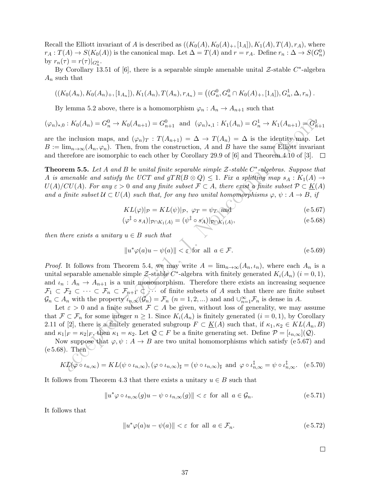Recall the Elliott invariant of A is described as  $((K_0(A), K_0(A), K_1(A), T(A), T(A), r_A),$  where  $r_A: T(A) \to S(K_0(A))$  is the canonical map. Let  $\Delta = T(A)$  and  $r = r_A$ . Define  $r_n: \Delta \to S(G_n^0)$ by  $r_n(\tau) = r(\tau)|_{G_n^0}$ .

By Corollary 13.51 of [6], there is a separable simple amenable unital  $\mathcal{Z}\text{-stable }C^*\text{-algebra}$  $A_n$  such that

$$
((K_0(A_n), K_0(A_n), [1_{A_n}]), K_1(A_n), T(A_n), r_{A_n}) = ((G_n^0, G_n^0 \cap K_0(A), [1_A]), G_n^1, \Delta, r_n).
$$

By lemma 5.2 above, there is a homomorphism  $\varphi_n : A_n \to A_{n+1}$  such that

$$
(\varphi_n)_{*,0} : K_0(A_n) = G_n^0 \to K_0(A_{n+1}) = G_{n+1}^0 \text{ and } (\varphi_n)_{*,1} : K_1(A_n) = G_n^1 \to K_1(A_{n+1}) = G_{n+1}^1
$$

are the inclusion maps, and  $(\varphi_n)_T : T(A_{n+1}) = \Delta \to T(A_n) = \Delta$  is the identity map. Let  $B := \lim_{n\to\infty} (A_n, \varphi_n)$ . Then, from the construction, A and B have the same Elliott invariant and therefore are isomorphic to each other by Corollary 29.9 of [6] and Theorem 4.10 of [3].  $\square$ 

**Theorem 5.5.** Let A and B be unital finite separable simple  $\mathcal{Z}\text{-stable } C^*\text{-algebras. Suppose that}$ A is amenable and satisfy the UCT and  $gTR(B \otimes Q) \leq 1$ . Fix a splitting map  $s_A : K_1(A) \rightarrow$  $U(A)/CU(A)$ . For any  $\varepsilon > 0$  and any finite subset  $\mathcal{F} \subset A$ , there exist a finite subset  $\mathcal{P} \subset \underline{K}(A)$ and a finite subset  $U \subset U(A)$  such that, for any two unital homomorphisms  $\varphi, \psi : A \to B$ , if

$$
KL(\varphi)|_{\mathcal{P}} = KL(\psi)|_{\mathcal{P}}, \ \varphi_T = \psi_T \text{ and } (e.5.67)
$$

$$
(\varphi^{\ddagger} \circ s_A)|_{\mathcal{P} \cap K_1(A)} = (\psi^{\ddagger} \circ s_A)|_{\mathcal{P} \cap K_1(A)}, \tag{e.5.68}
$$

then there exists a unitary  $u \in B$  such that

$$
||u^*\varphi(a)u - \psi(a)|| < \varepsilon
$$
 for all  $a \in \mathcal{F}$ . (e 5.69)

i:  $K_0(A_n) = G_n^0 \rightarrow K_0(A_{n+1}) = G_{n+1}^0$  and  $(\varphi_n)_1$ :  $K_1(A_n) = G_n^1 \rightarrow K_1(A_{n+1}) = G_n^1$ <br>
inclusion maps, and  $(\varphi_n)_T$ :  $T(A_{n+1}) = \Delta \rightarrow T(A_n) = \Delta$  is the identity undp. If<br>  $\lim_{\epsilon \to \infty} (A_n, \varphi_n)$ . Then, from the construction,  $A$  and *Proof.* It follows from Theorem 5.4, we may write  $A = \lim_{n\to\infty} (A_n, \iota_n)$ , where each  $A_n$  is a unital separable amenable simple  $\mathcal{Z}\text{-stable} C^*$ -algebra with finitely generated  $K_i(A_n)$   $(i = 0, 1)$ , and  $\iota_n : A_n \to A_{n+1}$  is a unit monomorphism. Therefore there exists an increasing sequence  $\mathcal{F}_1 \subset \mathcal{F}_2 \subset \cdots \subset \mathcal{F}_n \subset \mathcal{F}_{n+1} \subset \cdots$  of finite subsets of A such that there are finite subset  $\mathcal{G}_n \subset A_n$  with the property  $\hat{\iota}_{n,\infty}(\mathcal{G}_n) = \mathcal{F}_n$   $(n = 1, 2, ...)$  and and  $\cup_{n=1}^{\infty} \mathcal{F}_n$  is dense in A.

Let  $\varepsilon > 0$  and a finite subset  $\mathcal{F} \subset A$  be given, without loss of generality, we may assume that  $\mathcal{F} \subset \mathcal{F}_n$  for some integer  $n \geq 1$ . Since  $K_i(A_n)$  is finitely generated  $(i = 0, 1)$ , by Corollary 2.11 of [2], there is a finitely generated subgroup  $F \subset \underline{K}(A)$  such that, if  $\kappa_1, \kappa_2 \in KL(A_n, B)$ and  $\kappa_1|_F = \kappa_2|_F$ , then  $\kappa_1 = \kappa_2$ . Let  $\mathcal{Q} \subset F$  be a finite generating set. Define  $\mathcal{P} = [\iota_{n,\infty}](\mathcal{Q})$ .

Now suppose that  $\varphi, \psi : A \to B$  are two unital homomorphisms which satisfy (e 5.67) and (e 5.68). Then

$$
KL(\varphi \circ \iota_{n,\infty}) = KL(\psi \circ \iota_{n,\infty}), (\varphi \circ \iota_{n,\infty})_{\sharp} = (\psi \circ \iota_{n,\infty})_{\sharp} \text{ and } \varphi \circ \iota_{n,\infty}^{\sharp} = \psi \circ \iota_{n,\infty}^{\sharp}.
$$
 (e 5.70)

It follows from Theorem 4.3 that there exists a unitary  $u \in B$  such that

$$
||u^*\varphi \circ \iota_{n,\infty}(g)u - \psi \circ \iota_{n,\infty}(g)|| < \varepsilon \text{ for all } a \in \mathcal{G}_n.
$$
 (e 5.71)

It follows that

$$
||u^*\varphi(a)u - \psi(a)|| < \varepsilon \text{ for all } a \in \mathcal{F}_n.
$$
 (e 5.72)

$$
\Box
$$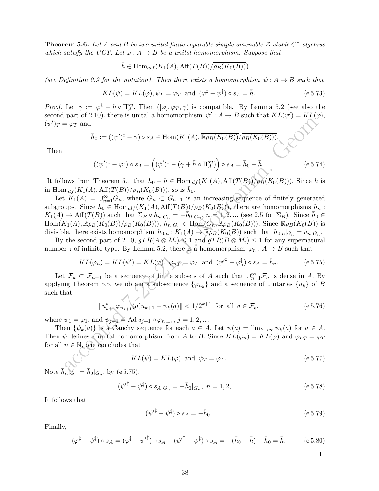**Theorem 5.6.** Let A and B be two unital finite separable simple amenable  $\mathcal{Z}\text{-stable }C^*\text{-algebras}$ which satisfy the UCT. Let  $\varphi: A \to B$  be a unital homomorphism. Suppose that

$$
\bar{h} \in \text{Hom}_{alf}(K_1(A), \text{Aff}(T(B))/\overline{\rho_B(K_0(B))})
$$

(see Definition 2.9 for the notation). Then there exists a homomorphism  $\psi: A \rightarrow B$  such that

$$
KL(\psi) = KL(\varphi), \psi_T = \varphi_T \text{ and } (\varphi^{\dagger} - \psi^{\dagger}) \circ s_A = \bar{h}.
$$
 (e 5.73)

*Proof.* Let  $\gamma := \varphi^{\ddagger} - \bar{h} \circ \Pi_A^{su}$ . Then  $([\varphi], \varphi_T, \gamma)$  is compatible. By Lemma 5.2 (see also the second part of 2.10), there is unital a homomorphism  $\psi' : A \to B$  such that  $KL(\psi') = KL(\varphi)$ ,  $(\psi')_T = \varphi_T$  and

$$
\bar{h}_0 := ((\psi')^{\ddagger} - \gamma) \circ s_A \in \text{Hom}(K_1(A), \overline{\mathbb{R}\rho_B(K_0(B))}/\overline{\rho_B(K_0(B))}).
$$

Then

$$
((\psi')^{\ddagger} - \varphi^{\ddagger}) \circ s_A = ((\psi')^{\ddagger} - (\gamma + \bar{h} \circ \Pi_A^{su}) ) \circ s_A = \bar{h}_0 - \bar{h}.
$$
 (e 5.74)

It follows from Theorem 5.1 that  $\bar{h}_0 - \bar{h} \in \text{Hom}_{alf}(K_1(A), \text{Aff}(T(B))/\overline{\rho_B(K_0(B))})$ . Since  $\bar{h}$  is in  $\text{Hom}_{alf}(K_1(A), \text{Aff}(T(B))/\overline{\rho_B(K_0(B))})$ , so is  $\bar{h}_0$ .

 $\bar{E}_{\mathcal{F}} = \bar{\varphi}_{\mathcal{F}}$  and<br>  $\bar{h}_0 := ((\psi')^{\frac{1}{2}} - \gamma) \circ s_A \in \text{Hom}(K_1(A), \overline{\mathbb{R}\rho_B(K_0(B))})/\rho_B(K_0(B)))$ .<br>  $((\psi')^{\frac{1}{2}} - \varphi^{\frac{1}{2}}) \circ s_A = ((\psi')^{\frac{1}{2}} - (\gamma + \bar{h} \circ \Pi_{\gamma}^{m})) \circ s_A = \bar{h}_0 - \bar{h}_c$ <br>
(e.g. 2)<br>  $(\psi')^{\frac{1}{2}} - \varphi^{\frac{1}{2}}) \$ Let  $K_1(A) = \bigcup_{n=1}^{\infty} G_n$ , where  $G_n \subset G_{n+1}$  is an increasing sequence of finitely generated subgroups. Since  $\bar{h}_0 \in \text{Hom}_{alf}(K_1(A), \text{Aff}(T(B))/\overline{\rho_B(K_0(B))})$ , there are homomorphisms  $h_n$ :  $K_1(A) \to \text{Aff}(T(B))$  such that  $\Sigma_B \circ h_n|_{G_n} = -\tilde{h}_0|_{G_n}$ ,  $n = 1, 2, ...$  (see 2.5 for  $\Sigma_B$ ). Since  $\bar{h}_0 \in$  $\text{Hom}(K_1(A), \overline{\mathbb{R}\rho_B(K_0(B))}/\overline{\rho_B(K_0(B))}), h_n|_{G_n} \in \text{Hom}(G_n, \overline{\mathbb{R}\rho_B(K_0(B))})$ . Since  $\overline{\mathbb{R}\rho_B(K_0(B))}$  is divisible, there exists homomorphism  $h_{0,n} : K_1(A) \to \overline{\mathbb{R} \rho_B(K_0(B))}$  such that  $h_{0,n}|_{G_n} = h_n|_{G_n}$ .

By the second part of 2.10,  $gTR(A \otimes M_{\mathfrak{r}}) \leq 1$  and  $gTR(B \otimes M_{\mathfrak{r}}) \leq 1$  for any supernatural number **r** of infinite type. By Lemma 5.2, there is a homomorphism  $\varphi_n : A \to B$  such that

$$
KL(\varphi_n) = KL(\psi') = KL(\varphi), \ \varphi_n \cdot \varphi_n = \varphi \quad \text{and} \ \ (\psi'^{\ddagger} - \varphi_n^{\ddagger}) \circ s_A = \bar{h}_n. \tag{e.5.75}
$$

Let  $\mathcal{F}_n \subset \mathcal{F}_{n+1}$  be a sequence of finite subsets of A such that  $\cup_{n=1}^{\infty} \mathcal{F}_n$  is dense in A. By applying Theorem 5.5, we obtain a subsequence  $\{\varphi_{n_k}\}\$  and a sequence of unitaries  $\{u_k\}$  of B such that

$$
||u_{k+1}^*\varphi_{n_{k+1}}(a)u_{k+1} - \psi_k(a)|| < 1/2^{k+1} \text{ for all } a \in \mathcal{F}_k,
$$
 (e 5.76)

where  $\psi_1 = \varphi_1$ , and  $\psi_{j+1} = \text{Ad} \, u_{j+1} \circ \varphi_{n_{j+1}}, \ j = 1, 2, ....$ 

Then  $\{\psi_k(a)\}\$ is a Cauchy sequence for each  $a \in A$ . Let  $\psi(a) = \lim_{k \to \infty} \psi_k(a)$  for  $a \in A$ . Then  $\psi$  defines a unital homomorphism from A to B. Since  $KL(\varphi_n) = KL(\varphi)$  and  $\varphi_{nT} = \varphi_T$ for all  $n \in \mathbb{N}$ , one concludes that

$$
KL(\psi) = KL(\varphi) \text{ and } \psi_T = \varphi_T. \tag{e.5.77}
$$

Note  $\bar{h}_n|_{G_n} = \bar{h}_0|_{G_n}$ , by (e 5.75),

$$
(\psi'^{\ddagger} - \psi^{\ddagger}) \circ s_A|_{G_n} = -\bar{h}_0|_{G_n}, \ n = 1, 2, \dots
$$
 (e 5.78)

It follows that

$$
(\psi'^{\ddagger} - \psi^{\ddagger}) \circ s_A = -\bar{h}_0. \tag{e.5.79}
$$

Finally,

$$
(\varphi^{\ddagger} - \psi^{\ddagger}) \circ s_A = (\varphi^{\ddagger} - \psi'^{\ddagger}) \circ s_A + (\psi'^{\ddagger} - \psi^{\ddagger}) \circ s_A = -(\bar{h}_0 - \bar{h}) - \bar{h}_0 = \bar{h}.
$$
 (e 5.80)

 $\Box$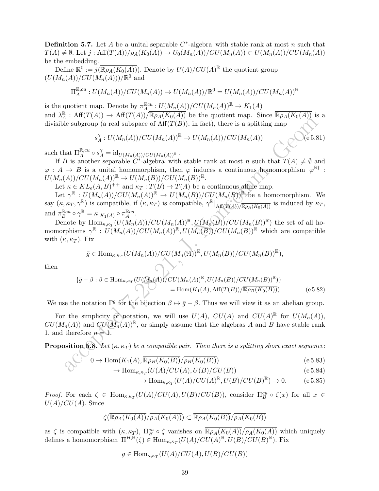**Definition 5.7.** Let A be a unital separable  $C^*$ -algebra with stable rank at most n such that  $T(A) \neq \emptyset$ . Let  $j : Aff(T(A))/\rho_A(K_0(A)) \rightarrow U_0(M_n(A))/CU(M_n(A)) \subset U(M_n(A))/CU(M_n(A))$ be the embedding.

Define  $\mathbb{R}^0 := j(\overline{\mathbb{R}\rho_A(K_0(A))})$ . Denote by  $U(A)/CU(A)^{\mathbb{R}}$  the quotient group  $(U(M_n(A))/CU(M_n(A)))/\mathbb{R}^0$  and

$$
\Pi_A^{\mathbb{R},cu}: U(M_n(A))/CU(M_n(A)) \to U(M_n(A))/\mathbb{R}^0 = U(M_n(A))/CU(M_n(A))^{\mathbb{R}}
$$

is the quotient map. Denote by  $\pi_A^{\mathbb{R}cu} : U(M_n(A))/CU(M_n(A))^{\mathbb{R}} \to K_1(A)$ and  $\lambda_A^{\mathbb{R}}$  $A^{\mathbb{R}}$ : Aff $(T(A)) \to Aff(T(A))/\overline{\mathbb{R}\rho_A(K_0(A))}$  be the quotient map. Since  $\overline{\mathbb{R}\rho_A(K_0(A))}$  is a divisible subgroup (a real subspace of  $\text{Aff}(T(B))$ , in fact), there is a splitting map

$$
s_A^{\gamma}: U(M_n(A))/CU(M_n(A))^{\mathbb{R}} \to U(M_n(A))/CU(M_n(A)) \qquad \qquad (\text{e 5.81})
$$

such that  $\Pi_A^{\mathbb{R},cu} \circ s_A^\gamma = \mathrm{id}_{U(M_n(A))/CU(M_n(A))^{\mathbb{R}}}$ .

If B is another separable  $C^*$ -algebra with stable rank at most n such that  $T(A) \neq \emptyset$  and  $\varphi : A \to B$  is a unital homomorphism, then  $\varphi$  induces a continuous homomorphism  $\varphi^{R\ddagger}$ :  $U(M_n(A))/CU(M_n(A))^{\mathbb{R}} \to U(M_n(B))/CU(M_n(B))^{\mathbb{R}}.$ 

Let  $\kappa \in KL_e(A, B)^{++}$  and  $\kappa_T : T(B) \to T(A)$  be a continuous affine map.

are  $\alpha$  is a splitting  $s_A^T : U(M_n(A))/CU(M_n(A))^2 \rightarrow U(M_n(A))/CU(M_n(A))$ <br>
as the subgroup (a real subspace of  $\text{Aff}(T(B))$ , in fact), there is a splitting map<br>  $s_A^T : U(M_n(A))/CU(M_n(A))^3 \rightarrow U(M_n(A))^2$ <br>
as another separable  $C$ -algebra with stable rank at Let  $\gamma^{\mathbb{R}} : U(M_n(A))/CU(M_n(A))^{\mathbb{R}} \to U(M_n(B))/CU(M_n(B))^{\mathbb{R}}$  be a homomorphism. We say  $(\kappa, \kappa_T, \gamma^{\mathbb{R}})$  is compatible, if  $(\kappa, \kappa_T)$  is compatible,  $\gamma^{\mathbb{R}}|_{\text{Aff}(T(A))/\overline{\mathbb{R}P_A(K_0(A))}}$  is induced by  $\kappa_T$ , and  $\pi_B^{\mathbb{R}cu} \circ \gamma^{\mathbb{R}} = \kappa|_{K_1(A)} \circ \pi_A^{\mathbb{R}cu}$ .

Denote by  $\text{Hom}_{\kappa,\kappa_T}(U(M_n(A))/CU(M_n(A))^{\mathbb{R}}, U(M_n(B))/CU(M_n(B))^{\mathbb{R}})$  the set of all homomorphisms  $\gamma^{\mathbb{R}}: U(M_n(A))/CU(M_n(A))^{\mathbb{R}}, U(M_n(B))/CU(M_n(B))^{\mathbb{R}}$  which are compatible with  $(\kappa, \kappa_T)$ . Fix

$$
\bar{g} \in \text{Hom}_{\kappa,\kappa_T}(U(M_n(A))/CU(M_n(A))^{\mathbb{R}}, U(M_n(B))/CU(M_n(B))^{\mathbb{R}}),
$$

then

$$
\{\bar{g} - \beta : \beta \in \text{Hom}_{\kappa,\kappa_T}(U(M_n(A))'/CU(M_n(A))^{\mathbb{R}}, U(M_n(B))/CU(M_n(B))^{\mathbb{R}})\} \\
= \text{Hom}(K_1(A), \text{Aff}(T(B))/\overline{\mathbb{R}\rho_B(K_0(B))}).
$$
\n(e5.82)

We use the notation  $\Gamma^{\bar{g}}$  for the bijection  $\beta \mapsto \bar{g} - \beta$ . Thus we will view it as an abelian group.

For the simplicity of notation, we will use  $U(A)$ ,  $CU(A)$  and  $CU(A)^{\mathbb{R}}$  for  $U(M_n(A))$ ,  $CU(M_n(A))$  and  $CU(M_n(A))^{\mathbb{R}}$ , or simply assume that the algebras A and B have stable rank 1, and therefore  $n = 1$ .

**Proposition 5.8.** Let  $(\kappa, \kappa_T)$  be a compatible pair. Then there is a splitting short exact sequence:

$$
0 \to \text{Hom}(K_1(A), \overline{\mathbb{R}\rho_B(K_0(B))}/\overline{\rho_B(K_0(B))})
$$
\n
$$
\to \text{Hom}_{K_{K\mathbb{R}^n}}(U(A)/CU(A), U(B)/CU(B))
$$
\n
$$
(e 5.83)
$$
\n
$$
(e 5.84)
$$

$$
\text{Hom}_{\kappa,\kappa_T}(U(A)/CU(A),U(B)/CU(B))\tag{e 5.84}
$$

$$
\to \operatorname{Hom}_{\kappa,\kappa_T}(U(A)/CU(A)^{\mathbb{R}}, U(B)/CU(B)^{\mathbb{R}}) \to 0. \tag{e.5.85}
$$

Proof. For each  $\zeta \in \text{Hom}_{\kappa,\kappa_T}(U(A)/CU(A),U(B)/CU(B)),$  consider  $\Pi_B^{cu} \circ \zeta(x)$  for all  $x \in$  $U(A)/CU(A)$ . Since

$$
\zeta(\overline{\mathbb{R}\rho_A(K_0(A))}/\overline{\rho_A(K_0(A))}) \subset \overline{\mathbb{R}\rho_A(K_0(B))}/\overline{\rho_A(K_0(B))}
$$

as  $\zeta$  is compatible with  $(\kappa, \kappa_T)$ ,  $\Pi_B^{cu} \circ \zeta$  vanishes on  $\overline{\mathbb{R}\rho_A(K_0(A))}/\overline{\rho_A(K_0(A))}$  which uniquely defines a homomorphism  $\Pi^{H,\mathbb{R}}(\zeta) \in \text{Hom}_{\kappa,\kappa_T}(U(A)/CU(A)^{\mathbb{R}},U(B)/CU(B)^{\mathbb{R}})$ . Fix

$$
g \in \text{Hom}_{\kappa, \kappa_T}(U(A)/CU(A), U(B)/CU(B))
$$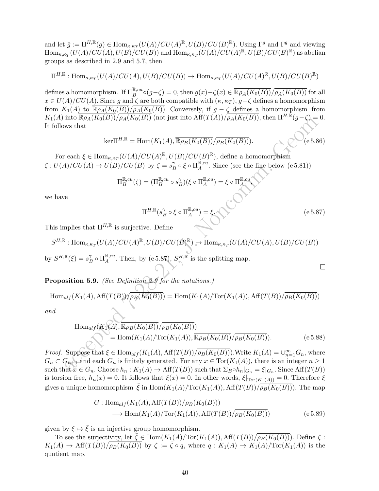and let  $\bar{g} := \Pi^{H,\mathbb{R}}(g) \in \text{Hom}_{\kappa,\kappa_T}(U(A)/CU(A)^{\mathbb{R}}, U(B)/CU(B)^{\mathbb{R}})$ . Using  $\Gamma^g$  and  $\Gamma^{\bar{g}}$  and viewing  $\text{Hom}_{\kappa,\kappa_T}(U(A)/CU(A),U(B)/CU(B))$  and  $\text{Hom}_{\kappa,\kappa_T}(U(A)/CU(A)^{\mathbb{R}},U(B)/CU(B)^{\mathbb{R}})$  as abelian groups as described in 2.9 and 5.7, then

$$
\Pi^{H,\mathbb{R}}: \text{Hom}_{\kappa,\kappa_T}(U(A)/CU(A),U(B)/CU(B)) \to \text{Hom}_{\kappa,\kappa_T}(U(A)/CU(A)^{\mathbb{R}},U(B)/CU(B)^{\mathbb{R}})
$$

defines a homomorphism. If  $\Pi_B^{\mathbb{R},cu}\circ (g-\zeta)=0$ , then  $g(x)-\zeta(x)\in \overline{\mathbb{R}\rho_A(K_0(B))}/\overline{\rho_A(K_0(B))}$  for all  $x \in U(A)/CU(A)$ . Since g and  $\zeta$  are both compatible with  $(\kappa, \kappa_T), g-\zeta$  defines a homomorphism from  $K_1(A)$  to  $\overline{\mathbb{R}\rho_A(K_0(B))}/\overline{\rho_A(K_0(B))}$ . Conversely, if  $g-\zeta$  defines a homomorphism from  $K_1(A)$  into  $\overline{\mathbb{R}\rho_A(K_0(B))}/\overline{\rho_A(K_0(B))}$  (not just into  $\overline{\mathop{\rm Aff}\nolimits(T(A))}/\overline{\rho_A(K_0(B))}$ , then  $\Pi^{H,\mathbb{R}}(g-\zeta)=0$ . It follows that

$$
\ker \Pi^{H,\mathbb{R}} = \text{Hom}(K_1(A), \overline{\mathbb{R}\rho_B(K_0(B))}/\overline{\rho_B(K_0(B))}).
$$
 (e 5.86)

For each  $\xi \in \text{Hom}_{\kappa,\kappa_T}(U(A)/CU(A)^{\mathbb{R}}, U(B)/CU(B)^{\mathbb{R}})$ , define a homomorphism  $\zeta: U(A)/CU(A) \to U(B)/CU(B)$  by  $\zeta = s_H^{\gamma}$  $\int_B^{\gamma} \circ \xi \circ \Pi_A^{\mathbb{R},cu}$  $A^{k,cu}$ . Since (see the line below (e 5.81))

$$
\Pi_B^{\mathbb{R},cu}(\zeta) = (\Pi_B^{\mathbb{R},cu} \circ s_B^{\gamma})(\xi \circ \Pi_A^{\mathbb{R},cu}) = \xi \circ \Pi_A^{\mathbb{R},cu}
$$

we have

$$
\Pi^{H,\mathbb{R}}(s_B^\gamma \circ \xi \circ \Pi_A^{\mathbb{R},cu}) = \xi. \tag{e.5.87}
$$

,

 $\Box$ 

This implies that  $\Pi^{H,\mathbb{R}}$  is surjective. Define

$$
S^{H,\mathbb{R}}: \text{Hom}_{\kappa,\kappa_T}(U(A)/CU(A)^{\mathbb{R}}, U(B)/CU(B)^{\mathbb{R}}) \to \text{Hom}_{\kappa,\kappa_T}(U(A)/CU(A), U(B)/CU(B))
$$
  
by  $S^{H,\mathbb{R}}(\xi) = s_B^{\gamma} \circ \Pi_A^{\mathbb{R},cu}$ . Then, by (e 5.87),  $S^{H,\mathbb{R}}$  is the splitting map.

Proposition 5.9. (See Definition 2.9 for the notations.)

$$
\operatorname{Hom}_{alf}(K_1(A), \operatorname{Aff}(T(B))\sqrt{\rho_B(K_0(B))}) = \operatorname{Hom}(K_1(A)/\operatorname{Tor}(K_1(A)), \operatorname{Aff}(T(B))\sqrt{\rho_B(K_0(B))})
$$

and

Into Rβ<sub>A</sub>(R<sub>0</sub>(B))/β<sub>A</sub>(R<sub>0</sub>(B)) (not just into Aπ(*I*(A))/β<sub>A</sub>(R<sub>0</sub>(B)), then 
$$
H^{n-1}(g-\zeta) = 0
$$
.

\nwe have that

\n
$$
\ker \Pi^{H,\mathbb{R}} = \text{Hom}(K_1(A), \overline{\mathbb{R}}_{PB}(K_0(B))/\overline{\rho_B(K_0(B)}).
$$
\neach ξ ∈ Hom<sub>κ,κ<sub>T</sub></sub>(U(A)/CU(B) by ζ = s<sub>B</sub><sup>2</sup> σ ξ  $\Pi_{\mathbb{R}}^{\mathbb{R},cu}$ . Since (see the line below (e5.81))

\n
$$
\Pi_{\mathbb{B}}^{\mathbb{R},cu}(\zeta) = (\Pi_{\mathbb{B}}^{\mathbb{R},cu} \circ s_{\mathbb{B}}^{\gamma})(\xi \circ \Pi_{\mathbb{A}}^{\mathbb{R},cu}) = \xi \circ \Pi_{\mathbb{A}}^{\mathbb{R},cu}
$$
\nre

\n
$$
\Pi^{H,\mathbb{R}}(s_{\mathbb{B}}^{\gamma} \circ \xi \circ \Pi_{\mathbb{A}}^{\mathbb{R},cu}) = \xi \circ \Pi_{\mathbb{A}}^{\mathbb{R},cu}
$$
\nre

\n
$$
\Pi^{H,\mathbb{R}}(s_{\mathbb{B}}^{\gamma} \circ \xi \circ \Pi_{\mathbb{A}}^{\mathbb{R},cu}) = \xi \circ \Pi_{\mathbb{A}}^{\mathbb{R},cu}
$$
\nre

\nthe

\n
$$
\xi : \text{Hom}_{\kappa,\kappa_T}(U(A)/CU(A)^{\mathbb{R}}, U(B)/CU(B)^{\mathbb{R}}) \to \text{Hom}_{\kappa,\kappa_T}(U(A)/CU(B))
$$
\nisition 5.9. (See Definition 2.9 for the notations.)

\nisation 5.9. (See Definition 2.9 for the notations.)

\n
$$
\text{and } f(K_1(A), \text{Aff}(T(B))/\overline{\rho_B(K_0(B))}) = \text{Hom}(K_1(A)/\text{Tor}(K_1(A)), \text{Aff}(T(B))/\overline{\rho_B(K_0(B))})
$$
\nHom

\n
$$
=
$$

*Proof.* Suppose that  $\xi \in \text{Hom}_{alf}(K_1(A), \text{Aff}(T(B))/\overline{\rho_B(K_0(B))})$ . Write  $K_1(A) = \bigcup_{n=1}^{\infty} G_n$ , where  $G_n \subset G_{n+1}$  and each  $G_n$  is finitely generated. For any  $x \in Tor(K_1(A))$ , there is an integer  $n \geq 1$ such that  $x \in G_n$ . Choose  $h_n: K_1(A) \to \text{Aff}(T(B))$  such that  $\Sigma_B \circ h_n|_{G_n} = \xi|_{G_n}$ . Since  $\text{Aff}(T(B))$ is torsion free,  $h_n(x) = 0$ . It follows that  $\xi(x) = 0$ . In other words,  $\xi|_{Tor(K_1(A))} = 0$ . Therefore  $\xi$ gives a unique homomorphism  $\bar{\xi}$  in Hom $(K_1(A)/\text{Tor}(K_1(A)), \text{Aff}(T(B))/\overline{\rho_B(K_0(B))})$ . The map

$$
G: \text{Hom}_{alf}(K_1(A), \text{Aff}(T(B))/\overline{\rho_B(K_0(B))})
$$
  

$$
\longrightarrow \text{Hom}(K_1(A)/\text{Tor}(K_1(A)), \text{Aff}(T(B))/\overline{\rho_B(K_0(B))})
$$
 (e 5.89)

given by  $\xi \mapsto \overline{\xi}$  is an injective group homomorphism.

To see the surjectivity, let  $\overline{\zeta} \in \text{Hom}(K_1(A)/\text{Tor}(K_1(A)), \text{Aff}(T(B))/\overline{\rho_B(K_0(B))})$ . Define  $\zeta$ :  $K_1(A) \to \text{Aff}(T(B))/\overline{\rho_B(K_0(B))}$  by  $\zeta := \overline{\zeta} \circ q$ , where  $q : K_1(A) \to K_1(A)/\text{Tor}(K_1(A))$  is the quotient map.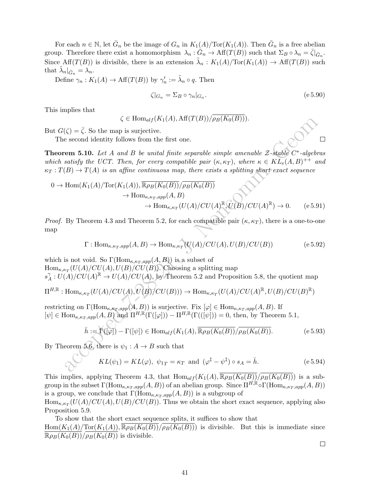For each  $n \in \mathbb{N}$ , let  $\bar{G}_n$  be the image of  $G_n$  in  $K_1(A)/\text{Tor}(K_1(A))$ . Then  $\bar{G}_n$  is a free abelian group. Therefore there exist a homomorphism  $\lambda_n : \tilde{G}_n \to \text{Aff}(T(B))$  such that  $\Sigma_B \circ \lambda_n = \bar{\zeta}|_{\bar{G}_n}$ . Since Aff $(T(B))$  is divisible, there is an extension  $\tilde{\lambda}_n : K_1(A)/\text{Tor}(K_1(A)) \to \text{Aff}(T(B))$  such that  $\tilde{\lambda}_n|_{\bar{G}_n} = \lambda_n$ .

Define  $\gamma_n: K_1(A) \to \text{Aff}(T(B))$  by  $\gamma'_n := \tilde{\lambda}_n \circ q$ . Then

$$
\zeta|_{G_n} = \Sigma_B \circ \gamma_n|_{G_n}.\tag{e.5.90}
$$

This implies that

$$
\zeta \in \text{Hom}_{\text{alf}}(K_1(A), \text{Aff}(T(B))/\overline{\rho_B(K_0(B))}).
$$

But  $G(\zeta) = \overline{\zeta}$ . So the map is surjective.

The second identity follows from the first one.

**Theorem 5.10.** Let A and B be unital finite separable simple amenable  $\mathcal{Z}\text{-stable }C^*\text{-algebras}$ which satisfy the UCT. Then, for every compatible pair  $(\kappa, \kappa_T)$ , where  $\kappa \in K\overline{L_e}(A, B)^{++}$  and  $\kappa_T : T(B) \to T(A)$  is an affine continuous map, there exists a splitting short exact sequence

$$
0 \to \text{Hom}(K_1(A)/\text{Tor}(K_1(A)), \overline{\mathbb{R}\rho_B(K_0(B))}/\overline{\rho_B(K_0(B))}
$$
  
\n
$$
\to \text{Hom}_{\kappa,\kappa_T,app}(A, B)
$$
  
\n
$$
\to \text{Hom}_{\kappa,\kappa_T}(U(A)/CU(A)^{\mathbb{R}}, U(B)/CU(A)^{\mathbb{R}}) \to 0.
$$
 (e 5.91)

*Proof.* By Theorem 4.3 and Theorem 5.2, for each compatible pair  $(\kappa, \kappa_T)$ , there is a one-to-one map

$$
\Gamma: \text{Hom}_{\kappa, \kappa_T, app}(A, B) \to \text{Hom}_{\kappa, \kappa_T}(U(A)/CU(A), U(B)/CU(B))
$$
 (e 5.92)

 $\zeta \in \text{Hom}_{\text{alg}}(K_1(A), \text{Aff}(I(B)))/\rho_B(K_0(B))).$ <br>
second identity follows from the first one.<br>
second identity follows from the first one.<br>
cepted 7-algebra 3.10. Let A and B be unital finite separable simple amenable  $Z$ -blable which is not void. So  $\Gamma(\text{Hom}_{\kappa,\kappa_T,app}(A,B))$  is a subset of  $\text{Hom}_{\kappa,\kappa_T}(U(A)/CU(A),U(B)/CU(B)).$  Choosing a splitting map  $s^{\gamma}_{A}$  $A^{\gamma}_{A}: U(A)/CU(A)^{\mathbb{R}} \to U(A)/CU(A),$  by Theorem 5.2 and Proposition 5.8, the quotient map  $\Pi^{H,\mathbb{R}}:\text{Hom}_{\kappa,\kappa_T}(U(A)/CU(A),U(B)/CU(B)))\to \text{Hom}_{\kappa,\kappa_T}(U(A)/CU(A)^{\mathbb{R}},U(B)/CU(B)^{\mathbb{R}})$ 

restricting on  $\Gamma(\text{Hom}_{\kappa,\kappa_T,app}(A,B))$  is surjective. Fix  $[\varphi] \in \text{Hom}_{\kappa,\kappa_T,app}(A,B)$ . If  $[\psi] \in \text{Hom}_{\kappa,\kappa_T,app}(A,B)$  and  $\Pi^{H,\mathbb{R}}(\Gamma([\varphi])) - \Pi^{H,\mathbb{R}}(\Gamma(([\psi])) = 0$ , then, by Theorem 5.1,

$$
\bar{h} := \Gamma([\varphi]) - \Gamma([\psi]) \in \text{Hom}_{alf}(K_1(A), \overline{\mathbb{R}\rho_B(K_0(B))}/\overline{\rho_B(K_0(B))}.\tag{e.5.93}
$$

By Theorem 5.6, there is  $\psi_1 : A \to B$  such that

$$
KL(\psi_1) = KL(\varphi), \ \psi_{1T} = \kappa_T \ \text{and} \ (\varphi^{\ddagger} - \psi^{\ddagger}) \circ s_A = \bar{h}.
$$
 (e.5.94)

This implies, applying Theorem 4.3, that  $\text{Hom}_{alf}(K_1(A), \overline{\mathbb{R}\rho_B(K_0(B))}/\overline{\rho_B(K_0(B))})$  is a subgroup in the subset  $\Gamma(\text{Hom}_{\kappa,\kappa_T,app}(A,B))$  of an abelian group. Since  $\Pi^{H,\mathbb{R}}\circ\Gamma(\text{Hom}_{\kappa,\kappa_T,app}(A,B))$ is a group, we conclude that  $\Gamma(\text{Hom}_{\kappa,\kappa_T,app}(A,B))$  is a subgroup of

 $\text{Hom}_{\kappa,\kappa_T}(U(A)/CU(A),U(B)/CU(B)).$  Thus we obtain the short exact sequence, applying also Proposition 5.9.

To show that the short exact sequence splits, it suffices to show that

 $Hom(K_1(A)/Tor(K_1(A)), \overline{\mathbb{R}\rho_B(K_0(B))}/\overline{\rho_B(K_0(B))})$  is divisible. But this is immediate since  $\overline{\mathbb{R}\rho_B(K_0(B))}/\overline{\rho_B(K_0(B))}$  is divisible.

 $\Box$ 

 $\Box$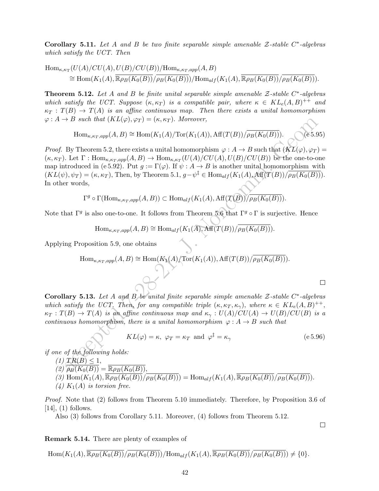Corollary 5.11. Let A and B be two finite separable simple amenable  $\mathcal{Z}\text{-stable }C^*\text{-algebras}$ which satisfy the UCT. Then

$$
\text{Hom}_{\kappa,\kappa_{\mathcal{T}}}(U(A)/CU(A),U(B)/CU(B))/\text{Hom}_{\kappa,\kappa_{\mathcal{T}},app}(A,B)
$$
  
\n
$$
\cong \text{Hom}(K_1(A),\overline{\mathbb{R}\rho_B(K_0(B))}/\overline{\rho_B(K_0(B))})/\text{Hom}_{alf}(K_1(A),\overline{\mathbb{R}\rho_B(K_0(B))}/\overline{\rho_B(K_0(B))}).
$$

**Theorem 5.12.** Let A and B be finite unital separable simple amenable  $\mathcal{Z}\text{-stable }C^*\text{-algebras}$ which satisfy the UCT. Suppose  $(\kappa, \kappa_T)$  is a compatible pair, where  $\kappa \in KL_e(A, B)^{++}$  and  $\kappa_T : T(B) \to T(A)$  is an affine continuous map. Then there exists a unital homomorphism  $\varphi: A \to B$  such that  $(KL(\varphi), \varphi_T) = (\kappa, \kappa_T)$ . Moreover,

$$
\operatorname{Hom}_{\kappa,\kappa_T,app}(A,B)\cong \operatorname{Hom}(K_1(A)/\operatorname{Tor}(K_1(A)),\operatorname{Aff}(T(B))/\overline{\rho_B(K_0(B))}).
$$
 (e 5.95)

*A B such that*  $(KL(\varphi), \varphi_T) = (\kappa, \kappa_T)$ . Moreover,<br>  $\lim_{\kappa, \kappa_T, \text{app}} (A, B) \cong \text{Hom}(K_1(A)/\text{Tor}(K_1(A)), \text{Aff}(T(B))/\overline{\rho_B(K_0(B))})$ . Ces 5.8<br>
By Theorem 5.2, there exists a unital homomorphism  $\varphi : A \to B$  such that  $(KL(\varphi), \varphi_T)$ <br>
Let *Proof.* By Theorem 5.2, there exists a unital homomorphism  $\varphi : A \to B$  such that  $(KL(\varphi), \varphi_T) =$  $(\kappa, \kappa_T)$ . Let  $\Gamma : \text{Hom}_{\kappa, \kappa_T, app}(A, B) \to \text{Hom}_{\kappa, \kappa_T}(U(A)/CU(A), U(B)/CU(B))$  be the one-to-one map introduced in (e 5.92). Put  $g := \Gamma(\varphi)$ . If  $\psi : A \to B$  is another unital homomorphism with  $(KL(\psi), \psi_T) = (\kappa, \kappa_T)$ , Then, by Theorem 5.1,  $g - \psi^{\ddagger} \in \text{Hom}_{alf}(K_1(A), \text{Aff}(T(B))/\overline{\rho_B(K_0(B))})$ . In other words,

 $\Gamma^g \circ \Gamma(\text{Hom}_{\kappa,\kappa_T,app}(A,B)) \subset \text{Hom}_{alf}(K_1(A), \text{Aff}(T(B))/\overline{\rho_B(K_0(B))}).$ 

Note that  $\Gamma^g$  is also one-to-one. It follows from Theorem 5.6 that  $\Gamma^g \circ \Gamma$  is surjective. Hence

$$
\text{Hom}_{\kappa,\kappa_T,app}(A,B)\cong \text{Hom}_{alf}(K_1(A),\text{Aff}(T(B))/\overline{\rho_B(K_0(B))}).
$$

Applying Proposition 5.9, one obtains

Hom<sub>$$
\kappa, \kappa_T, app(A, B) \cong \text{Hom}(K_1(A)/\text{Tor}(K_1(A)), \text{Aff}(T(B))/\overline{\rho_B(K_0(B))}).
$$</sub>

Corollary 5.13. Let A and B be unital finite separable simple amenable  $\mathcal{Z}\text{-stable }C^*\text{-algebras}$ which satisfy the UCT. Then, for any compatible triple  $(\kappa, \kappa_T, \kappa_\gamma)$ , where  $\kappa \in KL_e(A, B)^{++}$ ,  $\kappa_T : T(B) \to T(A)$  is an affine continuous map and  $\kappa_\gamma : U(A)/CU(A) \to U(B)/CU(B)$  is a continuous homomorphism, there is a unital homomorphism  $\varphi : A \to B$  such that

$$
KL(\varphi) = \kappa, \ \varphi_T = \kappa_T \ \text{and} \ \varphi^{\ddagger} = \kappa_{\gamma} \tag{e.5.96}
$$

if one of the following holds:

 $(1)$   $TR(B) \leq 1$ ,  $(2)$   $\rho_B(K_0(B)) = \overline{\mathbb{R}\rho_B(K_0(B))},$ (3)  $\text{Hom}(K_1(A), \overline{\mathbb{R}\rho_B(K_0(B))}/\overline{\rho_B(K_0(B))}) = \text{Hom}_{alf}(K_1(A), \overline{\mathbb{R}\rho_B(K_0(B))}/\overline{\rho_B(K_0(B))}).$ 

(4) 
$$
K_1(A)
$$
 is torsion free.

Proof. Note that (2) follows from Theorem 5.10 immediately. Therefore, by Proposition 3.6 of  $[14]$ ,  $(1)$  follows.

Also (3) follows from Corollary 5.11. Moreover, (4) follows from Theorem 5.12.

 $\Box$ 

 $\Box$ 

Remark 5.14. There are plenty of examples of

$$
\operatorname{Hom}(K_1(A), \overline{\mathbb{R}\rho_B(K_0(B))}/\overline{\rho_B(K_0(B))})/\operatorname{Hom}_{alf}(K_1(A), \overline{\mathbb{R}\rho_B(K_0(B))}/\overline{\rho_B(K_0(B))}) \neq \{0\}.
$$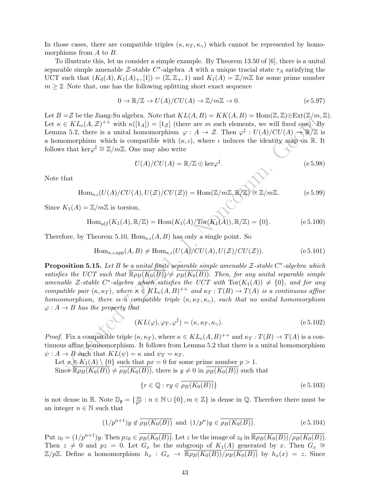In those cases, there are compatible triples  $(\kappa, \kappa_T, \kappa_\gamma)$  which cannot be represented by homomorphisms from A to B.

To illustrate this, let us consider a simple example. By Theorem 13.50 of [6], there is a unital separable simple amenable  $\mathcal{Z}\text{-stable } C^*$ -algebra A with a unique tracial state  $\tau_A$  satisfying the UCT such that  $(K_0(A), K_1(A)_+, [1]) = (\mathbb{Z}, \mathbb{Z}_+, 1)$  and  $K_1(A) = \mathbb{Z}/m\mathbb{Z}$  for some prime number  $m \geq 2$ . Note that, one has the following splitting short exact sequence

$$
0 \to \mathbb{R}/\mathbb{Z} \to U(A)/CU(A) \to \mathbb{Z}/m\mathbb{Z} \to 0.
$$
 (e 5.97)

Let  $B = \mathcal{Z}$  be the Jiang-Su algebra. Note that  $KL(A, B) = KK(A, B) = Hom(\mathbb{Z}, \mathbb{Z}) \oplus Ext(\mathbb{Z}/m, \mathbb{Z})$ . Let  $\kappa \in KL_e(A, \mathcal{Z})^{++}$  with  $\kappa([1_A]) = [1_{\mathcal{Z}}]$  (there are m such elements, we will fixed one). By Lemma 5.2, there is a unital homomorphism  $\varphi : A \to \mathcal{Z}$ . Then  $\varphi^{\ddagger} : U(A)/CU(A) \to \mathbb{R}/\mathbb{Z}$  is a homomorphism which is compatible with  $(\kappa, \iota)$ , where  $\iota$  induces the identity map on R. It follows that ker $\varphi^{\ddagger} \cong \mathbb{Z}/m\mathbb{Z}$ . One may also write

$$
U(A)/CU(A) = \mathbb{R}/\mathbb{Z} \oplus \ker \varphi^{\ddagger}.
$$
 (e 5.98)

Note that

$$
\text{Hom}_{\kappa,\iota}(U(A)/CU(A),U(\mathcal{Z})/CU(\mathcal{Z})) = \text{Hom}(\mathbb{Z}/m\mathbb{Z},\mathbb{R}/\mathbb{Z}) \cong \mathbb{Z}/m\mathbb{Z}.
$$
 (e 5.99)

Since  $K_1(A) = \mathbb{Z}/m\mathbb{Z}$  is torsion,

Hom<sub>alf</sub>
$$
(K_1(A), \mathbb{R}/\mathbb{Z}) = \text{Hom}(K_1(A)/\text{Tor}(K_1(A)), \mathbb{R}/\mathbb{Z}) = \{0\}.
$$
 (e 5.100)

Therefore, by Theorem 5.10,  $\text{Hom}_{\kappa,\iota}(A, B)$  has only a single point. So

$$
\text{Hom}_{\kappa,\iota,app}(A,B) \neq \text{Hom}_{\kappa,\iota}(U(A)/CU(A),U(\mathcal{Z})/CU(\mathcal{Z})).\tag{e.5.101}
$$

EV.  $KL_c(A, Z)^{1+\gamma}$  with  $\kappa([1_A]) = [1_Z]$  (there are m such elements, we will fixed one)  $\lambda = K_c(A, Z)^{1+\gamma}$  with  $\kappa([1_A]) = [1_Z]$  (there are m such elements, we will fixed one)  $\lambda = 2$ , there is a unital homomorphism with the som **Proposition 5.15.** Let B be a unital finite separable simple amenable  $\mathcal{Z}\text{-stable }C^*\text{-algebra which}$ satisfies the UCT such that  $\overline{\mathbb{R}\rho_B(K_0(B))} \neq \overline{\rho_B(K_0(B))}$ . Then, for any unital separable simple amenable Z-stable C<sup>\*</sup>-algebra which satisfies the UCT with  $Tor(K_1(A)) \neq \{0\}$ , and for any compatible pair  $(\kappa, \kappa_T)$ , where  $\kappa \in KL_e(A, B)^{++}$  and  $\kappa_T : T(B) \to T(A)$  is a continuous affine homeomorphism, there is a compatible triple  $(\kappa, \kappa_T, \kappa_\gamma)$ , such that no unital homomorphism  $\varphi: A \to B$  has the property that

$$
(KL(\varphi), \varphi_T, \varphi^{\dagger}) = (\kappa, \kappa_T, \kappa_{\gamma}).
$$
\n<sup>(e.5.102)</sup>

*Proof.* Fix a compatible triple  $(\kappa, \kappa_T)$ , where  $\kappa \in KL_e(A, B)^{++}$  and  $\kappa_T : T(B) \to T(A)$  is a continuous affine homeomorphism. It follows from Lemma 5.2 that there is a unital homomorphism  $\psi: A \to B$  such that  $KL(\psi) = \kappa$  and  $\psi_T = \kappa_T$ .

Let  $x \in K_1(A) \setminus \{0\}$  such that  $px = 0$  for some prime number  $p > 1$ . Since  $\overline{\mathbb{R}\rho_B(K_0(B))} \neq \overline{\rho_B(K_0(B))}$ , there is  $y \neq 0$  in  $\overline{\rho_B(K_0(B))}$  such that

$$
\{r \in \mathbb{Q} : ry \in \overline{\rho_B(K_0(B))}\}\tag{e.5.103}
$$

is not dense in  $\mathbb{R}$ . Note  $\mathbb{D}_{\mathfrak{p}} = \{\frac{m}{p^n} : n \in \mathbb{N} \cup \{0\}, m \in \mathbb{Z}\}$  is dense in  $\mathbb{Q}$ . Therefore there must be an integer  $n \in \mathbb{N}$  such that

$$
(1/p^{n+1})y \notin \overline{\rho_B(K_0(B))}
$$
 and  $(1/p^n)y \in \overline{\rho_B(K_0(B))}$ . (e 5.104)

Put  $z_0 = (1/p^{n+1})y$ . Then  $pz_0 \in \overline{\rho_B(K_0(B))}$ . Let z be the image of  $z_0$  in  $\overline{\mathbb{R}\rho_B(K_0(B))}/\overline{\rho_B(K_0(B))}$ . Then  $z \neq 0$  and  $pz = 0$ . Let  $G_x$  be the subgroup of  $K_1(A)$  generated by x. Then  $G_x \cong$  $\mathbb{Z}/p\mathbb{Z}$ . Define a homomorphism  $h_x : G_x \to \overline{\mathbb{R}\rho_B(K_0(B))}/\overline{\rho_B(K_0(B))}$  by  $h_x(x) = z$ . Since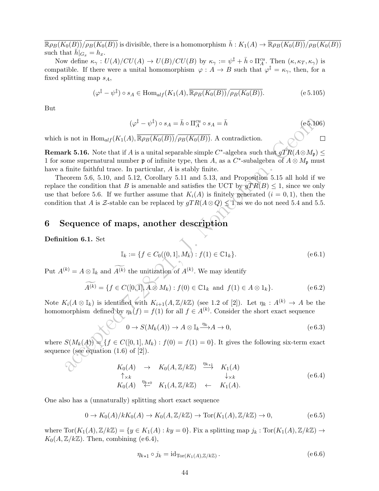$\overline{\mathbb{R}\rho_B(K_0(B))}/\overline{\rho_B(K_0(B))}$  is divisible, there is a homomorphism  $\overline{h}: K_1(A) \to \overline{\mathbb{R}\rho_B(K_0(B))}/\overline{\rho_B(K_0(B))}$ such that  $h|_{G_x} = h_x$ .

Now define  $\kappa_{\gamma}: U(A)/CU(A) \to U(B)/CU(B)$  by  $\kappa_{\gamma} := \psi^{\ddagger} + \bar{h} \circ \Pi_A^{cu}$ . Then  $(\kappa, \kappa_T, \kappa_{\gamma})$  is compatible. If there were a unital homomorphism  $\varphi : A \to B$  such that  $\varphi^{\ddagger} = \kappa_{\gamma}$ , then, for a fixed splitting map  $s_A$ ,

$$
(\varphi^{\ddagger} - \psi^{\ddagger}) \circ s_A \in \text{Hom}_{alf}(K_1(A), \overline{\mathbb{R}\rho_B(K_0(B))}/\overline{\rho_B(K_0(B))}.\tag{e.5.105}
$$

But

$$
(\varphi^{\ddagger} - \psi^{\ddagger}) \circ s_A = \bar{h} \circ \Pi_A^{cu} \circ s_A = \bar{h}
$$
 (e5.106)

 $\Box$ 

which is not in  $\text{Hom}_{alf}(K_1(A), \overline{\mathbb{R}\rho_B(K_0(B))}/\overline{\rho_B(K_0(B))}$ . A contradiction.

**Remark 5.16.** Note that if A is a unital separable simple C<sup>\*</sup>-algebra such that  $gTR(A \otimes M_p) \le$ 1 for some supernatural number  $\mathfrak p$  of infinite type, then A, as a C<sup>\*</sup>-subalgebra of  $A \otimes M_{\mathfrak p}$  must have a finite faithful trace. In particular, A is stably finite.

 $(\varphi^2 - \psi^1) \circ s_A = \bar{h} \circ \Pi_A^{\alpha} \circ s_A = \bar{h}$  (e.f.) If<br>
is not in Hom<sub>ai</sub>/(K<sub>1</sub>(A<sub>1</sub>, R<sub>*PB*</sub>(K<sub>0</sub>(B))/ $\rho_B(K_0(B))$ . A contradiction.<br> **ack 5.16.** Note that if A is a unital separable simple C\*-algebra such that  $gTR(A \otimes M_p)$  m Theorem 5.6, 5.10, and 5.12, Corollary 5.11 and 5.13, and Proposition 5.15 all hold if we replace the condition that B is amenable and satisfies the UCT by  $gTR(B) \leq 1$ , since we only use that before 5.6. If we further assume that  $K_i(A)$  is finitely generated  $(i = 0, 1)$ , then the condition that A is Z-stable can be replaced by  $gTR(A \otimes Q) \leq 1$  as we do not need 5.4 and 5.5.

## 6 Sequence of maps, another description

Definition 6.1. Set

$$
\mathbb{I}_k := \{ f \in C_0((0,1], M_k) : f(1) \in \mathbb{C}1_k \}. \tag{e 6.1}
$$

Put  $A^{(k)} = A \otimes \mathbb{I}_k$  and  $A^{(k)}$  the unitization of  $A^{(k)}$ . We may identify

$$
\widetilde{A^{(k)}} = \{ f \in C([0,1], A \otimes M_k) : f(0) \in \mathbb{C}1_k \text{ and } f(1) \in A \otimes 1_k \}. \tag{e 6.2}
$$

Note  $K_i(A \otimes \mathbb{I}_k)$  is identified with  $K_{i+1}(A, \mathbb{Z}/k\mathbb{Z})$  (see 1.2 of [2]). Let  $\eta_k : A^{(k)} \to A$  be the homomorphism defined by  $\eta_k(f) = f(1)$  for all  $f \in A^{(k)}$ . Consider the short exact sequence

$$
0 \to S(M_k(A)) \to A \otimes \mathbb{I}_k \xrightarrow{\eta_k} A \to 0,
$$
 (e 6.3)

where  $S(M_k(A)) = \{f \in C([0,1], M_k) : f(0) = f(1) = 0\}$ . It gives the following six-term exact sequence (see equation  $(1.6)$  of  $[2]$ ).

$$
K_0(A) \rightarrow K_0(A, \mathbb{Z}/k\mathbb{Z}) \xrightarrow{\eta_{k+1}} K_1(A)
$$
  
\n
$$
\uparrow \times k \qquad \qquad \downarrow \times k
$$
  
\n
$$
K_0(A) \xrightarrow{\eta_{k+0}} K_1(A, \mathbb{Z}/k\mathbb{Z}) \leftarrow K_1(A).
$$
  
\n(e 6.4)

One also has a (unnaturally) splitting short exact sequence

$$
0 \to K_0(A)/kK_0(A) \to K_0(A, \mathbb{Z}/k\mathbb{Z}) \to \text{Tor}(K_1(A), \mathbb{Z}/k\mathbb{Z}) \to 0,
$$
 (e 6.5)

where  $\text{Tor}(K_1(A), \mathbb{Z}/k\mathbb{Z}) = \{y \in K_1(A) : ky = 0\}$ . Fix a splitting map  $j_k : \text{Tor}(K_1(A), \mathbb{Z}/k\mathbb{Z}) \to$  $K_0(A, \mathbb{Z}/k\mathbb{Z})$ . Then, combining (e 6.4),

$$
\eta_{k+1} \circ j_k = \mathrm{id}_{\mathrm{Tor}(K_1(A), \mathbb{Z}/k\mathbb{Z})} \,. \tag{e.6.6}
$$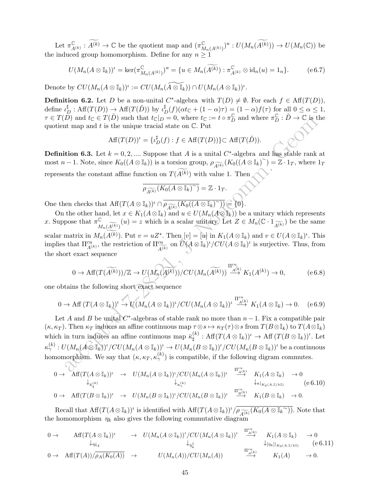Let  $\pi_{\lambda}^{\mathbb{C}}$  $\mathcal{L}_{A^{(k)}}^{\mathbb{C}} : \widetilde{A^{(k)}} \to \mathbb{C}$  be the quotient map and  $(\pi^{\mathbb{C}}_{M})$  $_{M_n(A^{(k)})}^{\mathbb{C}})^u : U(M_n(A^{(k)})) \to U(M_n(\mathbb{C}))$  be the induced group homomorphism. Define for any  $n \geq 1$ 

$$
U(M_n(A\otimes \mathbb{I}_k))^{\iota} = \ker(\pi_{M_n(A^{(k)})}^{\mathbb{C}})^{\iota} = \{ u \in M_n(\widetilde{A^{(k)}}) : \pi_{A^{(k)}}^{\mathbb{C}} \otimes \mathrm{id}_n(u) = 1_n \}. \tag{e.6.7}
$$

Denote by  $CU(M_n(A\otimes \mathbb{I}_k))^{\iota} := CU(M_n(\widetilde{A\otimes \mathbb{I}_k}))\cap U(M_n(A\otimes \mathbb{I}_k))^{\iota}.$ 

**Definition 6.2.** Let D be a non-unital C<sup>\*</sup>-algebra with  $T(D) \neq \emptyset$ . For each  $f \in Aff(T(D))$ , define  $\iota_D^{\sharp} : \text{Aff}(T(D)) \to \text{Aff}(T(\tilde{D}))$  by  $\iota_D^{\sharp}(f)(\alpha t_{\mathbb{C}} + (1 - \alpha)\tau) = (1 - \alpha)f(\tau)$  for all  $0 \leq \alpha \leq 1$ ,  $\tau \in T(D)$  and  $t_{\mathbb{C}} \in T(D)$  such that  $t_{\mathbb{C}}|_{D} = 0$ , where  $t_{\mathbb{C}} := t \circ \pi_D^{\mathbb{C}}$  and where  $\pi_D^{\mathbb{C}} : D \to \mathbb{C}$  is the quotient map and  $t$  is the unique tracial state on  $\mathbb{C}$ . Put

$$
\text{Aff}(T(D))^{\iota} = {\iota_D^{\sharp}(f) : f \in \text{Aff}(T(D))} \subset \text{Aff}(T(\tilde{D})).
$$

**Definition 6.3.** Let  $k = 0, 2, ...$  Suppose that A is a unital C<sup>\*</sup>-algebra and has stable rank at most  $n-1$ . Note, since  $K_0((A\otimes \mathbb{I}_k))$  is a torsion group,  $\rho_{\widetilde{A^{(k)}}}(K_0((A\otimes \mathbb{I}_k)^{\sim})=\overline{\mathbb{Z}}\cdot 1_T$ , where  $1_T$ represents the constant affine function on  $T(\widetilde{A^{(k)}})$  with value 1. Then

$$
\overline{\rho_{\widetilde{A^{(k)}}}(K_0(A\otimes \mathbb{I}_k)^\sim)}=\mathbb{Z}\cdot 1_T.
$$

One then checks that  $Aff(T(A \otimes \mathbb{I}_k))^{\iota} \cap \overline{\rho_{\widetilde{A^{(k)}}}(K_0((A \otimes \mathbb{I}_k)^{\sim}))} \subseteq \{0\}.$ 

On the other hand, let  $x \in K_1(A \otimes \mathbb{I}_k)$  and  $u \in U(M_n(A \otimes \mathbb{I}_k))$  be a unitary which represents x. Suppose that  $\pi^{\mathbb{C}}$  $\mathbb{C}_{M_n(\widetilde{A^{(k)}})}(u) = z$  which is a scalar unitary. Let  $Z \in M_n(\mathbb{C} \cdot 1_{\widetilde{A^{(k)}}})$  be the same scalar matrix in  $M_n(A^{(k)})$ . Put  $v = uZ^*$ . Then  $[v] = [u]$  in  $K_1(A \otimes \mathbb{I}_k)$  and  $v \in U(A \otimes \mathbb{I}_k)^{\iota}$ . This implies that  $\Pi_{A^{(k)}}^{cu}$ , the restriction of  $\Pi_{\widehat{A^{(k)}}}^{cu}$  $\frac{cu}{A^{(k)}}$  on  $\widehat{U}(A\otimes \mathbb{I}_k)^{\iota}/CU(A\otimes \mathbb{I}_k)^{\iota}$  is surjective. Thus, from the short exact sequence

$$
0 \to \text{Aff}(T(\widetilde{A^{(k)}}))/\mathbb{Z} \to \widetilde{U(M_n(\widetilde{A^{(k)}}))/CU(M_n(\widetilde{A^{(k)}}))} \stackrel{\Pi^{cu}}{\longrightarrow} K_1(A^{(k)}) \to 0,
$$
 (e 6.8)

one obtains the following short exact sequence

$$
0 \to \text{Aff } (T(A \otimes \mathbb{I}_k))^t \to U(M_n(A \otimes \mathbb{I}_k))^t / CU(M_n(A \otimes \mathbb{I}_k))^t \stackrel{\Pi^{cu}_{A(k)}}{\longrightarrow} K_1(A \otimes \mathbb{I}_k) \to 0. \quad (e \, 6.9)
$$

*D)* and  $r_c \in (1/2)$  stellar track  $p_c$  ( $\cdots$  For  $t_c$  if  $\cdots$  For  $t_c$ ) in the summand  $t$  is the unique tracial state on C. Put<br>
the map and  $t$  is the unique tracial state on C. Put<br>
Aff $(T(D))^t = \{t_{D}^k(f) : f \in \text{Aff}(T(D))\$ Let A and B be unital  $C^*$ -algebras of stable rank no more than  $n-1$ . Fix a compatible pair  $(\kappa, \kappa_T)$ . Then  $\kappa_T$  induces an affine continuous map  $\tau \otimes s \mapsto \kappa_T(\tau) \otimes s$  from  $T(B \otimes \mathbb{I}_k)$  to  $T(A \otimes \mathbb{I}_k)$ which in turn induces an affine continuous map  $\bar{\kappa}_{\mu}^{(k)}$  $\mathcal{L}_{\sharp}^{(k)}: \text{Aff}(T(A\otimes\mathbb{I}_k))^{\iota} \to \text{Aff}(T(B\otimes\mathbb{I}_k))^{\iota}.$  Let  $\kappa_\gamma^{(k)}:U(M_n(A\otimes \mathbb{I}_k))^\iota/CU(M_n(A\otimes \mathbb{I}_k))^\iota\to U(M_n(B\otimes \mathbb{I}_k))^\iota/CU(M_n(B\otimes \mathbb{I}_k))^\iota$  be a continuous homomorphism. We say that  $(\kappa, \kappa_T, \kappa_\gamma^{(k)})$  is compatible, if the following digram commutes.

$$
0 \to \begin{array}{ccc}\n\text{Aff}(T(A \otimes \mathbb{I}_k))^{\iota} & \to & U(M_n(A \otimes \mathbb{I}_k))^{\iota}/CU(M_n(A \otimes \mathbb{I}_k))^{\iota} & \xrightarrow{\text{Tr}_{A(k)}^{\alpha} \\
\downarrow_{\kappa_{\sharp}}^{(k)}} & & \downarrow_{\kappa_{\sharp}}^{(k)} \\
0 \to & \text{Aff}(T(B \otimes \mathbb{I}_k))^{\iota} & \to & U(M_n(B \otimes \mathbb{I}_k))^{\iota}/CU(M_n(B \otimes \mathbb{I}_k))^{\iota} & \xrightarrow{\text{Tr}_{B(k)}^{\alpha} \\
\downarrow_{\kappa}|_{K_0(A, \mathbb{Z}/k\mathbb{Z})}} & & \text{(e 6.10)} \\
0 \to & \text{Aff}(T(B \otimes \mathbb{I}_k))^{\iota} & \to & U(M_n(B \otimes \mathbb{I}_k))^{\iota}/CU(M_n(B \otimes \mathbb{I}_k))^{\iota} & \xrightarrow{\text{Tr}_{B(k)}^{\alpha} \\
\downarrow_{\kappa}|_{K_0(A, \mathbb{Z}/k\mathbb{Z})}} & & \text{(e 6.10)} \\
\end{array}
$$

Recall that  $Aff(T(A\otimes \mathbb{I}_k))^t$  is identified with  $Aff(T(A\otimes \mathbb{I}_k))^t/\overline{\rho_{\widetilde{A(k)}}(K_0(A\otimes \mathbb{I}_k^{\sim}))}$ . Note that the homomorphism  $\eta_k$  also gives the following commutative diagram

$$
0 \to \text{Aff}(T(A \otimes \mathbb{I}_k))^{\iota} \to U(M_n(A \otimes \mathbb{I}_k))^{\iota}/CU(M_n(A \otimes \mathbb{I}_k))^{\iota} \xrightarrow{\Pi_{A(k)}^{\text{cu}}} K_1(A \otimes \mathbb{I}_k) \to 0
$$
  
\n
$$
\downarrow_{\eta_k^{\pm}} \downarrow_{[\eta_k]|_{K_0(A,\mathbb{Z}/k\mathbb{Z})}} (e \cdot 6.11)
$$
  
\n
$$
0 \to \text{Aff}(T(A))/\overline{\rho_A(K_0(A))} \to U(M_n(A))/CU(M_n(A)) \xrightarrow{\Pi_{A(k)}^{\text{cu}}} K_1(A) \to 0.
$$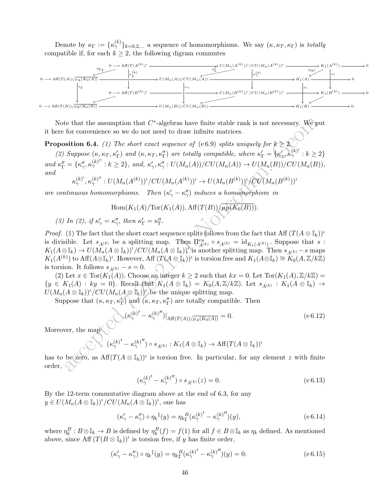Denote by  $\kappa_{\Gamma} := {\{\kappa_{\gamma}^{(k)}\}}_{k=0,2,...}$  a sequence of homomorphisms. We say  $(\kappa, \kappa_T, \kappa_{\Gamma})$  is totally compatible if, for each  $k \geq 2$ , the following digram commutes



Note that the assumption that  $C^*$ -algebras have finite stable rank is not necessary. We put it here for convenience so we do not need to draw infinite matrices.

**Proposition 6.4.** (1) The short exact sequence of (e.6.9) splits uniquely for  $k \geq 2$ .

(2) Suppose  $(\kappa, \kappa_T, \kappa_T')$  and  $(\kappa, \kappa_T, \kappa_T'')$  are totally compatible, where  $\kappa_T' = {\{\kappa_T', \kappa_T^{(k)'} : k \geq 2\}}$ and  $\kappa''_{\Gamma} = {\kappa''_{\gamma}, \kappa^{(k)''}_{\gamma}: k \geq 2}, \text{ and, } \kappa'_{\gamma}, \kappa''_{\gamma}: U(M_n(A))/CU(M_n(A)) \to U(M_n(B))/CU(M_n(B)),$ and

$$
\kappa_{\gamma}^{(k)'}, \kappa_{\gamma}^{(k)''}: U(M_n(A^{(k)}))^{\iota}/CU(M_n(A^{(k)}))^{\iota} \to U(M_n(B^{(k)}))^{\iota}/CU(M_n(B^{(k)}))^{\iota}
$$

are continuous homomorphisms. Then  $(\kappa'_{\gamma} - \kappa''_{\gamma})$  induces a homomorphism in

$$
\operatorname{Hom}(K_1(A)/\mathrm{Tor}(K_1(A)),\operatorname{Aff}(T(B))/\overline{\rho_B(K_0(B))}).
$$

(3) In (2), if 
$$
\kappa'_{\gamma} = \kappa''_{\gamma}
$$
, then  $\kappa'_{\Gamma} = \kappa''_{\Gamma}$ .

te that the assumption that  $C^*$ -algebras have finite stable rank is not necessary. We port once<br>for convenience so we do not need to draw infinite matrices.<br>
Suppose  $(\kappa, \kappa; r, \kappa'_1)$  and  $(\kappa, \kappa; r, \kappa''_1)$  are totall *Proof.* (1) The fact that the short exact sequence splits follows from the fact that Aff  $(T(A \otimes \mathbb{I}_k))^t$ is divisible. Let  $s_{A(k)}$  be a splitting map. Then  $\Pi_{A(k)}^{cu} \circ s_{A(k)} = id_{K_1(A(k))}$ . Suppose that s:  $K_1(A\otimes\mathbb{I}_k)\to U(M_n(A\otimes\mathbb{I}_k))^l/CU(M_n(A\otimes\mathbb{I}_k))^l$  is another splitting map. Then  $s_{A(k)}-s$  maps  $K_1(A^{(k)})$  to  $\text{Aff}(A\otimes\mathbb{I}_k)$ <sup>*l*</sup>. However,  $\text{Aff}(T(A\otimes\mathbb{I}_k))^{\iota}$  is torsion free and  $K_1(A\otimes\mathbb{I}_k)\cong K_0(A,\mathbb{Z}/k\mathbb{Z})$ is torsion. It follows  $s_{A(k)} - s = 0$ .

(2) Let  $x \in \text{Tor}(K_1(A))$ . Choose an integer  $k \geq 2$  such that  $kx = 0$ . Let  $\text{Tor}(K_1(A), \mathbb{Z}/k\mathbb{Z}) =$  ${y \in K_1(A) : ky = 0}$ . Recall that  $K_1(A \otimes \mathbb{I}_k) = K_0(A, \mathbb{Z}/k\mathbb{Z})$ . Let  $s_{A(k)} : K_1(A \otimes \mathbb{I}_k) \to$  $\overline{U(M_n(A\otimes \mathbb{I}_k))}^t/CU(M_n(A\otimes \mathbb{I}_k))$  be the unique splitting map.

Suppose that  $(\kappa, \kappa_T, \kappa'_\Gamma)$  and  $(\kappa, \kappa_T, \kappa''_\Gamma)$  are totally compatible. Then

$$
(\kappa_{\gamma}^{(k)'} - \kappa_{\gamma}^{(k)''})|_{\text{Aff}(T(A))/\overline{\rho_A(K_0(A))}} = 0.
$$
 (e 6.12)

Moreover, the map

$$
\bigvee (\kappa_\gamma^{(k)'} - \kappa_\gamma^{(k)''}) \circ s_{A^{(k)}} : K_1(A \otimes \mathbb{I}_k) \to \text{Aff}(T(A \otimes \mathbb{I}_k))^t
$$

has to be zero, as  $\text{Aff}(T(A\otimes\mathbb{I}_k))^t$  is torsion free. In particular, for any element z with finite order,

$$
(\kappa_{\gamma}^{(k)'} - \kappa_{\gamma}^{(k)''}) \circ s_{A^{(k)}}(z) = 0.
$$
 (e 6.13)

By the 12-term commutative diagram above at the end of 6.3, for any  $y \in U(M_n(A \otimes \mathbb{I}_k))^t / CU(M_n(A \otimes \mathbb{I}_k))^t$ , one has

$$
(\kappa'_{\gamma} - \kappa''_{\gamma}) \circ \eta_k^{\dagger}(y) = \eta_k^{\ B} (\kappa^{(k)'}_{\gamma} - \kappa^{(k)''}_{\gamma})(y), \tag{e 6.14}
$$

where  $\eta_k^B : B \otimes \mathbb{I}_k \to B$  is defined by  $\eta_k^B(f) = f(1)$  for all  $f \in B \otimes \mathbb{I}_k$  as  $\eta_k$  defined. As mentioned above, since Aff  $(T(B\otimes \mathbb{I}_k))^t$  is torsion free, if y has finite order,

$$
(\kappa'_{\gamma} - \kappa''_{\gamma}) \circ \eta_k^{\dagger}(y) = \eta_k^{\ B} (\kappa^{(k)'}_{\gamma} - \kappa^{(k)''}_{\gamma})(y) = 0.
$$
 (e 6.15)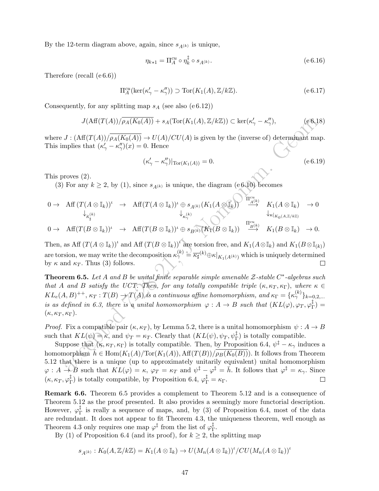By the 12-term diagram above, again, since  $s_{A(k)}$  is unique,

$$
\eta_{k+1} = \Pi_A^{cu} \circ \eta_k^{\ddagger} \circ s_{A^{(k)}}.
$$
\n(e 6.16)

Therefore (recall (e 6.6))

$$
\Pi_A^{cu}(\ker(\kappa'_{\gamma}-\kappa''_{\gamma})) \supset \text{Tor}(K_1(A), \mathbb{Z}/k\mathbb{Z}).\tag{e.6.17}
$$

Consequently, for any splitting map  $s_A$  (see also (e 6.12))

$$
J(\text{Aff}(T(A))/\overline{\rho_A(K_0(A))} + s_A(\text{Tor}(K_1(A), \mathbb{Z}/k\mathbb{Z})) \subset \text{ker}(\kappa'_{\gamma} - \kappa''_{\gamma}),
$$
 (e6.18)

where  $J : (Aff(T(A))/\overline{\rho_A(K_0(A))} \to U(A)/CU(A)$  is given by the (inverse of) determinant map. This implies that  $(\kappa'_{\gamma} - \kappa''_{\gamma})(x) = 0$ . Hence

$$
(\kappa'_{\gamma} - \kappa''_{\gamma})|_{\text{Tor}(K_1(A))} = 0. \tag{e 6.19}
$$

This proves (2).

(3) For any  $k \geq 2$ , by (1), since  $s_{A(k)}$  is unique, the diagram (e 6.10) becomes

$$
0 \to \text{Aff}(T(A \otimes \mathbb{I}_k))^{\iota} \to \text{Aff}(T(A \otimes \mathbb{I}_k))^{\iota} \oplus s_{A^{(k)}}(K_1(A \otimes \mathbb{I}_k)) \xrightarrow{\Pi_{A^{(k)}}^{\text{cu}}} K_1(A \otimes \mathbb{I}_k) \to 0
$$
  
\n
$$
\downarrow_{\kappa_{\gamma}^{(k)}} \downarrow_{\kappa_{\gamma}^{(k)}} K_1(B \otimes \mathbb{I}_k) \to 0
$$
  
\n
$$
0 \to \text{Aff}(T(B \otimes \mathbb{I}_k))^{\iota} \to \text{Aff}(T(B \otimes \mathbb{I}_k))^{\iota} \oplus s_{B^{(k)}}(K_1(B \otimes \mathbb{I}_k)) \xrightarrow{\Pi_{B^{(k)}}^{\text{cu}}} K_1(B \otimes \mathbb{I}_k) \to 0.
$$

Then, as Aff  $(T(A \otimes \mathbb{I}_k))^t$  and Aff  $(T(B \otimes \mathbb{I}_k))^t$  are torsion free, and  $K_1(A \otimes \mathbb{I}_k)$  and  $K_1(B \otimes \mathbb{I}_{(k)})$ are torsion, we may write the decomposition  $\kappa_\gamma^{(k)} \stackrel{d}{=} \overline{\kappa_{\sharp}}^{(k)} \oplus \kappa|_{K_1(A^{(k)})}$  which is uniquely determined by  $\kappa$  and  $\kappa_T$ . Thus (3) follows.

 $J(\text{Aff}(T(A))/\rho_A(K_0(A))) + s_A(\text{Tor}(K_1(A),\mathbb{Z}/k\mathbb{Z})) \subset \ker(\kappa'_\gamma - \kappa''_\gamma),$ <br>  $J: (\text{Aff}(T(A))/\rho_A(K_0(A))) \to U(A)/CU(A)$  is given by the (inverse of) determinant map<br>
mplies that  $(\kappa'_\gamma - \kappa''_\gamma)(x) = 0$ . Hence<br>  $(\kappa'_\gamma - \kappa''_\gamma)(x) = 0$ . Hence<br>  $(\kappa'_\gamma - \$ **Theorem 6.5.** Let A and B be unital finite separable simple amenable  $\mathcal{Z}\text{-stable }C^*\text{-algebras such}$ that A and B satisfy the UCT. Then, for any totally compatible triple  $(\kappa, \kappa_T, \kappa_F)$ , where  $\kappa \in$  $KL_e(A, B)^{++}, \kappa_T : T(B) \rightarrow T(A)$  is a continuous affine homomorphism, and  $\kappa_{\Gamma} = {\{\kappa_{\gamma}^{(k)}\}}_{k=0,2,...}$ is as defined in 6.3, there is a unital homomorphism  $\varphi: A \to B$  such that  $(KL(\varphi), \varphi_T, \varphi_T^{\ddagger})$  $_{1}^{\ast}$ )  $=$  $(\kappa, \kappa_T, \kappa_\Gamma).$ 

*Proof.* Fix a compatible pair  $(\kappa, \kappa_T)$ , by Lemma 5.2, there is a unital homomorphism  $\psi : A \to B$ such that  $KL(\psi) = \kappa$ , and  $\psi_T = \kappa_T$ . Clearly that  $(KL(\psi), \psi_T, \psi_T^{\dagger})$  is totally compatible.

Suppose that  $(\kappa, \kappa_T, \kappa_F)$  is totally compatible. Then, by Proposition 6.4,  $\psi^{\ddagger} - \kappa_{\gamma}$  induces a homomorphism  $\bar{h} \in \text{Hom}(K_1(A)/\text{Tor}(K_1(A)), \text{Aff}(T(B))/\rho_B(K_0(B)))$ . It follows from Theorem 5.12 that there is a unique (up to approximately unitarily equivalent) unital homomorphism  $\varphi: A \to B$  such that  $KL(\varphi) = \kappa$ ,  $\varphi_T = \kappa_T$  and  $\psi^{\ddagger} - \varphi^{\ddagger} = \bar{h}$ . It follows that  $\varphi^{\ddagger} = \kappa_{\gamma}$ . Since  $(\kappa, \kappa_T, \varphi_{\overline{\Gamma}}^{\ddag}$  $_{\Gamma}^{\ddagger}$ ) is totally compatible, by Proposition 6.4,  $\varphi_{\Gamma}^{\ddagger} = \kappa_{\Gamma}$ .  $\Box$ 

Remark 6.6. Theorem 6.5 provides a complement to Theorem 5.12 and is a consequence of Theorem 5.12 as the proof presented. It also provides a seemingly more functorial description. However,  $\varphi_{\text{r}}^{\ddagger}$  $_{\Gamma}^{\dagger}$  is really a sequence of maps, and, by (3) of Proposition 6.4, most of the data are redundant. It does not appear to fit Theorem 4.3, the uniqueness theorem, well enough as Theorem 4.3 only requires one map  $\varphi^{\ddagger}$  from the list of  $\varphi^{\ddagger}_{\Gamma}$ Γ .

By (1) of Proposition 6.4 (and its proof), for  $k \geq 2$ , the splitting map

$$
s_{A^{(k)}}: K_0(A, \mathbb{Z}/k\mathbb{Z}) = K_1(A \otimes \mathbb{I}_k) \to U(M_n(A \otimes \mathbb{I}_k))^t / CU(M_n(A \otimes \mathbb{I}_k))^t
$$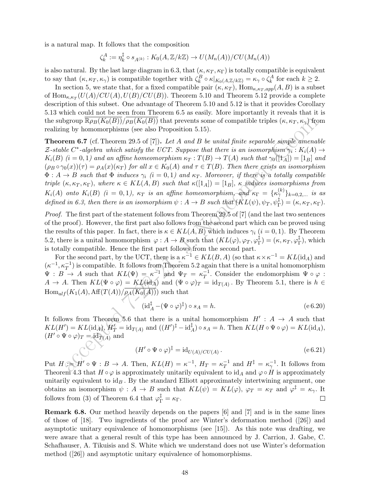is a natural map. It follows that the composition

$$
\zeta_k^A := \eta_k^{\dagger} \circ s_{A^{(k)}} : K_0(A, \mathbb{Z}/k\mathbb{Z}) \to U(M_n(A))/CU(M_n(A))
$$

is also natural. By the last large diagram in 6.3, that  $(\kappa, \kappa_T, \kappa_F)$  is totally compatible is equivalent to say that  $(\kappa, \kappa_T, \kappa_\gamma)$  is compatible together with  $\zeta_k^B \circ \kappa|_{K_0(A, \mathbb{Z}/k\mathbb{Z})} = \kappa_\gamma \circ \zeta_k^A$  for each  $k \geq 2$ .

In section 5, we state that, for a fixed compatible pair  $(\kappa, \kappa_T)$ ,  $\text{Hom}_{\kappa, \kappa_T, app}(A, B)$  is a subset of  $\text{Hom}_{\kappa,\kappa_T}(U(A)/CU(A),U(B)/CU(B)).$  Theorem 5.10 and Theorem 5.12 provide a complete description of this subset. One advantage of Theorem 5.10 and 5.12 is that it provides Corollary 5.13 which could not be seen from Theorem 6.5 as easily. More importantly it reveals that it is the subgroup  $\mathbb{R}\rho_B(K_0(B))/\rho_B(K_0(B))$  that prevents some of compatible triples  $(\kappa, \kappa_T, \kappa_Y)$  from realizing by homomorphisms (see also Proposition 5.15).

group  $\mathbb{R}\rho_B(K_0(H))/\rho_B(K_0(H))$  that prevents some of compatible triples  $(\kappa, \kappa_T, \kappa_r)$  from<br>
grow by homomorphisms (see also Proposition 5.15).<br>
Let A and B be unital finite separable simple amena<br>
le C\*-algebra unite st **Theorem 6.7** (cf. Theorem 29.5 of [7]). Let A and B be unital finite separable simple amenable Z-stable C<sup>\*</sup>-algebra which satisfy the UCT. Suppose that there is an isomorphism  $\gamma_i: K_i(A) \to$  $K_i(B)$  (i = 0, 1) and an affine homeomorphism  $\kappa_T : T(B) \to T(A)$  such that  $\gamma_0([1_A]) = [1_B]$  and  $(\rho_B \circ \gamma_0(x))(\tau) = \rho_A(x)(\kappa_T)$  for all  $x \in K_0(A)$  and  $\tau \in T(B)$ . Then there exists an isomorphism  $\Phi: A \to B$  such that  $\Phi$  induces  $\gamma_i$   $(i = 0, 1)$  and  $\kappa_T$ . Moreover, if there is a totally compatible triple  $(\kappa, \kappa_T, \kappa_{\Gamma}),$  where  $\kappa \in KL(A, B)$  such that  $\kappa([1_A]) = [1_B], \kappa$  induces isomorphisms from  $K_i(A)$  onto  $K_i(B)$   $(i = 0, 1)$ ,  $\kappa_T$  is an affine homeomorphism, and  $\kappa_{\Gamma} = {\{\kappa_{\gamma}^{(k)}\}}_{k=0,2,...}$  is as defined in 6.3, then there is an isomorphism  $\psi: A \to B$  such that  $(KL(\psi), \psi_T, \psi_T^{\ddagger}) = (\kappa, \kappa_T, \kappa_{\Gamma}).$ 

Proof. The first part of the statement follows from Theorem 29.5 of [7] (and the last two sentences of the proof). However, the first part also follows from the second part which can be proved using the results of this paper. In fact, there is  $\kappa \in KL(A, B)$  which induces  $\gamma_i$   $(i = 0, 1)$ . By Theorem 5.2, there is a unital homomorphism  $\varphi: A \to B$  such that  $(KL(\varphi), \varphi_T, \varphi_T^{\ddagger})$  $_{\Gamma}^{\ddag})=(\kappa,\kappa_{T},\varphi_{\Gamma}^{\ddag}% )(\epsilon,\kappa_{T})$  $_{\Gamma}^{\ddag})$ , which is totally compatible. Hence the first part follows from the second part.

For the second part, by the UCT, there is a  $\kappa^{-1} \in KL(B, A)$  (so that  $\kappa \times \kappa^{-1} = KL(\mathrm{id}_A)$  and  $(\kappa^{-1}, \kappa_T^{-1})$  is compatible. It follows from Theorem 5.2 again that there is a unital homomorphism  $\Psi : B \to A$  such that  $KL(\Psi) = \kappa^{-1}$  and  $\Psi_T = \kappa_T^{-1}$  $T^{-1}$ . Consider the endomorphism  $\Psi \circ \varphi$ :  $A \to A$ . Then  $KL(\Psi \circ \varphi) = KL(\mathrm{id}_A)$  and  $(\Psi \circ \varphi)_T = \mathrm{id}_{T(A)}$ . By Theorem 5.1, there is  $h \in$  $Hom_{alf}(K_1(A), Aff(T(A))/\rho_A(K_0(A)))$  such that

$$
(\mathrm{id}_A^\ddagger - (\Psi \circ \varphi)^\ddagger) \circ s_A = h. \tag{e 6.20}
$$

It follows from Theorem 5.6 that there is a unital homomorphism  $H' : A \rightarrow A$  such that  $KL(H') = KL(\mathrm{id}_A), H'_T = \mathrm{id}_{T(A)} \text{ and } ((H')^{\ddagger} - \mathrm{id}_A^{\ddagger}) \circ s_A = h. \text{ Then } KL(H \circ \Psi \circ \varphi) = KL(\mathrm{id}_A),$  $(H' \circ \Psi \circ \varphi)_T = \mathrm{id}_{T(A)}$  and

$$
(H' \circ \Psi \circ \varphi)^{\ddagger} = \mathrm{id}_{U(A)/CU(A)}.
$$
\n<sup>(e 6.21)</sup>

Put  $H := H' \circ \Psi : B \to A$ . Then,  $KL(H) = \kappa^{-1}$ ,  $H_T = \kappa_T^{-1}$  $T^1$  and  $H^{\ddagger} = \kappa_\gamma^{-1}$ . It follows from Theorem 4.3 that  $H \circ \varphi$  is approximately unitarily equivalent to id<sub>A</sub> and  $\varphi \circ H$  is approximately unitarily equivalent to  $id_B$ . By the standard Elliott approximately intertwining argument, one obtains an isomorphism  $\psi: A \to B$  such that  $KL(\psi) = KL(\varphi)$ ,  $\varphi_T = \kappa_T$  and  $\varphi^{\ddagger} = \kappa_{\gamma}$ . It follows from (3) of Theorem 6.4 that  $\varphi_{\Gamma}^{\ddagger} = \kappa_{\Gamma}$ .  $\Box$ 

Remark 6.8. Our method heavily depends on the papers [6] and [7] and is in the same lines of those of [18]. Two ingredients of the proof are Winter's deformation method  $(26)$  and asymptotic unitary equivalence of homomorphisms (see [15]). As this note was drafting, we were aware that a general result of this type has been announced by J. Carrion, J. Gabe, C. Schafhauser, A. Tikuisis and S. White which we understand does not use Winter's deformation method ([26]) and asymptotic unitary equivalence of homomorphisms.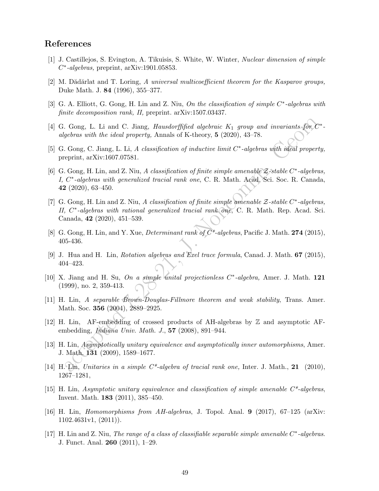## References

- [1] J. Castillejos, S. Evington, A. Tikuisis, S. White, W. Winter, Nuclear dimension of simple  $C^*$ -algebras, preprint, arXiv:1901.05853.
- [2] M. Dădărlat and T. Loring, A universal multicoefficient theorem for the Kasparov groups, Duke Math. J. 84 (1996), 355–377.
- [3] G. A. Elliott, G. Gong, H. Lin and Z. Niu, On the classification of simple C<sup>\*</sup>-algebras with finite decomposition rank, II, preprint. arXiv:1507.03437.
- [4] G. Gong, L. Li and C. Jiang, *Hausdorffified algebraic*  $K_1$  group and invariants for  $C^*$ algebras with the ideal property, Annals of K-theory, 5 (2020), 43–78.
- [5] G. Gong, C. Jiang, L. Li, A classification of inductive limit  $C^*$ -algebras with ideal property, preprint, arXiv:1607.07581.
- . Gong, I. Li and C. Jiang, *Hausdorffified algebraic*  $K_1$  *group and invariants.* For *Gebras with the ideal property*, Annals of K-theory, 5 (2020), 43 78.<br>
Cong, C. Jiang, L. Li, *A classification of inductive limit* [6] G. Gong, H. Lin, and Z. Niu, A classification of finite simple amenable  $\mathcal{Z}\text{-stable }C\text{-}algebras,$ I, C<sup>\*</sup>-algebras with generalized tracial rank one, C. R. Math. Acad. Sci. Soc. R. Canada, 42 (2020), 63–450.
- [7] G. Gong, H. Lin and Z. Niu, A classification of finite simple amenable Z-stable C<sup>\*</sup>-algebras, II, C<sup>\*</sup>-algebras with rational generalized tracial rank one, C. R. Math. Rep. Acad. Sci. Canada, 42 (2020), 451–539.
- [8] G. Gong, H. Lin, and Y. Xue, *Determinant rank of*  $C^*$ -algebras, Pacific J. Math. 274 (2015), 405-436.
- [9] J. Hua and H. Lin, Rotation algebras and Exel trace formula, Canad. J. Math. 67 (2015), 404–423.
- [10] X. Jiang and H. Su, On a simple unital projectionless C<sup>\*</sup>-algebra, Amer. J. Math. 121 (1999), no. 2, 359-413.
- [11] H. Lin, A separable Brown-Douglas-Fillmore theorem and weak stability, Trans. Amer. Math. Soc. 356 (2004), 2889–2925.
- [12] H. Lin, AF-embedding of crossed products of AH-algebras by Z and asymptotic AFembedding, Indiana Univ. Math. J., 57 (2008), 891–944.
- [13] H. Lin, Asymptotically unitary equivalence and asymptotically inner automorphisms, Amer. J. Math. 131 (2009), 1589–1677.
- [14] H. Lin, Unitaries in a simple C\*-algebra of tracial rank one, Inter. J. Math., 21 (2010), 1267–1281,
- [15] H. Lin, Asymptotic unitary equivalence and classification of simple amenable C\*-algebras, Invent. Math. 183 (2011), 385–450.
- [16] H. Lin, Homomorphisms from AH-algebras, J. Topol. Anal. 9 (2017), 67–125 (arXiv: 1102.4631v1, (2011)).
- [17] H. Lin and Z. Niu, The range of a class of classifiable separable simple amenable C<sup>\*</sup>-algebras. J. Funct. Anal. 260 (2011), 1–29.